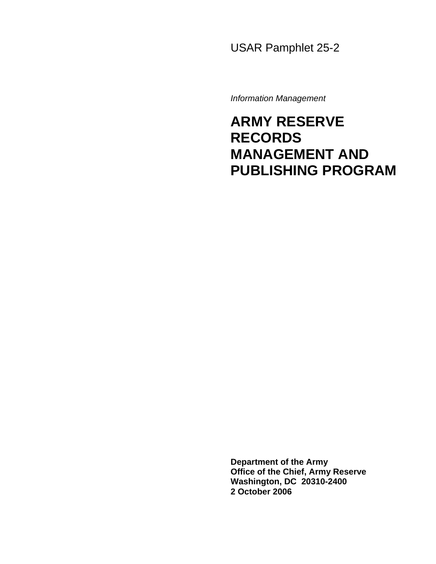USAR Pamphlet 25-2

*Information Management* 

# **ARMY RESERVE RECORDS MANAGEMENT AND PUBLISHING PROGRAM**

**Department of the Army Office of the Chief, Army Reserve Washington, DC 20310-2400 2 October 2006**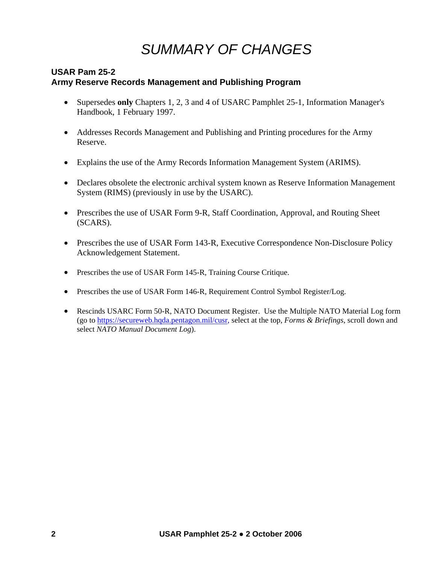# *SUMMARY OF CHANGES*

# **USAR Pam 25-2 Army Reserve Records Management and Publishing Program**

- Supersedes **only** Chapters 1, 2, 3 and 4 of USARC Pamphlet 25-1, Information Manager's Handbook, 1 February 1997.
- Addresses Records Management and Publishing and Printing procedures for the Army Reserve.
- Explains the use of the Army Records Information Management System (ARIMS).
- Declares obsolete the electronic archival system known as Reserve Information Management System (RIMS) (previously in use by the USARC).
- Prescribes the use of USAR Form 9-R, Staff Coordination, Approval, and Routing Sheet (SCARS).
- Prescribes the use of USAR Form 143-R, Executive Correspondence Non-Disclosure Policy Acknowledgement Statement.
- Prescribes the use of USAR Form 145-R, Training Course Critique.
- Prescribes the use of USAR Form 146-R, Requirement Control Symbol Register/Log.
- Rescinds USARC Form 50-R, NATO Document Register. Use the Multiple NATO Material Log form (go to [https://secureweb.hqda.pentagon.mil/cusr,](https://secureweb.hqda.pentagon.mil/cusr) select at the top, *Forms & Briefings*, scroll down and select *NATO Manual Document Log*).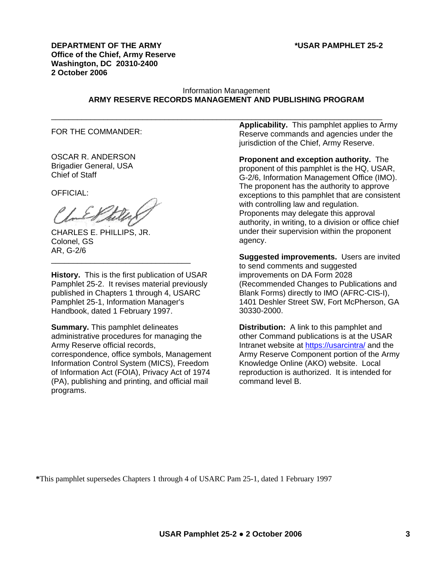**DEPARTMENT OF THE ARMY \*USAR PAMPHLET 25-2 Office of the Chief, Army Reserve Washington, DC 20310-2400 2 October 2006** 

# Information Management **ARMY RESERVE RECORDS MANAGEMENT AND PUBLISHING PROGRAM**

FOR THE COMMANDER:

OSCAR R. ANDERSON Brigadier General, USA Chief of Staff

OFFICIAL:

CHARLES E. PHILLIPS, JR. Colonel, GS AR, G-2/6

**History.** This is the first publication of USAR Pamphlet 25-2. It revises material previously published in Chapters 1 through 4, USARC Pamphlet 25-1, Information Manager's Handbook, dated 1 February 1997.

\_\_\_\_\_\_\_\_\_\_\_\_\_\_\_\_\_\_\_\_\_\_\_\_\_\_\_\_\_\_\_\_

**Summary.** This pamphlet delineates administrative procedures for managing the Army Reserve official records, correspondence, office symbols, Management Information Control System (MICS), Freedom of Information Act (FOIA), Privacy Act of 1974 (PA), publishing and printing, and official mail programs.

\_\_\_\_\_\_\_\_\_\_\_\_\_\_\_\_\_\_\_\_\_\_\_\_\_\_\_\_\_\_\_\_\_\_\_\_\_\_\_\_\_\_\_\_\_\_\_\_\_\_\_\_\_\_\_\_\_\_\_\_\_\_\_\_\_\_\_\_\_\_\_\_\_\_\_\_ **Applicability.** This pamphlet applies to Army Reserve commands and agencies under the jurisdiction of the Chief, Army Reserve.

> **Proponent and exception authority.** The proponent of this pamphlet is the HQ, USAR, G-2/6, Information Management Office (IMO). The proponent has the authority to approve exceptions to this pamphlet that are consistent with controlling law and regulation. Proponents may delegate this approval authority, in writing, to a division or office chief under their supervision within the proponent agency.

> **Suggested improvements.** Users are invited to send comments and suggested improvements on DA Form 2028 (Recommended Changes to Publications and Blank Forms) directly to IMO (AFRC-CIS-I), 1401 Deshler Street SW, Fort McPherson, GA 30330-2000.

> **Distribution:** A link to this pamphlet and other Command publications is at the USAR Intranet website at <https://usarcintra/> and the Army Reserve Component portion of the Army Knowledge Online (AKO) website. Local reproduction is authorized. It is intended for command level B.

**\***This pamphlet supersedes Chapters 1 through 4 of USARC Pam 25-1, dated 1 February 1997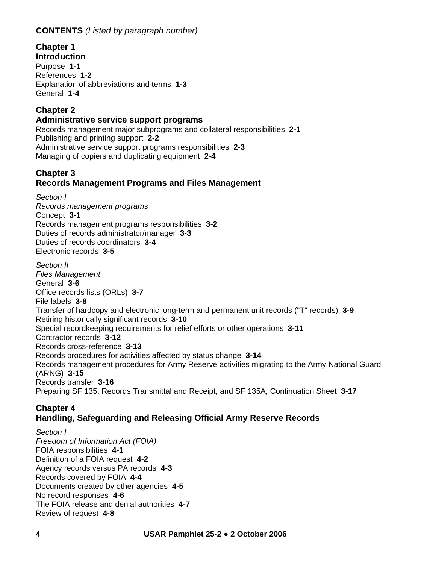# **CONTENTS** *(Listed by paragraph number)*

**Chapter 1 Introduction**  Purpose **1-1** References **1-2** Explanation of abbreviations and terms **1-3** General **1-4**

# **Chapter 2**

# **Administrative service support programs**

Records management major subprograms and collateral responsibilities **2-1** Publishing and printing support **2-2**  Administrative service support programs responsibilities **2-3** Managing of copiers and duplicating equipment **2-4**

# **Chapter 3**

# **Records Management Programs and Files Management**

*Section I Records management programs*  Concept **3-1**  Records management programs responsibilities **3-2**  Duties of records administrator/manager **3-3**  Duties of records coordinators **3-4** Electronic records **3-5** *Section II Files Management*  General **3-6**

Office records lists (ORLs) **3-7** File labels **3-8**  Transfer of hardcopy and electronic long-term and permanent unit records ("T" records) **3-9**  Retiring historically significant records **3-10** Special recordkeeping requirements for relief efforts or other operations **3-11**  Contractor records **3-12** Records cross-reference **3-13** Records procedures for activities affected by status change **3-14**  Records management procedures for Army Reserve activities migrating to the Army National Guard (ARNG) **3-15**  Records transfer **3-16**  Preparing SF 135, Records Transmittal and Receipt, and SF 135A, Continuation Sheet **3-17**

# **Chapter 4 Handling, Safeguarding and Releasing Official Army Reserve Records**

*Section I Freedom of Information Act (FOIA)*  FOIA responsibilities **4-1**  Definition of a FOIA request **4-2**  Agency records versus PA records **4-3**  Records covered by FOIA **4-4**  Documents created by other agencies **4-5**  No record responses **4-6**  The FOIA release and denial authorities **4-7**  Review of request **4-8**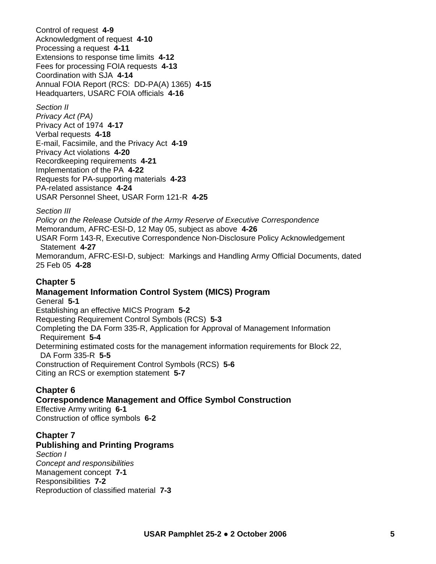Control of request **4-9** Acknowledgment of request **4-10**  Processing a request **4-11** Extensions to response time limits **4-12**  Fees for processing FOIA requests **4-13**  Coordination with SJA **4-14** Annual FOIA Report (RCS: DD-PA(A) 1365) **4-15**  Headquarters, USARC FOIA officials **4-16** 

# *Section II*

*Privacy Act (PA)*  Privacy Act of 1974 **4-17**  Verbal requests **4-18**  E-mail, Facsimile, and the Privacy Act **4-19** Privacy Act violations **4-20**  Recordkeeping requirements **4-21**  Implementation of the PA **4-22** Requests for PA-supporting materials **4-23**  PA-related assistance **4-24**  USAR Personnel Sheet, USAR Form 121-R **4-25** 

# *Section III*

*Policy on the Release Outside of the Army Reserve of Executive Correspondence*  Memorandum, AFRC-ESI-D, 12 May 05, subject as above **4-26**  USAR Form 143-R, Executive Correspondence Non-Disclosure Policy Acknowledgement Statement **4-27**  Memorandum, AFRC-ESI-D, subject: Markings and Handling Army Official Documents, dated 25 Feb 05 **4-28**

# **Chapter 5**

# **Management Information Control System (MICS) Program**  General **5-1** Establishing an effective MICS Program **5-2** Requesting Requirement Control Symbols (RCS) **5-3**  Completing the DA Form 335-R, Application for Approval of Management Information Requirement **5-4**  Determining estimated costs for the management information requirements for Block 22, DA Form 335-R **5-5**  Construction of Requirement Control Symbols (RCS) **5-6**

Citing an RCS or exemption statement **5-7** 

# **Chapter 6**

# **Correspondence Management and Office Symbol Construction**

Effective Army writing **6-1**  Construction of office symbols **6-2**

# **Chapter 7**

# **Publishing and Printing Programs**

*Section I Concept and responsibilities*  Management concept **7-1**  Responsibilities **7-2** Reproduction of classified material **7-3**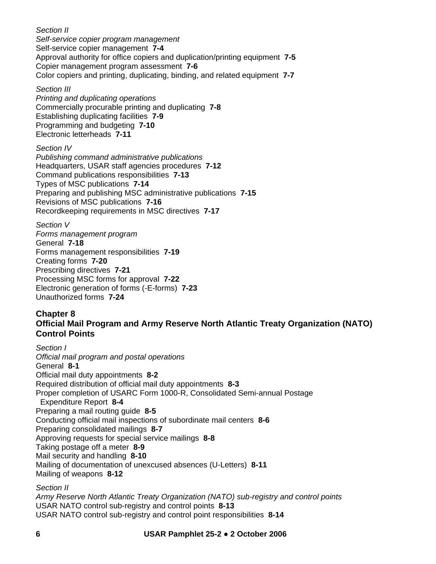*Section II Self-service copier program management*  Self-service copier management **7-4** Approval authority for office copiers and duplication/printing equipment **7-5**  Copier management program assessment **7-6**  Color copiers and printing, duplicating, binding, and related equipment **7-7** 

*Section III* 

*Printing and duplicating operations*  Commercially procurable printing and duplicating **7-8**  Establishing duplicating facilities **7-9** Programming and budgeting **7-10**  Electronic letterheads **7-11** 

*Section IV Publishing command administrative publications*  Headquarters, USAR staff agencies procedures **7-12**  Command publications responsibilities **7-13**  Types of MSC publications **7-14**  Preparing and publishing MSC administrative publications **7-15**  Revisions of MSC publications **7-16** Recordkeeping requirements in MSC directives **7-17** 

*Section V Forms management program*  General **7-18**  Forms management responsibilities **7-19**  Creating forms **7-20**  Prescribing directives **7-21**  Processing MSC forms for approval **7-22**  Electronic generation of forms (-E-forms) **7-23**  Unauthorized forms **7-24** 

# **Chapter 8 Official Mail Program and Army Reserve North Atlantic Treaty Organization (NATO) Control Points**

*Section I Official mail program and postal operations*  General **8-1**  Official mail duty appointments **8-2**  Required distribution of official mail duty appointments **8-3** Proper completion of USARC Form 1000-R, Consolidated Semi-annual Postage Expenditure Report **8-4** Preparing a mail routing guide **8-5** Conducting official mail inspections of subordinate mail centers **8-6**  Preparing consolidated mailings **8-7** Approving requests for special service mailings **8-8** Taking postage off a meter **8-9**  Mail security and handling **8-10**  Mailing of documentation of unexcused absences (U-Letters) **8-11** Mailing of weapons **8-12**

*Section II* 

*Army Reserve North Atlantic Treaty Organization (NATO) sub-registry and control points*  USAR NATO control sub-registry and control points **8-13** USAR NATO control sub-registry and control point responsibilities **8-14**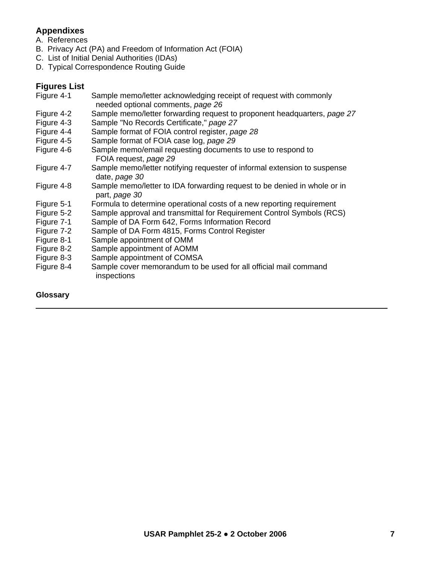# **Appendixes**

- A. References
- B. Privacy Act (PA) and Freedom of Information Act (FOIA)
- C. List of Initial Denial Authorities (IDAs)
- D. Typical Correspondence Routing Guide

# **Figures List**

| Figure 4-1 | Sample memo/letter acknowledging receipt of request with commonly<br>needed optional comments, page 26 |
|------------|--------------------------------------------------------------------------------------------------------|
| Figure 4-2 | Sample memo/letter forwarding request to proponent headquarters, page 27                               |
| Figure 4-3 | Sample "No Records Certificate," page 27                                                               |
| Figure 4-4 | Sample format of FOIA control register, page 28                                                        |
| Figure 4-5 | Sample format of FOIA case log, page 29                                                                |
| Figure 4-6 | Sample memo/email requesting documents to use to respond to<br>FOIA request, page 29                   |
| Figure 4-7 | Sample memo/letter notifying requester of informal extension to suspense<br>date, page 30              |
| Figure 4-8 | Sample memo/letter to IDA forwarding request to be denied in whole or in<br>part, page 30              |
| Figure 5-1 | Formula to determine operational costs of a new reporting requirement                                  |
| Figure 5-2 | Sample approval and transmittal for Requirement Control Symbols (RCS)                                  |
| Figure 7-1 | Sample of DA Form 642, Forms Information Record                                                        |
| Figure 7-2 | Sample of DA Form 4815, Forms Control Register                                                         |
| Figure 8-1 | Sample appointment of OMM                                                                              |
| Figure 8-2 | Sample appointment of AOMM                                                                             |
| Figure 8-3 | Sample appointment of COMSA                                                                            |
| Figure 8-4 | Sample cover memorandum to be used for all official mail command<br>inspections                        |
|            |                                                                                                        |

 $\_$  , and the set of the set of the set of the set of the set of the set of the set of the set of the set of the set of the set of the set of the set of the set of the set of the set of the set of the set of the set of th

# **Glossary**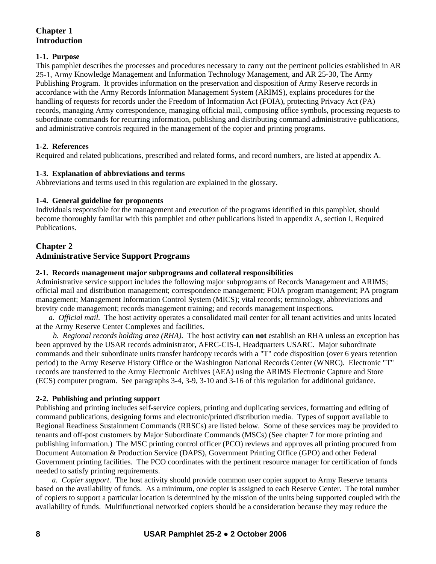# **Chapter 1 Introduction**

# **1***-***1. Purpose**

This pamphlet describes the processes and procedures necessary to carry out the pertinent policies established in AR 25-1, Army Knowledge Management and Information Technology Management, and AR 25-30, The Army Publishing Program. It provides information on the preservation and disposition of Army Reserve records in accordance with the Army Records Information Management System (ARIMS), explains procedures for the handling of requests for records under the Freedom of Information Act (FOIA), protecting Privacy Act (PA) records, managing Army correspondence, managing official mail, composing office symbols, processing requests to subordinate commands for recurring information, publishing and distributing command administrative publications, and administrative controls required in the management of the copier and printing programs.

# **1***-***2. References**

Required and related publications, prescribed and related forms, and record numbers, are listed at appendix A.

# **1***-***3. Explanation of abbreviations and terms**

Abbreviations and terms used in this regulation are explained in the glossary.

# **1-4. General guideline for proponents**

Individuals responsible for the management and execution of the programs identified in this pamphlet, should become thoroughly familiar with this pamphlet and other publications listed in appendix A, section I, Required Publications.

# **Chapter 2 Administrative Service Support Programs**

# **2-1. Records management major subprograms and collateral responsibilities**

Administrative service support includes the following major subprograms of Records Management and ARIMS; official mail and distribution management; correspondence management; FOIA program management; PA program management; Management Information Control System (MICS); vital records; terminology, abbreviations and brevity code management; records management training; and records management inspections.

*a. Official mail.* The host activity operates a consolidated mail center for all tenant activities and units located at the Army Reserve Center Complexes and facilities.

*b. Regional records holding area (RHA).*The host activity **can not** establish an RHA unless an exception has been approved by the USAR records administrator, AFRC-CIS-I, Headquarters USARC.Major subordinate commands and their subordinate units transfer hardcopy records with a "T" code disposition (over 6 years retention period) to the Army Reserve History Office or the Washington National Records Center (WNRC). Electronic "T" records are transferred to the Army Electronic Archives (AEA) using the ARIMS Electronic Capture and Store (ECS) computer program. See paragraphs 3-4, 3-9, 3-10 and 3-16 of this regulation for additional guidance.

# **2-2. Publishing and printing support**

Publishing and printing includes self-service copiers, printing and duplicating services, formatting and editing of command publications, designing forms and electronic/printed distribution media. Types of support available to Regional Readiness Sustainment Commands (RRSCs) are listed below. Some of these services may be provided to tenants and off-post customers by Major Subordinate Commands (MSCs) (See chapter 7 for more printing and publishing information.) The MSC printing control officer (PCO) reviews and approves all printing procured from Document Automation & Production Service (DAPS), Government Printing Office (GPO) and other Federal Government printing facilities. The PCO coordinates with the pertinent resource manager for certification of funds needed to satisfy printing requirements.

*a. Copier support*.The host activity should provide common user copier support to Army Reserve tenants based on the availability of funds. As a minimum, one copier is assigned to each Reserve Center. The total number of copiers to support a particular location is determined by the mission of the units being supported coupled with the availability of funds. Multifunctional networked copiers should be a consideration because they may reduce the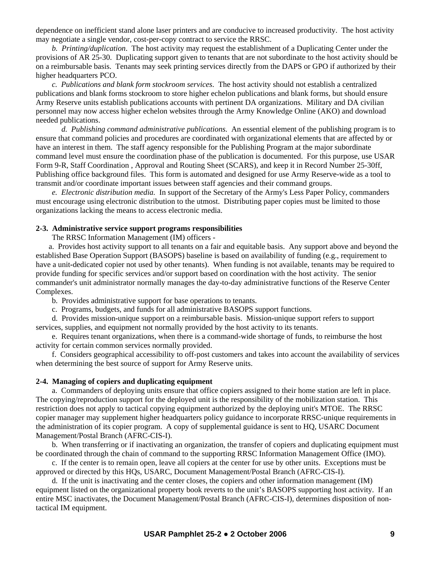dependence on inefficient stand alone laser printers and are conducive to increased productivity. The host activity may negotiate a single vendor, cost-per-copy contract to service the RRSC.

*b. Printing/duplication*. The host activity may request the establishment of a Duplicating Center under the provisions of AR 25-30. Duplicating support given to tenants that are not subordinate to the host activity should be on a reimbursable basis. Tenants may seek printing services directly from the DAPS or GPO if authorized by their higher headquarters PCO.

*c. Publications and blank form stockroom services*. The host activity should not establish a centralized publications and blank forms stockroom to store higher echelon publications and blank forms, but should ensure Army Reserve units establish publications accounts with pertinent DA organizations. Military and DA civilian personnel may now access higher echelon websites through the Army Knowledge Online (AKO) and download needed publications.

*d. Publishing command administrative publications.* An essential element of the publishing program is to ensure that command policies and procedures are coordinated with organizational elements that are affected by or have an interest in them. The staff agency responsible for the Publishing Program at the major subordinate command level must ensure the coordination phase of the publication is documented. For this purpose, use USAR Form 9-R, Staff Coordination , Approval and Routing Sheet (SCARS), and keep it in Record Number 25-30ff, Publishing office background files. This form is automated and designed for use Army Reserve-wide as a tool to transmit and/or coordinate important issues between staff agencies and their command groups.

 *e. Electronic distribution media.* In support of the Secretary of the Army's Less Paper Policy, commanders must encourage using electronic distribution to the utmost. Distributing paper copies must be limited to those organizations lacking the means to access electronic media.

#### **2-3. Administrative service support programs responsibilities**

The RRSC Information Management (IM) officers -

 a. Provides host activity support to all tenants on a fair and equitable basis. Any support above and beyond the established Base Operation Support (BASOPS) baseline is based on availability of funding (e.g., requirement to have a unit*-*dedicated copier not used by other tenants). When funding is not available, tenants may be required to provide funding for specific services and/or support based on coordination with the host activity. The senior commander's unit administrator normally manages the day-to-day administrative functions of the Reserve Center Complexes.

b. Provides administrative support for base operations to tenants.

c. Programs, budgets, and funds for all administrative BASOPS support functions.

 d. Provides mission*-*unique support on a reimbursable basis. Mission*-*unique support refers to support services, supplies, and equipment not normally provided by the host activity to its tenants.

 e. Requires tenant organizations, when there is a command-wide shortage of funds, to reimburse the host activity for certain common services normally provided.

 f. Considers geographical accessibility to off-post customers and takes into account the availability of services when determining the best source of support for Army Reserve units.

#### **2-4. Managing of copiers and duplicating equipment**

 a. Commanders of deploying units ensure that office copiers assigned to their home station are left in place. The copying/reproduction support for the deployed unit is the responsibility of the mobilization station. This restriction does not apply to tactical copying equipment authorized by the deploying unit's MTOE. The RRSC copier manager may supplement higher headquarters policy guidance to incorporate RRSC-unique requirements in the administration of its copier program. A copy of supplemental guidance is sent to HQ, USARC Document Management/Postal Branch (AFRC-CIS-I).

 b. When transferring or if inactivating an organization, the transfer of copiers and duplicating equipment must be coordinated through the chain of command to the supporting RRSC Information Management Office (IMO).

 c. If the center is to remain open, leave all copiers at the center for use by other units. Exceptions must be approved or directed by this HQs, USARC, Document Management/Postal Branch (AFRC-CIS-I).

 d. If the unit is inactivating and the center closes, the copiers and other information management (IM) equipment listed on the organizational property book reverts to the unit's BASOPS supporting host activity. If an entire MSC inactivates, the Document Management/Postal Branch (AFRC-CIS-I), determines disposition of nontactical IM equipment.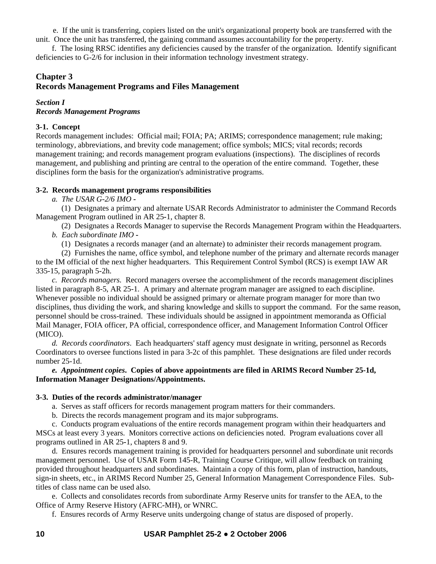e. If the unit is transferring, copiers listed on the unit's organizational property book are transferred with the unit. Once the unit has transferred, the gaining command assumes accountability for the property.

 f. The losing RRSC identifies any deficiencies caused by the transfer of the organization. Identify significant deficiencies to G-2/6 for inclusion in their information technology investment strategy.

# **Chapter 3**

# **Records Management Programs and Files Management**

#### *Section I*

# *Records Management Programs*

# **3***-***1. Concept**

Records management includes: Official mail; FOIA; PA; ARIMS; correspondence management; rule making; terminology, abbreviations, and brevity code management; office symbols; MICS; vital records; records management training; and records management program evaluations (inspections). The disciplines of records management, and publishing and printing are central to the operation of the entire command. Together, these disciplines form the basis for the organization's administrative programs.

# **3***-***2. Records management programs responsibilities**

*a. The USAR G-2/6 IMO -*

 (1) Designates a primary and alternate USAR Records Administrator to administer the Command Records Management Program outlined in AR 25*-*1, chapter 8.

 (2) Designates a Records Manager to supervise the Records Management Program within the Headquarters. *b. Each subordinate IMO -*

(1) Designates a records manager (and an alternate) to administer their records management program.

 (2) Furnishes the name, office symbol, and telephone number of the primary and alternate records manager to the IM official of the next higher headquarters. This Requirement Control Symbol (RCS) is exempt IAW AR 335-15, paragraph 5-2h.

*c. Records managers.* Record managers oversee the accomplishment of the records management disciplines listed in paragraph 8-5, AR 25-1. A primary and alternate program manager are assigned to each discipline. Whenever possible no individual should be assigned primary or alternate program manager for more than two disciplines, thus dividing the work, and sharing knowledge and skills to support the command. For the same reason, personnel should be cross-trained. These individuals should be assigned in appointment memoranda as Official Mail Manager, FOIA officer, PA official, correspondence officer, and Management Information Control Officer (MICO).

*d. Records coordinators*. Each headquarters' staff agency must designate in writing, personnel as Records Coordinators to oversee functions listed in para 3-2c of this pamphlet. These designations are filed under records number 25-1d.

#### *e. Appointment copies***. Copies of above appointments are filed in ARIMS Record Number 25-1d, Information Manager Designations/Appointments.**

#### **3***-***3. Duties of the records administrator/manager**

a. Serves as staff officers for records management program matters for their commanders.

b. Directs the records management program and its major subprograms.

 c. Conducts program evaluations of the entire records management program within their headquarters and MSCs at least every 3 years. Monitors corrective actions on deficiencies noted. Program evaluations cover all programs outlined in AR 25*-*1, chapters 8 and 9.

 d. Ensures records management training is provided for headquarters personnel and subordinate unit records management personnel. Use of USAR Form 145-R, Training Course Critique, will allow feedback on training provided throughout headquarters and subordinates. Maintain a copy of this form, plan of instruction, handouts, sign-in sheets, etc., in ARIMS Record Number 25, General Information Management Correspondence Files. Subtitles of class name can be used also.

 e. Collects and consolidates records from subordinate Army Reserve units for transfer to the AEA, to the Office of Army Reserve History (AFRC-MH), or WNRC.

f. Ensures records of Army Reserve units undergoing change of status are disposed of properly.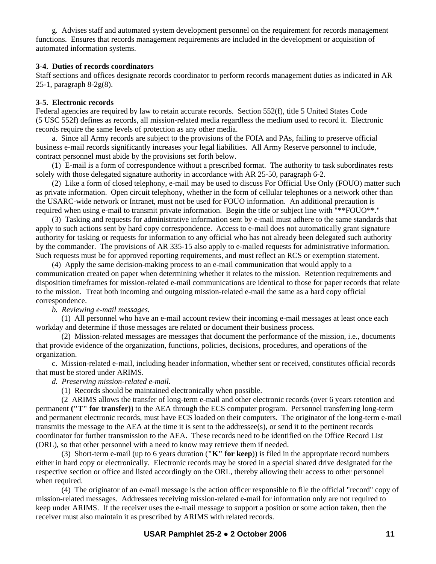g. Advises staff and automated system development personnel on the requirement for records management functions. Ensures that records management requirements are included in the development or acquisition of automated information systems.

#### **3-4. Duties of records coordinators**

Staff sections and offices designate records coordinator to perform records management duties as indicated in AR 25-1, paragraph 8-2g(8).

#### **3-5. Electronic records**

Federal agencies are required by law to retain accurate records. Section 552(f), title 5 United States Code (5 USC 552f) defines as records, all mission-related media regardless the medium used to record it. Electronic records require the same levels of protection as any other media.

 a. Since all Army records are subject to the provisions of the FOIA and PAs, failing to preserve official business e-mail records significantly increases your legal liabilities. All Army Reserve personnel to include, contract personnel must abide by the provisions set forth below.

 (1) E-mail is a form of correspondence without a prescribed format. The authority to task subordinates rests solely with those delegated signature authority in accordance with AR 25-50, paragraph 6-2.

 (2) Like a form of closed telephony, e-mail may be used to discuss For Official Use Only (FOUO) matter such as private information. Open circuit telephony, whether in the form of cellular telephones or a network other than the USARC-wide network or Intranet, must not be used for FOUO information. An additional precaution is required when using e-mail to transmit private information. Begin the title or subject line with "\*\*FOUO\*\*."

 (3) Tasking and requests for administrative information sent by e-mail must adhere to the same standards that apply to such actions sent by hard copy correspondence. Access to e-mail does not automatically grant signature authority for tasking or requests for information to any official who has not already been delegated such authority by the commander. The provisions of AR 335-15 also apply to e-mailed requests for administrative information. Such requests must be for approved reporting requirements, and must reflect an RCS or exemption statement.

 (4) Apply the same decision-making process to an e-mail communication that would apply to a communication created on paper when determining whether it relates to the mission. Retention requirements and disposition timeframes for mission-related e-mail communications are identical to those for paper records that relate to the mission. Treat both incoming and outgoing mission-related e-mail the same as a hard copy official correspondence.

 *b. Reviewing e-mail messages.* 

 (1) All personnel who have an e-mail account review their incoming e-mail messages at least once each workday and determine if those messages are related or document their business process.

 (2) Mission-related messages are messages that document the performance of the mission, i.e., documents that provide evidence of the organization, functions, policies, decisions, procedures, and operations of the organization.

 c. Mission-related e-mail, including header information, whether sent or received, constitutes official records that must be stored under ARIMS.

*d. Preserving mission-related e-mail.* 

(1) Records should be maintained electronically when possible.

 (2 ARIMS allows the transfer of long-term e-mail and other electronic records (over 6 years retention and permanent **("T" for transfer)**) to the AEA through the ECS computer program. Personnel transferring long-term and permanent electronic records, must have ECS loaded on their computers. The originator of the long-term e-mail transmits the message to the AEA at the time it is sent to the addressee(s), or send it to the pertinent records coordinator for further transmission to the AEA. These records need to be identified on the Office Record List (ORL), so that other personnel with a need to know may retrieve them if needed.

 (3) Short-term e-mail (up to 6 years duration (**"K" for keep**)) is filed in the appropriate record numbers either in hard copy or electronically. Electronic records may be stored in a special shared drive designated for the respective section or office and listed accordingly on the ORL, thereby allowing their access to other personnel when required.

 (4) The originator of an e-mail message is the action officer responsible to file the official "record" copy of mission-related messages. Addressees receiving mission-related e-mail for information only are not required to keep under ARIMS. If the receiver uses the e-mail message to support a position or some action taken, then the receiver must also maintain it as prescribed by ARIMS with related records.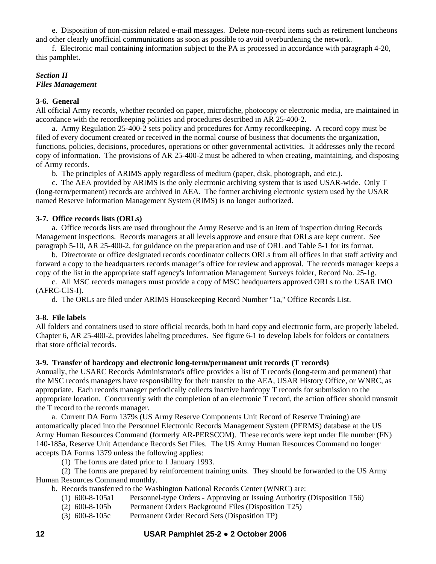e. Disposition of non-mission related e-mail messages. Delete non-record items such as retirement luncheons and other clearly unofficial communications as soon as possible to avoid overburdening the network.

 f. Electronic mail containing information subject to the PA is processed in accordance with paragraph 4-20, this pamphlet.

# *Section II Files Management*

## **3-6. General**

All official Army records, whether recorded on paper, microfiche, photocopy or electronic media, are maintained in accordance with the recordkeeping policies and procedures described in AR 25-400-2.

 a. Army Regulation 25-400-2 sets policy and procedures for Army recordkeeping. A record copy must be filed of every document created or received in the normal course of business that documents the organization, functions, policies, decisions, procedures, operations or other governmental activities. It addresses only the record copy of information. The provisions of AR 25-400-2 must be adhered to when creating, maintaining, and disposing of Army records.

b. The principles of ARIMS apply regardless of medium (paper, disk, photograph, and etc.).

 c. The AEA provided by ARIMS is the only electronic archiving system that is used USAR-wide. Only T (long-term/permanent) records are archived in AEA. The former archiving electronic system used by the USAR named Reserve Information Management System (RIMS) is no longer authorized.

# **3-7. Office records lists (ORLs)**

 a. Office records lists are used throughout the Army Reserve and is an item of inspection during Records Management inspections. Records managers at all levels approve and ensure that ORLs are kept current. See paragraph 5-10, AR 25-400-2, for guidance on the preparation and use of ORL and Table 5-1 for its format.

 b. Directorate or office designated records coordinator collects ORLs from all offices in that staff activity and forward a copy to the headquarters records manager's office for review and approval. The records manager keeps a copy of the list in the appropriate staff agency's Information Management Surveys folder, Record No. 25-1g.

 c. All MSC records managers must provide a copy of MSC headquarters approved ORLs to the USAR IMO (AFRC-CIS-I).

d. The ORLs are filed under ARIMS Housekeeping Record Number "1a," Office Records List.

# **3-8. File labels**

All folders and containers used to store official records, both in hard copy and electronic form, are properly labeled. Chapter 6, AR 25-400-2, provides labeling procedures. See figure 6-1 to develop labels for folders or containers that store official records.

#### **3-9. Transfer of hardcopy and electronic long-term/permanent unit records (T records)**

Annually, the USARC Records Administrator's office provides a list of T records (long-term and permanent) that the MSC records managers have responsibility for their transfer to the AEA, USAR History Office, or WNRC, as appropriate. Each records manager periodically collects inactive hardcopy T records for submission to the appropriate location. Concurrently with the completion of an electronic T record, the action officer should transmit the T record to the records manager.

 a. Current DA Form 1379s (US Army Reserve Components Unit Record of Reserve Training) are automatically placed into the Personnel Electronic Records Management System (PERMS) database at the US Army Human Resources Command (formerly AR-PERSCOM). These records were kept under file number (FN) 140-185a, Reserve Unit Attendance Records Set Files. The US Army Human Resources Command no longer accepts DA Forms 1379 unless the following applies:

(1) The forms are dated prior to 1 January 1993.

 (2) The forms are prepared by reinforcement training units. They should be forwarded to the US Army Human Resources Command monthly.

b. Records transferred to the Washington National Records Center (WNRC) are:

- (1) 600-8-105a1 Personnel-type Orders Approving or Issuing Authority (Disposition T56)
- (2) 600-8-105b Permanent Orders Background Files (Disposition T25)
- (3) 600-8-105c Permanent Order Record Sets (Disposition TP)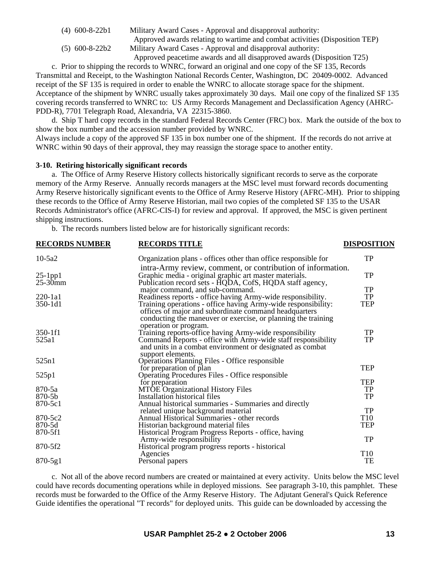(4) 600-8-22b1 Military Award Cases - Approval and disapproval authority:

 Approved awards relating to wartime and combat activities (Disposition TEP) (5) 600-8-22b2 Military Award Cases - Approval and disapproval authority:

Approved peacetime awards and all disapproved awards (Disposition T25)

 c. Prior to shipping the records to WNRC, forward an original and one copy of the SF 135, Records Transmittal and Receipt, to the Washington National Records Center, Washington, DC 20409-0002. Advanced receipt of the SF 135 is required in order to enable the WNRC to allocate storage space for the shipment. Acceptance of the shipment by WNRC usually takes approximately 30 days. Mail one copy of the finalized SF 135 covering records transferred to WNRC to: US Army Records Management and Declassification Agency (AHRC-PDD-R), 7701 Telegraph Road, Alexandria, VA 22315-3860.

 d. Ship T hard copy records in the standard Federal Records Center (FRC) box. Mark the outside of the box to show the box number and the accession number provided by WNRC.

Always include a copy of the approved SF 135 in box number one of the shipment. If the records do not arrive at WNRC within 90 days of their approval, they may reassign the storage space to another entity.

#### **3-10. Retiring historically significant records**

 a. The Office of Army Reserve History collects historically significant records to serve as the corporate memory of the Army Reserve. Annually records managers at the MSC level must forward records documenting Army Reserve historically significant events to the Office of Army Reserve History (AFRC-MH). Prior to shipping these records to the Office of Army Reserve Historian, mail two copies of the completed SF 135 to the USAR Records Administrator's office (AFRC-CIS-I) for review and approval. If approved, the MSC is given pertinent shipping instructions.

b. The records numbers listed below are for historically significant records:

| <b>RECORDS NUMBER</b> | <b>RECORDS TITLE</b>                                                              | <b>DISPOSITION</b> |
|-----------------------|-----------------------------------------------------------------------------------|--------------------|
| $10-5a2$              | Organization plans - offices other than office responsible for                    | TP                 |
|                       | intra-Army review, comment, or contribution of information.                       |                    |
| $25$ -1pp1            | Graphic media - original graphic art master materials.                            | TP                 |
| $25-30$ mm            | Publication record sets - HQDA, CofS, HQDA staff agency,                          |                    |
|                       | major command, and sub-command.                                                   | TP                 |
| $220 - 1a1$           | Readiness reports - office having Army-wide responsibility.                       | TP                 |
| 350-1d1               | Training operations - office having Army-wide responsibility:                     | TEP                |
|                       | offices of major and subordinate command headquarters                             |                    |
|                       | conducting the maneuver or exercise, or planning the training                     |                    |
|                       | operation or program.                                                             |                    |
| 350-1f1               | Training reports-office having Army-wide responsibility                           | TP                 |
| 525a1                 | Command Reports - office with Army-wide staff responsibility                      | TP                 |
|                       | and units in a combat environment or designated as combat                         |                    |
|                       | support elements.                                                                 |                    |
| 525n1                 | Operations Planning Files - Office responsible                                    |                    |
|                       | for preparation of plan                                                           | TEP                |
| 525p1                 | <b>Operating Procedures Files - Office responsible</b>                            |                    |
|                       | for preparation                                                                   | TEP                |
| 870-5a                | <b>MTOE Organizational History Files</b>                                          | TP                 |
| 870-5b                | Installation historical files                                                     | <b>TP</b>          |
| 870-5c1               | Annual historical summaries - Summaries and directly                              | TP                 |
| 870-5c2               | related unique background material<br>Annual Historical Summaries - other records | T <sub>10</sub>    |
| 870-5d                | Historian background material files                                               | <b>TEP</b>         |
| 870-5f1               |                                                                                   |                    |
|                       | Historical Program Progress Reports - office, having<br>Army-wide responsibility  | TP                 |
| 870-5f2               | Historical program progress reports - historical                                  |                    |
|                       | Agencies                                                                          | T <sub>10</sub>    |
| $870 - 5g1$           | Personal papers                                                                   | TE                 |
|                       |                                                                                   |                    |

 c. Not all of the above record numbers are created or maintained at every activity. Units below the MSC level could have records documenting operations while in deployed missions. See paragraph 3-10, this pamphlet. These records must be forwarded to the Office of the Army Reserve History. The Adjutant General's Quick Reference Guide identifies the operational "T records" for deployed units. This guide can be downloaded by accessing the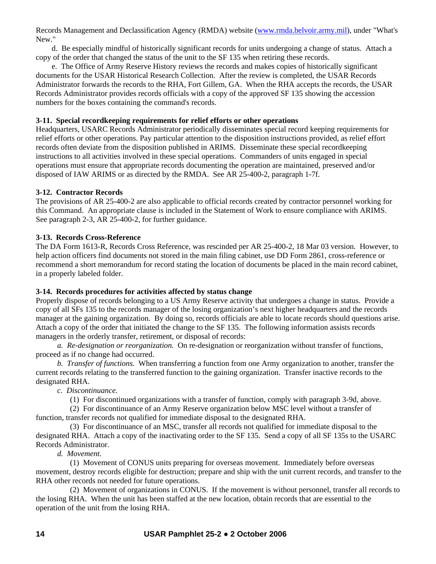Records Management and Declassification Agency (RMDA) website ([www.rmda.belvoir.army.mil](http://www.rmda.belvoir.army.mil/)), under "What's New."

 d. Be especially mindful of historically significant records for units undergoing a change of status. Attach a copy of the order that changed the status of the unit to the SF 135 when retiring these records.

 e. The Office of Army Reserve History reviews the records and makes copies of historically significant documents for the USAR Historical Research Collection. After the review is completed, the USAR Records Administrator forwards the records to the RHA, Fort Gillem, GA. When the RHA accepts the records, the USAR Records Administrator provides records officials with a copy of the approved SF 135 showing the accession numbers for the boxes containing the command's records.

#### **3-11. Special recordkeeping requirements for relief efforts or other operations**

Headquarters, USARC Records Administrator periodically disseminates special record keeping requirements for relief efforts or other operations. Pay particular attention to the disposition instructions provided, as relief effort records often deviate from the disposition published in ARIMS. Disseminate these special recordkeeping instructions to all activities involved in these special operations. Commanders of units engaged in special operations must ensure that appropriate records documenting the operation are maintained, preserved and/or disposed of IAW ARIMS or as directed by the RMDA. See AR 25-400-2, paragraph 1-7f.

# **3-12. Contractor Records**

The provisions of AR 25-400-2 are also applicable to official records created by contractor personnel working for this Command. An appropriate clause is included in the Statement of Work to ensure compliance with ARIMS. See paragraph 2-3, AR 25-400-2, for further guidance.

# **3-13. Records Cross-Reference**

The DA Form 1613-R, Records Cross Reference, was rescinded per AR 25-400-2, 18 Mar 03 version. However, to help action officers find documents not stored in the main filing cabinet, use DD Form 2861, cross-reference or recommend a short memorandum for record stating the location of documents be placed in the main record cabinet, in a properly labeled folder.

# **3-14. Records procedures for activities affected by status change**

Properly dispose of records belonging to a US Army Reserve activity that undergoes a change in status. Provide a copy of all SFs 135 to the records manager of the losing organization's next higher headquarters and the records manager at the gaining organization. By doing so, records officials are able to locate records should questions arise. Attach a copy of the order that initiated the change to the SF 135. The following information assists records managers in the orderly transfer, retirement, or disposal of records:

*a. Re-designation or reorganization.* On re-designation or reorganization without transfer of functions, proceed as if no change had occurred.

*b. Transfer of functions.* When transferring a function from one Army organization to another, transfer the current records relating to the transferred function to the gaining organization. Transfer inactive records to the designated RHA.

*c. Discontinuance.* 

(1) For discontinued organizations with a transfer of function, comply with paragraph 3-9d, above.

 (2) For discontinuance of an Army Reserve organization below MSC level without a transfer of function, transfer records not qualified for immediate disposal to the designated RHA.

 (3) For discontinuance of an MSC, transfer all records not qualified for immediate disposal to the designated RHA. Attach a copy of the inactivating order to the SF 135. Send a copy of all SF 135s to the USARC Records Administrator.

 *d. Movement.* 

 (1) Movement of CONUS units preparing for overseas movement. Immediately before overseas movement, destroy records eligible for destruction; prepare and ship with the unit current records, and transfer to the RHA other records not needed for future operations.

 (2) Movement of organizations in CONUS. If the movement is without personnel, transfer all records to the losing RHA. When the unit has been staffed at the new location, obtain records that are essential to the operation of the unit from the losing RHA.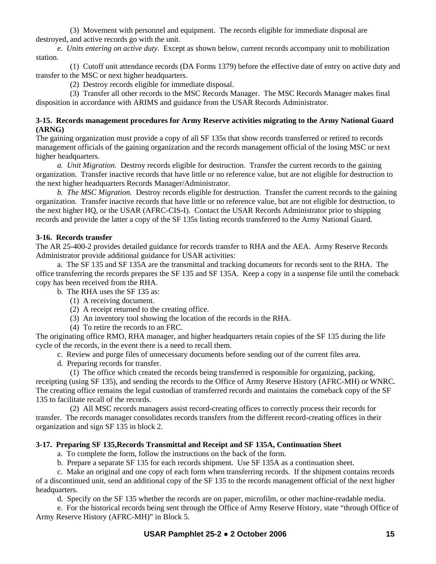(3) Movement with personnel and equipment. The records eligible for immediate disposal are destroyed, and active records go with the unit.

*e. Units entering on active duty.* Except as shown below, current records accompany unit to mobilization station.

 (1) Cutoff unit attendance records (DA Forms 1379) before the effective date of entry on active duty and transfer to the MSC or next higher headquarters.

(2) Destroy records eligible for immediate disposal.

 (3) Transfer all other records to the MSC Records Manager. The MSC Records Manager makes final disposition in accordance with ARIMS and guidance from the USAR Records Administrator.

## **3-15. Records management procedures for Army Reserve activities migrating to the Army National Guard (ARNG)**

The gaining organization must provide a copy of all SF 135s that show records transferred or retired to records management officials of the gaining organization and the records management official of the losing MSC or next higher headquarters.

*a. Unit Migration.* Destroy records eligible for destruction. Transfer the current records to the gaining organization. Transfer inactive records that have little or no reference value, but are not eligible for destruction to the next higher headquarters Records Manager/Administrator.

*b. The MSC Migration.* Destroy records eligible for destruction. Transfer the current records to the gaining organization. Transfer inactive records that have little or no reference value, but are not eligible for destruction, to the next higher HQ, or the USAR (AFRC-CIS-I). Contact the USAR Records Administrator prior to shipping records and provide the latter a copy of the SF 135s listing records transferred to the Army National Guard.

# **3-16. Records transfer**

The AR 25-400-2 provides detailed guidance for records transfer to RHA and the AEA. Army Reserve Records Administrator provide additional guidance for USAR activities:

 a. The SF 135 and SF 135A are the transmittal and tracking documents for records sent to the RHA. The office transferring the records prepares the SF 135 and SF 135A. Keep a copy in a suspense file until the comeback copy has been received from the RHA.

b. The RHA uses the SF 135 as:

- (1) A receiving document.
- (2) A receipt returned to the creating office.
- (3) An inventory tool showing the location of the records in the RHA.
- (4) To retire the records to an FRC.

The originating office RMO, RHA manager, and higher headquarters retain copies of the SF 135 during the life cycle of the records, in the event there is a need to recall them.

c. Review and purge files of unnecessary documents before sending out of the current files area.

d. Preparing records for transfer.

 (1) The office which created the records being transferred is responsible for organizing, packing, receipting (using SF 135), and sending the records to the Office of Army Reserve History (AFRC-MH) or WNRC. The creating office remains the legal custodian of transferred records and maintains the comeback copy of the SF 135 to facilitate recall of the records.

 (2) All MSC records managers assist record-creating offices to correctly process their records for transfer. The records manager consolidates records transfers from the different record-creating offices in their organization and sign SF 135 in block 2.

# **3-17. Preparing SF 135,Records Transmittal and Receipt and SF 135A, Continuation Sheet**

- a. To complete the form, follow the instructions on the back of the form.
- b. Prepare a separate SF 135 for each records shipment. Use SF 135A as a continuation sheet.

 c. Make an original and one copy of each form when transferring records. If the shipment contains records of a discontinued unit, send an additional copy of the SF 135 to the records management official of the next higher headquarters.

d. Specify on the SF 135 whether the records are on paper, microfilm, or other machine-readable media.

 e. For the historical records being sent through the Office of Army Reserve History, state "through Office of Army Reserve History (AFRC-MH)" in Block 5.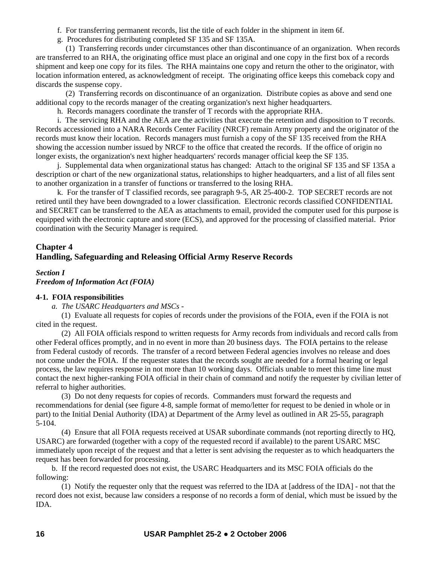- f. For transferring permanent records, list the title of each folder in the shipment in item 6f.
- g. Procedures for distributing completed SF 135 and SF 135A.

 (1) Transferring records under circumstances other than discontinuance of an organization. When records are transferred to an RHA, the originating office must place an original and one copy in the first box of a records shipment and keep one copy for its files. The RHA maintains one copy and return the other to the originator, with location information entered, as acknowledgment of receipt. The originating office keeps this comeback copy and discards the suspense copy.

 (2) Transferring records on discontinuance of an organization. Distribute copies as above and send one additional copy to the records manager of the creating organization's next higher headquarters.

h. Records managers coordinate the transfer of T records with the appropriate RHA.

 i. The servicing RHA and the AEA are the activities that execute the retention and disposition to T records. Records accessioned into a NARA Records Center Facility (NRCF) remain Army property and the originator of the records must know their location. Records managers must furnish a copy of the SF 135 received from the RHA showing the accession number issued by NRCF to the office that created the records. If the office of origin no longer exists, the organization's next higher headquarters' records manager official keep the SF 135.

 j. Supplemental data when organizational status has changed: Attach to the original SF 135 and SF 135A a description or chart of the new organizational status, relationships to higher headquarters, and a list of all files sent to another organization in a transfer of functions or transferred to the losing RHA.

 k. For the transfer of T classified records, see paragraph 9-5, AR 25-400-2. TOP SECRET records are not retired until they have been downgraded to a lower classification. Electronic records classified CONFIDENTIAL and SECRET can be transferred to the AEA as attachments to email, provided the computer used for this purpose is equipped with the electronic capture and store (ECS), and approved for the processing of classified material. Prior coordination with the Security Manager is required.

# **Chapter 4 Handling, Safeguarding and Releasing Official Army Reserve Records**

# *Section I Freedom of Information Act (FOIA)*

# **4-1. FOIA responsibilities**

*a. The USARC Headquarters and MSCs* -

 (1) Evaluate all requests for copies of records under the provisions of the FOIA, even if the FOIA is not cited in the request.

 (2) All FOIA officials respond to written requests for Army records from individuals and record calls from other Federal offices promptly, and in no event in more than 20 business days. The FOIA pertains to the release from Federal custody of records. The transfer of a record between Federal agencies involves no release and does not come under the FOIA. If the requester states that the records sought are needed for a formal hearing or legal process, the law requires response in not more than 10 working days. Officials unable to meet this time line must contact the next higher-ranking FOIA official in their chain of command and notify the requester by civilian letter of referral to higher authorities.

 (3) Do not deny requests for copies of records. Commanders must forward the requests and recommendations for denial (see figure 4-8, sample format of memo/letter for request to be denied in whole or in part) to the Initial Denial Authority (IDA) at Department of the Army level as outlined in AR 25*-*55, paragraph 5-104.

 (4) Ensure that all FOIA requests received at USAR subordinate commands (not reporting directly to HQ, USARC) are forwarded (together with a copy of the requested record if available) to the parent USARC MSC immediately upon receipt of the request and that a letter is sent advising the requester as to which headquarters the request has been forwarded for processing.

 b. If the record requested does not exist, the USARC Headquarters and its MSC FOIA officials do the following:

 (1) Notify the requester only that the request was referred to the IDA at [address of the IDA] - not that the record does not exist, because law considers a response of no records a form of denial, which must be issued by the IDA.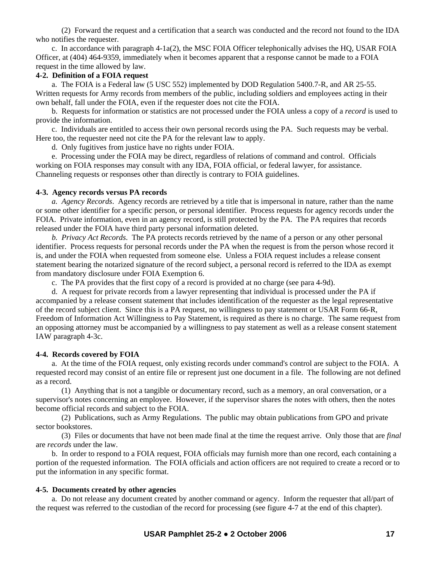(2) Forward the request and a certification that a search was conducted and the record not found to the IDA who notifies the requester.

 c. In accordance with paragraph 4-1a(2), the MSC FOIA Officer telephonically advises the HQ, USAR FOIA Officer, at (404) 464-9359, immediately when it becomes apparent that a response cannot be made to a FOIA request in the time allowed by law.

#### **4-2. Definition of a FOIA request**

 a. The FOIA is a Federal law (5 USC 552) implemented by DOD Regulation 5400.7-R, and AR 25-55. Written requests for Army records from members of the public, including soldiers and employees acting in their own behalf, fall under the FOIA, even if the requester does not cite the FOIA.

 b. Requests for information or statistics are not processed under the FOIA unless a copy of a *record* is used to provide the information.

 c. Individuals are entitled to access their own personal records using the PA. Such requests may be verbal. Here too, the requester need not cite the PA for the relevant law to apply.

d. Only fugitives from justice have no rights under FOIA.

 e. Processing under the FOIA may be direct, regardless of relations of command and control. Officials working on FOIA responses may consult with any IDA, FOIA official, or federal lawyer, for assistance. Channeling requests or responses other than directly is contrary to FOIA guidelines.

#### **4-3. Agency records versus PA records**

*a. Agency Records*. Agency records are retrieved by a title that is impersonal in nature, rather than the name or some other identifier for a specific person, or personal identifier. Process requests for agency records under the FOIA. Private information, even in an agency record, is still protected by the PA. The PA requires that records released under the FOIA have third party personal information deleted.

*b. Privacy Act Records*. The PA protects records retrieved by the name of a person or any other personal identifier. Process requests for personal records under the PA when the request is from the person whose record it is, and under the FOIA when requested from someone else. Unless a FOIA request includes a release consent statement bearing the notarized signature of the record subject, a personal record is referred to the IDA as exempt from mandatory disclosure under FOIA Exemption 6.

c. The PA provides that the first copy of a record is provided at no charge (see para 4-9d).

 d. A request for private records from a lawyer representing that individual is processed under the PA if accompanied by a release consent statement that includes identification of the requester as the legal representative of the record subject client. Since this is a PA request, no willingness to pay statement or USAR Form 66-R, Freedom of Information Act Willingness to Pay Statement, is required as there is no charge. The same request from an opposing attorney must be accompanied by a willingness to pay statement as well as a release consent statement IAW paragraph 4-3c.

#### **4-4. Records covered by FOIA**

 a. At the time of the FOIA request, only existing records under command's control are subject to the FOIA. A requested record may consist of an entire file or represent just one document in a file. The following are not defined as a record.

 (1) Anything that is not a tangible or documentary record, such as a memory, an oral conversation, or a supervisor's notes concerning an employee. However, if the supervisor shares the notes with others, then the notes become official records and subject to the FOIA.

 (2) Publications, such as Army Regulations. The public may obtain publications from GPO and private sector bookstores.

 (3) Files or documents that have not been made final at the time the request arrive. Only those that are *final* are *records* under the law.

 b. In order to respond to a FOIA request, FOIA officials may furnish more than one record, each containing a portion of the requested information. The FOIA officials and action officers are not required to create a record or to put the information in any specific format.

#### **4-5. Documents created by other agencies**

 a. Do not release any document created by another command or agency. Inform the requester that all/part of the request was referred to the custodian of the record for processing (see figure 4-7 at the end of this chapter).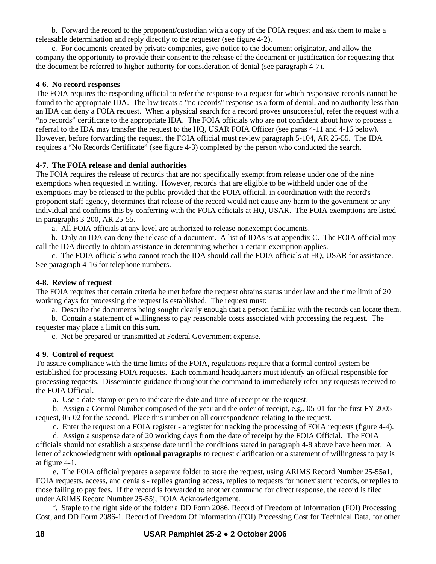b. Forward the record to the proponent/custodian with a copy of the FOIA request and ask them to make a releasable determination and reply directly to the requester (see figure 4-2).

 c. For documents created by private companies, give notice to the document originator, and allow the company the opportunity to provide their consent to the release of the document or justification for requesting that the document be referred to higher authority for consideration of denial (see paragraph 4-7).

# **4-6. No record responses**

The FOIA requires the responding official to refer the response to a request for which responsive records cannot be found to the appropriate IDA. The law treats a "no records" response as a form of denial, and no authority less than an IDA can deny a FOIA request. When a physical search for a record proves unsuccessful, refer the request with a "no records" certificate to the appropriate IDA. The FOIA officials who are not confident about how to process a referral to the IDA may transfer the request to the HQ, USAR FOIA Officer (see paras 4-11 and 4-16 below). However, before forwarding the request, the FOIA official must review paragraph 5-104, AR 25-55. The IDA requires a "No Records Certificate" (see figure 4-3) completed by the person who conducted the search.

# **4-7. The FOIA release and denial authorities**

The FOIA requires the release of records that are not specifically exempt from release under one of the nine exemptions when requested in writing. However, records that are eligible to be withheld under one of the exemptions may be released to the public provided that the FOIA official, in coordination with the record's proponent staff agency, determines that release of the record would not cause any harm to the government or any individual and confirms this by conferring with the FOIA officials at HQ, USAR. The FOIA exemptions are listed in paragraphs 3-200, AR 25-55.

a. All FOIA officials at any level are authorized to release nonexempt documents.

 b. Only an IDA can deny the release of a document. A list of IDAs is at appendix C. The FOIA official may call the IDA directly to obtain assistance in determining whether a certain exemption applies.

 c. The FOIA officials who cannot reach the IDA should call the FOIA officials at HQ, USAR for assistance. See paragraph 4-16 for telephone numbers.

# **4-8. Review of request**

The FOIA requires that certain criteria be met before the request obtains status under law and the time limit of 20 working days for processing the request is established. The request must:

a. Describe the documents being sought clearly enough that a person familiar with the records can locate them.

 b. Contain a statement of willingness to pay reasonable costs associated with processing the request. The requester may place a limit on this sum.

c. Not be prepared or transmitted at Federal Government expense.

# **4-9. Control of request**

To assure compliance with the time limits of the FOIA, regulations require that a formal control system be established for processing FOIA requests. Each command headquarters must identify an official responsible for processing requests. Disseminate guidance throughout the command to immediately refer any requests received to the FOIA Official.

a. Use a date-stamp or pen to indicate the date and time of receipt on the request.

 b. Assign a Control Number composed of the year and the order of receipt, e.g., 05-01 for the first FY 2005 request, 05-02 for the second. Place this number on all correspondence relating to the request.

c. Enter the request on a FOIA register - a register for tracking the processing of FOIA requests (figure 4-4).

 d. Assign a suspense date of 20 working days from the date of receipt by the FOIA Official. The FOIA officials should not establish a suspense date until the conditions stated in paragraph 4-8 above have been met. A letter of acknowledgment with **optional paragraphs** to request clarification or a statement of willingness to pay is at figure 4-1.

 e. The FOIA official prepares a separate folder to store the request, using ARIMS Record Number 25-55a1, FOIA requests, access, and denials - replies granting access, replies to requests for nonexistent records, or replies to those failing to pay fees. If the record is forwarded to another command for direct response, the record is filed under ARIMS Record Number 25-55j, FOIA Acknowledgement.

 f. Staple to the right side of the folder a DD Form 2086, Record of Freedom of Information (FOI) Processing Cost, and DD Form 2086-1, Record of Freedom Of Information (FOI) Processing Cost for Technical Data, for other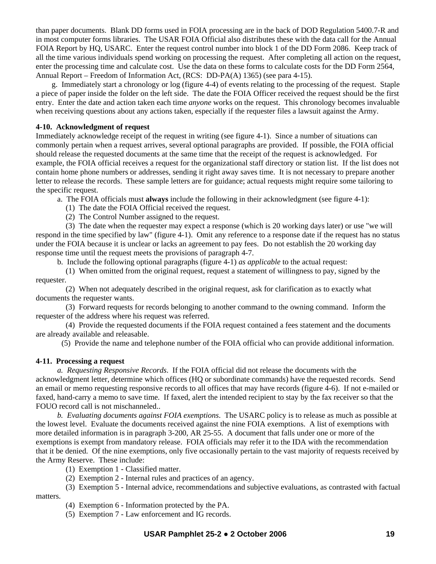than paper documents. Blank DD forms used in FOIA processing are in the back of DOD Regulation 5400.7-R and in most computer forms libraries. The USAR FOIA Official also distributes these with the data call for the Annual FOIA Report by HQ, USARC. Enter the request control number into block 1 of the DD Form 2086. Keep track of all the time various individuals spend working on processing the request. After completing all action on the request, enter the processing time and calculate cost. Use the data on these forms to calculate costs for the DD Form 2564, Annual Report – Freedom of Information Act, (RCS: DD-PA(A) 1365) (see para 4-15).

 g. Immediately start a chronology or log (figure 4-4) of events relating to the processing of the request. Staple a piece of paper inside the folder on the left side. The date the FOIA Officer received the request should be the first entry. Enter the date and action taken each time *anyone* works on the request. This chronology becomes invaluable when receiving questions about any actions taken, especially if the requester files a lawsuit against the Army.

#### **4-10. Acknowledgment of request**

Immediately acknowledge receipt of the request in writing (see figure 4-1). Since a number of situations can commonly pertain when a request arrives, several optional paragraphs are provided. If possible, the FOIA official should release the requested documents at the same time that the receipt of the request is acknowledged. For example, the FOIA official receives a request for the organizational staff directory or station list. If the list does not contain home phone numbers or addresses, sending it right away saves time. It is not necessary to prepare another letter to release the records. These sample letters are for guidance; actual requests might require some tailoring to the specific request.

a. The FOIA officials must **always** include the following in their acknowledgment (see figure 4-1):

(1) The date the FOIA Official received the request.

(2) The Control Number assigned to the request.

 (3) The date when the requester may expect a response (which is 20 working days later) or use "we will respond in the time specified by law" (figure 4-1). Omit any reference to a response date if the request has no status under the FOIA because it is unclear or lacks an agreement to pay fees. Do not establish the 20 working day response time until the request meets the provisions of paragraph 4-7.

b. Include the following optional paragraphs (figure 4-1) *as applicable* to the actual request:

 (1) When omitted from the original request, request a statement of willingness to pay, signed by the requester.

 (2) When not adequately described in the original request, ask for clarification as to exactly what documents the requester wants.

 (3) Forward requests for records belonging to another command to the owning command. Inform the requester of the address where his request was referred.

 (4) Provide the requested documents if the FOIA request contained a fees statement and the documents are already available and releasable.

(5) Provide the name and telephone number of the FOIA official who can provide additional information.

#### **4-11. Processing a request**

*a. Requesting Responsive Records*. If the FOIA official did not release the documents with the acknowledgment letter, determine which offices (HQ or subordinate commands) have the requested records. Send an email or memo requesting responsive records to all offices that may have records (figure 4-6). If not e-mailed or faxed, hand-carry a memo to save time. If faxed, alert the intended recipient to stay by the fax receiver so that the FOUO record call is not mischanneled..

*b. Evaluating documents against FOIA exemptions*. The USARC policy is to release as much as possible at the lowest level. Evaluate the documents received against the nine FOIA exemptions. A list of exemptions with more detailed information is in paragraph 3-200, AR 25-55. A document that falls under one or more of the exemptions is exempt from mandatory release. FOIA officials may refer it to the IDA with the recommendation that it be denied. Of the nine exemptions, only five occasionally pertain to the vast majority of requests received by the Army Reserve. These include:

(1) Exemption 1 - Classified matter.

(2) Exemption 2 - Internal rules and practices of an agency.

 (3) Exemption 5 - Internal advice, recommendations and subjective evaluations, as contrasted with factual matters.

(4) Exemption 6 - Information protected by the PA.

(5) Exemption 7 - Law enforcement and IG records.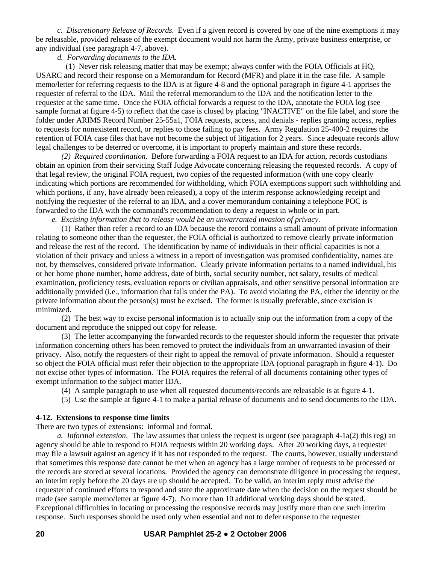*c. Discretionary Release of Records.* Even if a given record is covered by one of the nine exemptions it may be releasable, provided release of the exempt document would not harm the Army, private business enterprise, or any individual (see paragraph 4-7, above).

#### *d. Forwarding documents to the IDA.*

 (1) Never risk releasing matter that may be exempt; always confer with the FOIA Officials at HQ, USARC and record their response on a Memorandum for Record (MFR) and place it in the case file. A sample memo/letter for referring requests to the IDA is at figure 4-8 and the optional paragraph in figure 4-1 apprises the requester of referral to the IDA. Mail the referral memorandum to the IDA and the notification letter to the requester at the same time. Once the FOIA official forwards a request to the IDA, annotate the FOIA log (see sample format at figure 4-5) to reflect that the case is closed by placing "INACTIVE" on the file label, and store the folder under ARIMS Record Number 25-55a1, FOIA requests, access, and denials - replies granting access, replies to requests for nonexistent record, or replies to those failing to pay fees. Army Regulation 25-400-2 requires the retention of FOIA case files that have not become the subject of litigation for 2 years. Since adequate records allow legal challenges to be deterred or overcome, it is important to properly maintain and store these records.

 *(2) Required coordination.* Before forwarding a FOIA request to an IDA for action, records custodians obtain an opinion from their servicing Staff Judge Advocate concerning releasing the requested records. A copy of that legal review, the original FOIA request, two copies of the requested information (with one copy clearly indicating which portions are recommended for withholding, which FOIA exemptions support such withholding and which portions, if any, have already been released), a copy of the interim response acknowledging receipt and notifying the requester of the referral to an IDA, and a cover memorandum containing a telephone POC is forwarded to the IDA with the command's recommendation to deny a request in whole or in part.

*e. Excising information that to release would be an unwarranted invasion of privacy.* 

 (1) Rather than refer a record to an IDA because the record contains a small amount of private information relating to someone other than the requester, the FOIA official is authorized to remove clearly private information and release the rest of the record. The identification by name of individuals in their official capacities is not a violation of their privacy and unless a witness in a report of investigation was promised confidentiality, names are not, by themselves, considered private information. Clearly private information pertains to a named individual, his or her home phone number, home address, date of birth, social security number, net salary, results of medical examination, proficiency tests, evaluation reports or civilian appraisals, and other sensitive personal information are additionally provided (i.e., information that falls under the PA). To avoid violating the PA, either the identity or the private information about the person(s) must be excised. The former is usually preferable, since excision is minimized.

 (2) The best way to excise personal information is to actually snip out the information from a copy of the document and reproduce the snipped out copy for release.

 (3) The letter accompanying the forwarded records to the requester should inform the requester that private information concerning others has been removed to protect the individuals from an unwarranted invasion of their privacy. Also, notify the requesters of their right to appeal the removal of private information. Should a requester so object the FOIA official must refer their objection to the appropriate IDA (optional paragraph in figure 4-1). Do not excise other types of information. The FOIA requires the referral of all documents containing other types of exempt information to the subject matter IDA.

- (4) A sample paragraph to use when all requested documents/records are releasable is at figure 4-1.
- (5) Use the sample at figure 4-1 to make a partial release of documents and to send documents to the IDA.

#### **4-12. Extensions to response time limits**

There are two types of extensions: informal and formal.

*a. Informal extension*. The law assumes that unless the request is urgent (see paragraph 4-1a(2) this reg) an agency should be able to respond to FOIA requests within 20 working days. After 20 working days, a requester may file a lawsuit against an agency if it has not responded to the request. The courts, however, usually understand that sometimes this response date cannot be met when an agency has a large number of requests to be processed or the records are stored at several locations. Provided the agency can demonstrate diligence in processing the request, an interim reply before the 20 days are up should be accepted. To be valid, an interim reply must advise the requester of continued efforts to respond and state the approximate date when the decision on the request should be made (see sample memo/letter at figure 4-7). No more than 10 additional working days should be stated. Exceptional difficulties in locating or processing the responsive records may justify more than one such interim response. Such responses should be used only when essential and not to defer response to the requester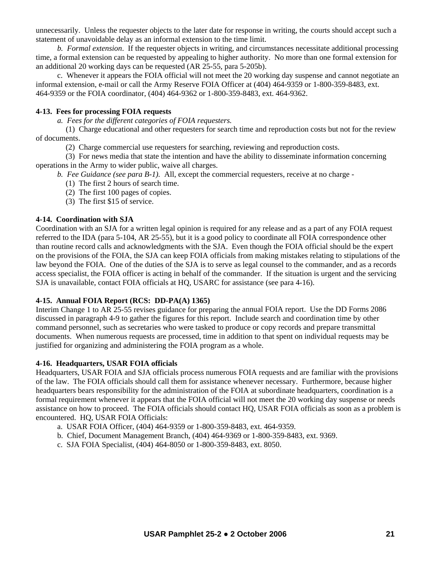unnecessarily. Unless the requester objects to the later date for response in writing, the courts should accept such a statement of unavoidable delay as an informal extension to the time limit.

*b. Formal extension*. If the requester objects in writing, and circumstances necessitate additional processing time, a formal extension can be requested by appealing to higher authority. No more than one formal extension for an additional 20 working days can be requested (AR 25-55, para 5-205b).

 c. Whenever it appears the FOIA official will not meet the 20 working day suspense and cannot negotiate an informal extension, e-mail or call the Army Reserve FOIA Officer at (404) 464-9359 or 1-800-359-8483, ext. 464-9359 or the FOIA coordinator, (404) 464-9362 or 1-800-359-8483, ext. 464-9362.

#### **4-13. Fees for processing FOIA requests**

*a. Fees for the different categories of FOIA requesters.* 

 (1) Charge educational and other requesters for search time and reproduction costs but not for the review of documents.

(2) Charge commercial use requesters for searching, reviewing and reproduction costs.

 (3) For news media that state the intention and have the ability to disseminate information concerning operations in the Army to wider public, waive all charges.

*b. Fee Guidance (see para B-1).* All, except the commercial requesters, receive at no charge -

(1) The first 2 hours of search time.

- (2) The first 100 pages of copies.
- (3) The first \$15 of service.

# **4-14. Coordination with SJA**

Coordination with an SJA for a written legal opinion is required for any release and as a part of any FOIA request referred to the IDA (para 5-104, AR 25-55), but it is a good policy to coordinate all FOIA correspondence other than routine record calls and acknowledgments with the SJA. Even though the FOIA official should be the expert on the provisions of the FOIA, the SJA can keep FOIA officials from making mistakes relating to stipulations of the law beyond the FOIA. One of the duties of the SJA is to serve as legal counsel to the commander, and as a records access specialist, the FOIA officer is acting in behalf of the commander. If the situation is urgent and the servicing SJA is unavailable, contact FOIA officials at HQ, USARC for assistance (see para 4-16).

#### **4-15. Annual FOIA Report (RCS: DD-PA(A) 1365)**

Interim Change 1 to AR 25-55 revises guidance for preparing the annual FOIA report. Use the DD Forms 2086 discussed in paragraph 4-9 to gather the figures for this report. Include search and coordination time by other command personnel, such as secretaries who were tasked to produce or copy records and prepare transmittal documents. When numerous requests are processed, time in addition to that spent on individual requests may be justified for organizing and administering the FOIA program as a whole.

#### **4-16. Headquarters, USAR FOIA officials**

Headquarters, USAR FOIA and SJA officials process numerous FOIA requests and are familiar with the provisions of the law. The FOIA officials should call them for assistance whenever necessary. Furthermore, because higher headquarters bears responsibility for the administration of the FOIA at subordinate headquarters, coordination is a formal requirement whenever it appears that the FOIA official will not meet the 20 working day suspense or needs assistance on how to proceed. The FOIA officials should contact HQ, USAR FOIA officials as soon as a problem is encountered. HQ, USAR FOIA Officials:

- a. USAR FOIA Officer, (404) 464-9359 or 1-800-359-8483, ext. 464-9359.
- b. Chief, Document Management Branch, (404) 464-9369 or 1-800-359-8483, ext. 9369.
- c. SJA FOIA Specialist, (404) 464-8050 or 1-800-359-8483, ext. 8050.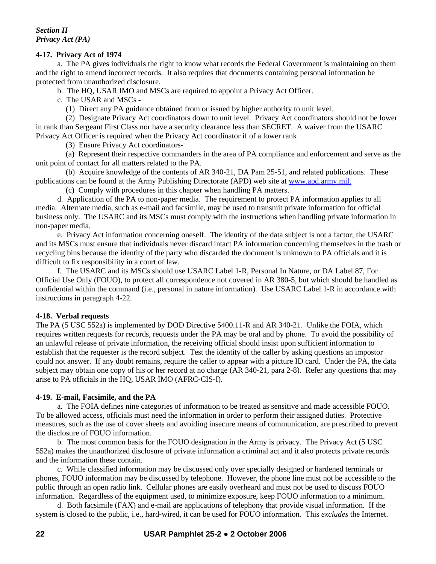*Section II Privacy Act (PA)* 

#### **4-17. Privacy Act of 1974**

a. The PA gives individuals the right to know what records the Federal Government is maintaining on them and the right to amend incorrect records. It also requires that documents containing personal information be protected from unauthorized disclosure.

b. The HQ, USAR IMO and MSCs are required to appoint a Privacy Act Officer.

c. The USAR and MSCs *-*

(1) Direct any PA guidance obtained from or issued by higher authority to unit level.

 (2) Designate Privacy Act coordinators down to unit level. Privacy Act coordinators should not be lower in rank than Sergeant First Class nor have a security clearance less than SECRET. A waiver from the USARC Privacy Act Officer is required when the Privacy Act coordinator if of a lower rank

(3) Ensure Privacy Act coordinators-

 (a) Represent their respective commanders in the area of PA compliance and enforcement and serve as the unit point of contact for all matters related to the PA.

 (b) Acquire knowledge of the contents of AR 340-21, DA Pam 25-51, and related publications. These publications can be found at the Army Publishing Directorate (APD) web site at www.apd.army.mil.

(c) Comply with procedures in this chapter when handling PA matters.

 d. Application of the PA to non*-*paper media. The requirement to protect PA information applies to all media. Alternate media, such as e-mail and facsimile, may be used to transmit private information for official business only. The USARC and its MSCs must comply with the instructions when handling private information in non*-*paper media.

 e. Privacy Act information concerning oneself. The identity of the data subject is not a factor; the USARC and its MSCs must ensure that individuals never discard intact PA information concerning themselves in the trash or recycling bins because the identity of the party who discarded the document is unknown to PA officials and it is difficult to fix responsibility in a court of law.

 f. The USARC and its MSCs should use USARC Label 1*-*R, Personal In Nature, or DA Label 87, For Official Use Only (FOUO), to protect all correspondence not covered in AR 380*-*5, but which should be handled as confidential within the command (i.e., personal in nature information). Use USARC Label 1-R in accordance with instructions in paragraph 4-22.

#### **4-18. Verbal requests**

The PA (5 USC 552a) is implemented by DOD Directive 5400.11-R and AR 340-21. Unlike the FOIA, which requires written requests for records, requests under the PA may be oral and by phone. To avoid the possibility of an unlawful release of private information, the receiving official should insist upon sufficient information to establish that the requester is the record subject. Test the identity of the caller by asking questions an impostor could not answer. If any doubt remains, require the caller to appear with a picture ID card. Under the PA, the data subject may obtain one copy of his or her record at no charge (AR 340-21, para 2-8). Refer any questions that may arise to PA officials in the HQ, USAR IMO (AFRC-CIS-I).

#### **4-19. E-mail, Facsimile, and the PA**

 a. The FOIA defines nine categories of information to be treated as sensitive and made accessible FOUO. To be allowed access, officials must need the information in order to perform their assigned duties. Protective measures, such as the use of cover sheets and avoiding insecure means of communication, are prescribed to prevent the disclosure of FOUO information.

 b. The most common basis for the FOUO designation in the Army is privacy. The Privacy Act (5 USC 552a) makes the unauthorized disclosure of private information a criminal act and it also protects private records and the information these contain.

 c. While classified information may be discussed only over specially designed or hardened terminals or phones, FOUO information may be discussed by telephone. However, the phone line must not be accessible to the public through an open radio link. Cellular phones are easily overheard and must not be used to discuss FOUO information. Regardless of the equipment used, to minimize exposure, keep FOUO information to a minimum.

 d. Both facsimile (FAX) and e-mail are applications of telephony that provide visual information. If the system is closed to the public, i.e., hard-wired, it can be used for FOUO information. This *excludes* the Internet.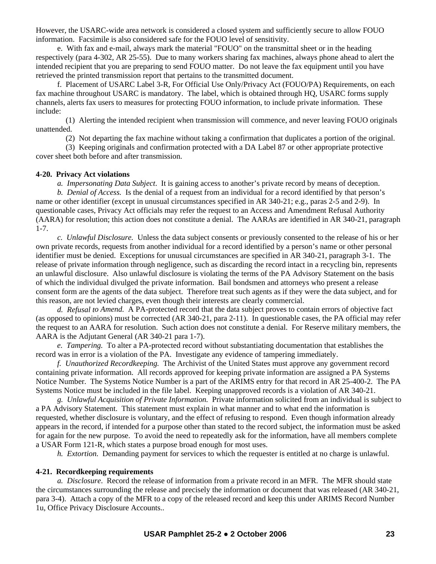However, the USARC-wide area network is considered a closed system and sufficiently secure to allow FOUO information. Facsimile is also considered safe for the FOUO level of sensitivity.

 e. With fax and e-mail, always mark the material "FOUO" on the transmittal sheet or in the heading respectively (para 4-302, AR 25-55). Due to many workers sharing fax machines, always phone ahead to alert the intended recipient that you are preparing to send FOUO matter. Do not leave the fax equipment until you have retrieved the printed transmission report that pertains to the transmitted document.

 f. Placement of USARC Label 3-R, For Official Use Only/Privacy Act (FOUO/PA) Requirements, on each fax machine throughout USARC is mandatory. The label, which is obtained through HQ, USARC forms supply channels, alerts fax users to measures for protecting FOUO information, to include private information. These include:

 (1) Alerting the intended recipient when transmission will commence, and never leaving FOUO originals unattended.

(2) Not departing the fax machine without taking a confirmation that duplicates a portion of the original.

 (3) Keeping originals and confirmation protected with a DA Label 87 or other appropriate protective cover sheet both before and after transmission.

#### **4-20. Privacy Act violations**

*a. Impersonating Data Subject*. It is gaining access to another's private record by means of deception.

*b. Denial of Access.* Is the denial of a request from an individual for a record identified by that person's name or other identifier (except in unusual circumstances specified in AR 340-21; e.g., paras 2-5 and 2-9). In questionable cases, Privacy Act officials may refer the request to an Access and Amendment Refusal Authority (AARA) for resolution; this action does not constitute a denial. The AARAs are identified in AR 340-21, paragraph 1-7.

*c. Unlawful Disclosure.* Unless the data subject consents or previously consented to the release of his or her own private records, requests from another individual for a record identified by a person's name or other personal identifier must be denied. Exceptions for unusual circumstances are specified in AR 340-21, paragraph 3-1. The release of private information through negligence, such as discarding the record intact in a recycling bin, represents an unlawful disclosure. Also unlawful disclosure is violating the terms of the PA Advisory Statement on the basis of which the individual divulged the private information. Bail bondsmen and attorneys who present a release consent form are the agents of the data subject. Therefore treat such agents as if they were the data subject, and for this reason, are not levied charges, even though their interests are clearly commercial.

*d. Refusal to Amend.* A PA-protected record that the data subject proves to contain errors of objective fact (as opposed to opinions) must be corrected (AR 340-21, para 2-11). In questionable cases, the PA official may refer the request to an AARA for resolution. Such action does not constitute a denial. For Reserve military members, the AARA is the Adjutant General (AR 340-21 para 1-7).

*e. Tampering.* To alter a PA-protected record without substantiating documentation that establishes the record was in error is a violation of the PA. Investigate any evidence of tampering immediately.

*f. Unauthorized Recordkeeping.* The Archivist of the United States must approve any government record containing private information. All records approved for keeping private information are assigned a PA Systems Notice Number. The Systems Notice Number is a part of the ARIMS entry for that record in AR 25-400-2. The PA Systems Notice must be included in the file label. Keeping unapproved records is a violation of AR 340-21.

*g. Unlawful Acquisition of Private Information.* Private information solicited from an individual is subject to a PA Advisory Statement. This statement must explain in what manner and to what end the information is requested, whether disclosure is voluntary, and the effect of refusing to respond. Even though information already appears in the record, if intended for a purpose other than stated to the record subject, the information must be asked for again for the new purpose. To avoid the need to repeatedly ask for the information, have all members complete a USAR Form 121-R, which states a purpose broad enough for most uses.

*h. Extortion.* Demanding payment for services to which the requester is entitled at no charge is unlawful.

#### **4-21. Recordkeeping requirements**

*a. Disclosure*. Record the release of information from a private record in an MFR. The MFR should state the circumstances surrounding the release and precisely the information or document that was released (AR 340-21, para 3-4). Attach a copy of the MFR to a copy of the released record and keep this under ARIMS Record Number 1u, Office Privacy Disclosure Accounts..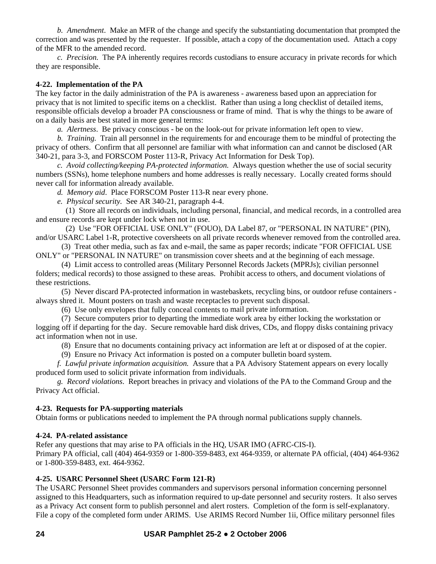*b. Amendment*. Make an MFR of the change and specify the substantiating documentation that prompted the correction and was presented by the requester. If possible, attach a copy of the documentation used. Attach a copy of the MFR to the amended record.

*c. Precision.* The PA inherently requires records custodians to ensure accuracy in private records for which they are responsible.

## **4-22. Implementation of the PA**

The key factor in the daily administration of the PA is awareness - awareness based upon an appreciation for privacy that is not limited to specific items on a checklist. Rather than using a long checklist of detailed items, responsible officials develop a broader PA consciousness or frame of mind. That is why the things to be aware of on a daily basis are best stated in more general terms:

*a. Alertness*. Be privacy conscious - be on the look-out for private information left open to view.

*b. Training.* Train all personnel in the requirements for and encourage them to be mindful of protecting the privacy of others. Confirm that all personnel are familiar with what information can and cannot be disclosed (AR 340-21, para 3-3, and FORSCOM Poster 113-R, Privacy Act Information for Desk Top).

*c. Avoid collecting/keeping PA-protected information*. Always question whether the use of social security numbers (SSNs), home telephone numbers and home addresses is really necessary. Locally created forms should never call for information already available.

*d. Memory aid*. Place FORSCOM Poster 113-R near every phone.

*e. Physical security.* See AR 340-21, paragraph 4-4.

 (1) Store all records on individuals, including personal, financial, and medical records, in a controlled area and ensure records are kept under lock when not in use.

(2) Use "FOR OFFICIAL USE ONLY" (FOUO), DA Label 87, or "PERSONAL IN NATURE" (PIN),

and/or USARC Label 1-R, protective coversheets on all private records whenever removed from the controlled area. (3) Treat other media, such as fax and e-mail, the same as paper records; indicate "FOR OFFICIAL USE

ONLY" or "PERSONAL IN NATURE" on transmission cover sheets and at the beginning of each message.

 (4) Limit access to controlled areas (Military Personnel Records Jackets (MPRJs); civilian personnel folders; medical records) to those assigned to these areas. Prohibit access to others, and document violations of these restrictions.

 (5) Never discard PA-protected information in wastebaskets, recycling bins, or outdoor refuse containers always shred it. Mount posters on trash and waste receptacles to prevent such disposal.

(6) Use only envelopes that fully conceal contents to mail private information.

 (7) Secure computers prior to departing the immediate work area by either locking the workstation or logging off if departing for the day. Secure removable hard disk drives, CDs, and floppy disks containing privacy act information when not in use.

(8) Ensure that no documents containing privacy act information are left at or disposed of at the copier.

(9) Ensure no Privacy Act information is posted on a computer bulletin board system.

*f. Lawful private information acquisition.* Assure that a PA Advisory Statement appears on every locally produced form used to solicit private information from individuals.

*g. Record violations*. Report breaches in privacy and violations of the PA to the Command Group and the Privacy Act official.

#### **4-23. Requests for PA-supporting materials**

Obtain forms or publications needed to implement the PA through normal publications supply channels.

#### **4-24. PA-related assistance**

Refer any questions that may arise to PA officials in the HQ, USAR IMO (AFRC-CIS-I). Primary PA official, call (404) 464-9359 or 1-800-359-8483, ext 464-9359, or alternate PA official, (404) 464-9362 or 1-800-359-8483, ext. 464-9362.

# **4-25. USARC Personnel Sheet (USARC Form 121-R)**

The USARC Personnel Sheet provides commanders and supervisors personal information concerning personnel assigned to this Headquarters, such as information required to up-date personnel and security rosters. It also serves as a Privacy Act consent form to publish personnel and alert rosters. Completion of the form is self-explanatory. File a copy of the completed form under ARIMS. Use ARIMS Record Number 1ii, Office military personnel files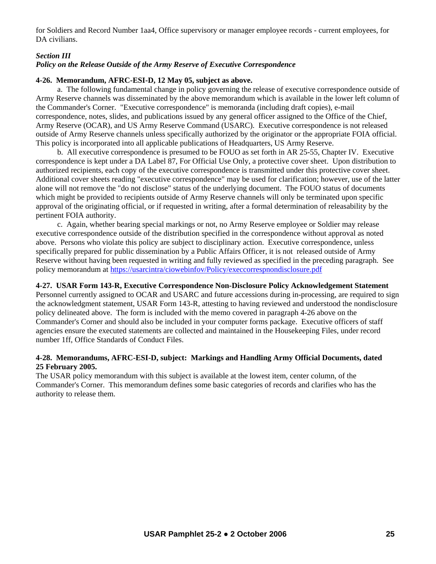for Soldiers and Record Number 1aa4, Office supervisory or manager employee records - current employees, for DA civilians.

## *Section III*

## *Policy on the Release Outside of the Army Reserve of Executive Correspondence*

#### **4-26. Memorandum, AFRC-ESI-D, 12 May 05, subject as above.**

 a. The following fundamental change in policy governing the release of executive correspondence outside of Army Reserve channels was disseminated by the above memorandum which is available in the lower left column of the Commander's Corner. "Executive correspondence" is memoranda (including draft copies), e-mail correspondence, notes, slides, and publications issued by any general officer assigned to the Office of the Chief, Army Reserve (OCAR), and US Army Reserve Command (USARC). Executive correspondence is not released outside of Army Reserve channels unless specifically authorized by the originator or the appropriate FOIA official. This policy is incorporated into all applicable publications of Headquarters, US Army Reserve.

 b. All executive correspondence is presumed to be FOUO as set forth in AR 25-55, Chapter IV. Executive correspondence is kept under a DA Label 87, For Official Use Only, a protective cover sheet. Upon distribution to authorized recipients, each copy of the executive correspondence is transmitted under this protective cover sheet. Additional cover sheets reading "executive correspondence" may be used for clarification; however, use of the latter alone will not remove the "do not disclose" status of the underlying document. The FOUO status of documents which might be provided to recipients outside of Army Reserve channels will only be terminated upon specific approval of the originating official, or if requested in writing, after a formal determination of releasability by the pertinent FOIA authority.

 c. Again, whether bearing special markings or not, no Army Reserve employee or Soldier may release executive correspondence outside of the distribution specified in the correspondence without approval as noted above. Persons who violate this policy are subject to disciplinary action. Executive correspondence, unless specifically prepared for public dissemination by a Public Affairs Officer, it is not released outside of Army Reserve without having been requested in writing and fully reviewed as specified in the preceding paragraph. See policy memorandum at<https://usarcintra/ciowebinfov/Policy/execcorrespnondisclosure.pdf>

#### **4-27. USAR Form 143-R, Executive Correspondence Non-Disclosure Policy Acknowledgement Statement**

Personnel currently assigned to OCAR and USARC and future accessions during in-processing, are required to sign the acknowledgment statement, USAR Form 143-R, attesting to having reviewed and understood the nondisclosure policy delineated above. The form is included with the memo covered in paragraph 4-26 above on the Commander's Corner and should also be included in your computer forms package. Executive officers of staff agencies ensure the executed statements are collected and maintained in the Housekeeping Files, under record number 1ff, Office Standards of Conduct Files.

#### **4-28. Memorandums, AFRC-ESI-D, subject: Markings and Handling Army Official Documents, dated 25 February 2005.**

The USAR policy memorandum with this subject is available at the lowest item, center column, of the Commander's Corner. This memorandum defines some basic categories of records and clarifies who has the authority to release them.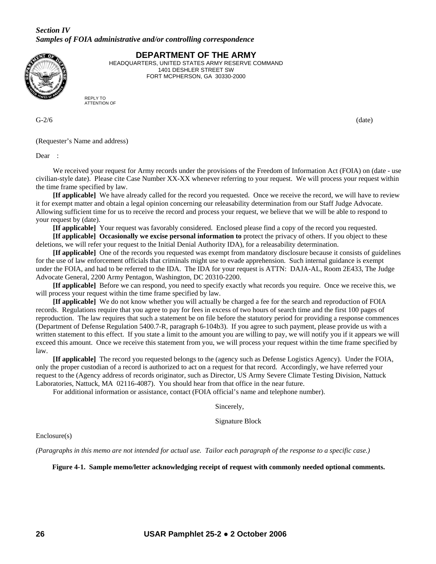# *Section IV Samples of FOIA administrative and/or controlling correspondence*



**DEPARTMENT OF THE ARMY** 

HEADQUARTERS, UNITED STATES ARMY RESERVE COMMAND 1401 DESHLER STREET SW FORT MCPHERSON, GA 30330-2000

REPLY TO ATTENTION OF

 $G-2/6$  (date)

(Requester's Name and address)

Dear :

We received your request for Army records under the provisions of the Freedom of Information Act (FOIA) on (date - use civilian-style date). Please cite Case Number XX-XX whenever referring to your request. We will process your request within the time frame specified by law.

**[If applicable]** We have already called for the record you requested. Once we receive the record, we will have to review it for exempt matter and obtain a legal opinion concerning our releasability determination from our Staff Judge Advocate. Allowing sufficient time for us to receive the record and process your request, we believe that we will be able to respond to your request by (date).

**[If applicable]** Your request was favorably considered. Enclosed please find a copy of the record you requested. **[If applicable] Occasionally we excise personal information to** protect the privacy of others. If you object to these

deletions, we will refer your request to the Initial Denial Authority IDA), for a releasability determination.

**[If applicable]** One of the records you requested was exempt from mandatory disclosure because it consists of guidelines for the use of law enforcement officials that criminals might use to evade apprehension. Such internal guidance is exempt under the FOIA, and had to be referred to the IDA. The IDA for your request is ATTN: DAJA-AL, Room 2E433, The Judge Advocate General, 2200 Army Pentagon, Washington, DC 20310-2200.

**[If applicable]** Before we can respond, you need to specify exactly what records you require. Once we receive this, we will process your request within the time frame specified by law.

**[If applicable]** We do not know whether you will actually be charged a fee for the search and reproduction of FOIA records. Regulations require that you agree to pay for fees in excess of two hours of search time and the first 100 pages of reproduction. The law requires that such a statement be on file before the statutory period for providing a response commences (Department of Defense Regulation 5400.7-R, paragraph 6-104b3). If you agree to such payment, please provide us with a written statement to this effect. If you state a limit to the amount you are willing to pay, we will notify you if it appears we will exceed this amount. Once we receive this statement from you, we will process your request within the time frame specified by law.

**[If applicable]** The record you requested belongs to the (agency such as Defense Logistics Agency). Under the FOIA, only the proper custodian of a record is authorized to act on a request for that record. Accordingly, we have referred your request to the (Agency address of records originator, such as Director, US Army Severe Climate Testing Division, Nattuck Laboratories, Nattuck, MA 02116-4087). You should hear from that office in the near future.

For additional information or assistance, contact (FOIA official's name and telephone number).

Sincerely,

Signature Block

Enclosure(s)

*(Paragraphs in this memo are not intended for actual use. Tailor each paragraph of the response to a specific case.)* 

**Figure 4-1. Sample memo/letter acknowledging receipt of request with commonly needed optional comments.**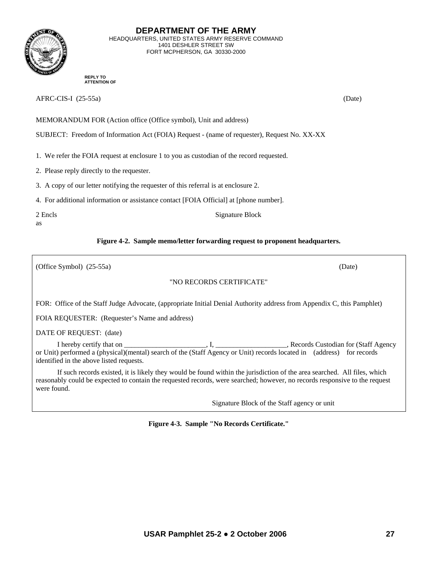

**DEPARTMENT OF THE ARMY**  HEADQUARTERS, UNITED STATES ARMY RESERVE COMMAND 1401 DESHLER STREET SW FORT MCPHERSON, GA 30330-2000

**REPLY TO ATTENTION OF**

AFRC-CIS-I (25-55a) (Date)

MEMORANDUM FOR (Action office (Office symbol), Unit and address)

SUBJECT: Freedom of Information Act (FOIA) Request - (name of requester), Request No. XX-XX

1. We refer the FOIA request at enclosure 1 to you as custodian of the record requested.

2. Please reply directly to the requester.

3. A copy of our letter notifying the requester of this referral is at enclosure 2.

4. For additional information or assistance contact [FOIA Official] at [phone number].

2 Encls Signature Block as

# **Figure 4-2. Sample memo/letter forwarding request to proponent headquarters.**

(Office Symbol) (25-55a) (Date)

# "NO RECORDS CERTIFICATE"

FOR: Office of the Staff Judge Advocate, (appropriate Initial Denial Authority address from Appendix C, this Pamphlet)

FOIA REQUESTER: (Requester's Name and address)

DATE OF REQUEST: (date)

 I hereby certify that on \_\_\_\_\_\_\_\_\_\_\_\_\_\_\_\_\_\_\_\_\_\_\_, I, \_\_\_\_\_\_\_\_\_\_\_\_\_\_\_\_\_\_\_\_, Records Custodian for (Staff Agency or Unit) performed a (physical)(mental) search of the (Staff Agency or Unit) records located in (address) for records identified in the above listed requests.

 If such records existed, it is likely they would be found within the jurisdiction of the area searched. All files, which reasonably could be expected to contain the requested records, were searched; however, no records responsive to the request were found.

Signature Block of the Staff agency or unit

**Figure 4-3. Sample "No Records Certificate."**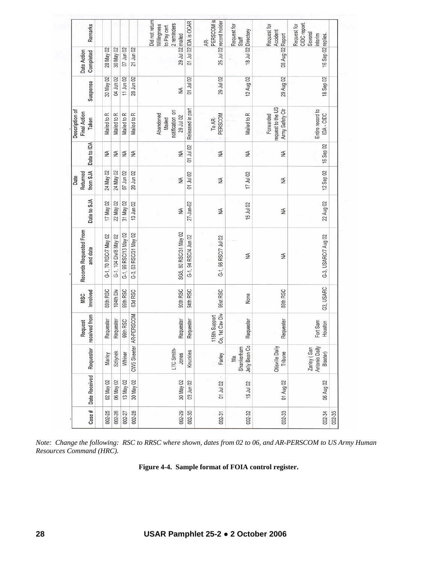| Remarks                                 |                      |                       |                       |                        | Did not return<br>2 reminders<br>Willingness<br>to Pay cert. | 01 Jul 02 IDA is OCAR | PERSCOM is<br>25 Jul 02 record holder<br>AR- | Request for<br>Staff              | Request for<br>Accident                          | CIDC report.<br>Request for<br>Several<br>interim |        |
|-----------------------------------------|----------------------|-----------------------|-----------------------|------------------------|--------------------------------------------------------------|-----------------------|----------------------------------------------|-----------------------------------|--------------------------------------------------|---------------------------------------------------|--------|
| Date Action<br>Completed                | 28 May 02            | 30 May 02             | 07 Jun 02             | 21 Jun 02              | 29 Jul 02 mailed                                             |                       |                                              | 18 Jul 02 Directory               | 08 Aug 02 Report                                 | 16 Sep 02 replies.                                |        |
| Suspense                                | 30 May 02            | 04 Jun 02             | 11 Jun 02             | 28 Jun 02              | ₹                                                            | 01 Jul 02             | 29 Jul 02                                    | 12 Aug 02                         | 29 Aug 02                                        | 18 Sep 02                                         |        |
| Description of<br>Final Action<br>Taken | Mailed to R          | Mailed to R           | Mailed to R           | Mailed to R            | notification on<br>Abandoned<br>29 Jul 02<br>Mailed          | Released in part      | PERSCOM<br>To AR-                            | Mailed to R                       | equest to the US<br>Army Safety Ctr<br>Forwarded | Entire record to<br>IDA - CIDC                    |        |
| Date to IDA                             | ₹                    | ₹                     | ¥                     | ₹                      | ¥                                                            | 01 Jul 02             | ₹                                            | ¥                                 | MA                                               | 16 Sep 02                                         |        |
| from SJA<br>Returned<br>Date            | 24 May 02            | 24 May 02             | 07 Jun 02             | 20 Jun 02              | ¥                                                            | 01 Jul 02             | ₹                                            | 17 Jul 02                         | W                                                | 12 Sep 02                                         |        |
| Date to SJA                             | 17 May 02            | 22 May 02             | 31 May 02             | 13 Jun 02              | ₹                                                            | 27-Jun-02             | ₹                                            | 15 Jul 02                         | W                                                | 22 Aug 02                                         |        |
| Records Requested From<br>and date      | G-1, 70 RSC/7 May 02 | G-1, 104 Div/8 May 02 | G-1, 99 RSC/13 May 02 | G-3, 63 RSC/31 May 02  | SGS, 90 RSC/31 May 02                                        | G-1, 94 RSC/4 Jun 02  | G-1, 96 RSC/7 Jul 02                         | ₹                                 | ₹                                                | G-3, USARC/7 Aug 02                               |        |
| Involved<br><b>MSC</b>                  | 89th RSC             | 104th Div             | 99th RSC              | 63d RSC                | 90th RSC                                                     | 94th RSC              | 96st RSC                                     | None                              | 89th RSC                                         | G3, USARC                                         |        |
| received from<br>Request                | Requester            | Requester             | 99th RSC              | CW5 Skeeter AR-PERSCOM | Requester                                                    | Requester             | 1st Cav Div<br>115th Support<br>S,           | Requester                         | Requester                                        | Fort Sam<br>Houston                               |        |
| Requester                               | Marley               | Szliynek              | Whiner                |                        | LTC Smith-<br>Jones                                          | Knuckles              | Farley                                       | Jelly Bean Co<br>Shankerham<br>Мa | <b>Otisville Daily</b><br>Tribune                | Antonio Daily<br>Zarley (San<br>Blaster)          |        |
| Date Received                           | 02 May 02            | 06 May 02             | 13 May 02             | 30 May 02              | 30 May 02                                                    | 03 Jun 02             | 01 Jul 02                                    | 15 Jul 02                         | 01 Aug 02                                        | 06 Aug 02                                         |        |
| Case#                                   | 002-25               | 002-26                | 002-27                | 002-28                 | 002-29                                                       | 002-30                | 002-31                                       | 002-32                            | 002-33                                           | 002-34                                            | 002-35 |

*Note: Change the following: RSC to RRSC where shown, dates from 02 to 06, and AR-PERSCOM to US Army Human Resources Command (HRC).* 

**Figure 4-4. Sample format of FOIA control register.**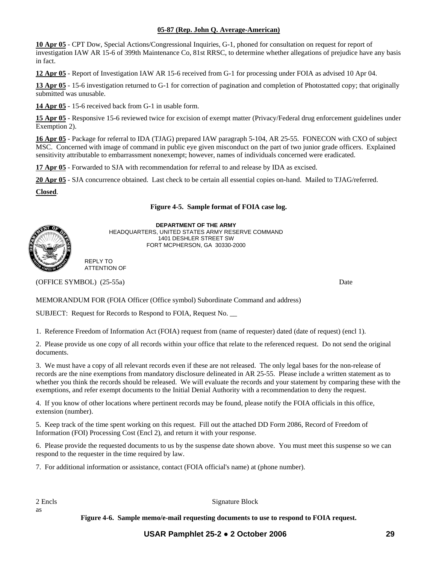#### **05-87 (Rep. John Q. Average-American)**

**10 Apr 05** - CPT Dow, Special Actions/Congressional Inquiries, G-1, phoned for consultation on request for report of investigation IAW AR 15-6 of 399th Maintenance Co, 81st RRSC, to determine whether allegations of prejudice have any basis in fact.

**12 Apr 05** - Report of Investigation IAW AR 15-6 received from G-1 for processing under FOIA as advised 10 Apr 04.

**13 Apr 05** - 15-6 investigation returned to G-1 for correction of pagination and completion of Photostatted copy; that originally submitted was unusable.

**14 Apr 05** - 15-6 received back from G-1 in usable form.

**15 Apr 05** - Responsive 15-6 reviewed twice for excision of exempt matter (Privacy/Federal drug enforcement guidelines under Exemption 2).

**16 Apr 05** - Package for referral to IDA (TJAG) prepared IAW paragraph 5-104, AR 25-55. FONECON with CXO of subject MSC. Concerned with image of command in public eye given misconduct on the part of two junior grade officers. Explained sensitivity attributable to embarrassment nonexempt; however, names of individuals concerned were eradicated.

**17 Apr 05** - Forwarded to SJA with recommendation for referral to and release by IDA as excised.

**20 Apr 05** - SJA concurrence obtained. Last check to be certain all essential copies on-hand. Mailed to TJAG/referred.

**Closed**.

#### **Figure 4-5. Sample format of FOIA case log.**



**DEPARTMENT OF THE ARMY**  HEADQUARTERS, UNITED STATES ARMY RESERVE COMMAND 1401 DESHLER STREET SW FORT MCPHERSON, GA 30330-2000

REPLY TO ATTENTION OF

(OFFICE SYMBOL) (25-55a) Date

MEMORANDUM FOR (FOIA Officer (Office symbol) Subordinate Command and address)

SUBJECT: Request for Records to Respond to FOIA, Request No. \_\_

1. Reference Freedom of Information Act (FOIA) request from (name of requester) dated (date of request) (encl 1).

2. Please provide us one copy of all records within your office that relate to the referenced request. Do not send the original documents.

3. We must have a copy of all relevant records even if these are not released. The only legal bases for the non-release of records are the nine exemptions from mandatory disclosure delineated in AR 25-55. Please include a written statement as to whether you think the records should be released. We will evaluate the records and your statement by comparing these with the exemptions, and refer exempt documents to the Initial Denial Authority with a recommendation to deny the request.

4. If you know of other locations where pertinent records may be found, please notify the FOIA officials in this office, extension (number).

5. Keep track of the time spent working on this request. Fill out the attached DD Form 2086, Record of Freedom of Information (FOI) Processing Cost (Encl 2), and return it with your response.

6. Please provide the requested documents to us by the suspense date shown above. You must meet this suspense so we can respond to the requester in the time required by law.

7. For additional information or assistance, contact (FOIA official's name) at (phone number).

as

2 Encls Signature Block

**Figure 4-6. Sample memo/e-mail requesting documents to use to respond to FOIA request.**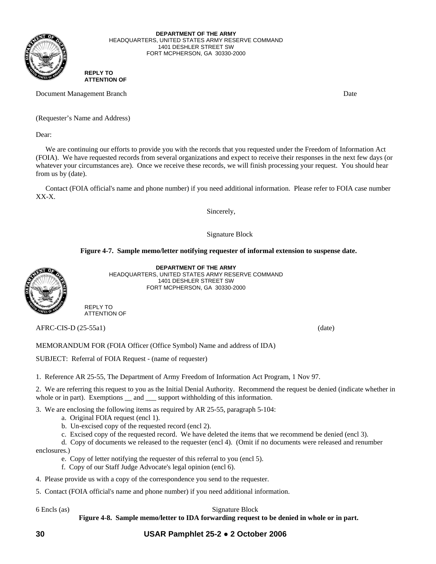

**DEPARTMENT OF THE ARMY**  HEADQUARTERS, UNITED STATES ARMY RESERVE COMMAND 1401 DESHLER STREET SW FORT MCPHERSON, GA 30330-2000

#### **REPLY TO ATTENTION OF**

Document Management Branch Date and The Contract of the Date of the Date Date Date Date of the Date of the Date of the Date of the Date of the Date of the Date of the Date of the Date of the Date of the Date of the Date of

(Requester's Name and Address)

Dear:

 We are continuing our efforts to provide you with the records that you requested under the Freedom of Information Act (FOIA). We have requested records from several organizations and expect to receive their responses in the next few days (or whatever your circumstances are). Once we receive these records, we will finish processing your request. You should hear from us by (date).

 Contact (FOIA official's name and phone number) if you need additional information. Please refer to FOIA case number XX-X.

Sincerely,

Signature Block

#### **Figure 4-7. Sample memo/letter notifying requester of informal extension to suspense date.**



**DEPARTMENT OF THE ARMY**  HEADQUARTERS, UNITED STATES ARMY RESERVE COMMAND 1401 DESHLER STREET SW FORT MCPHERSON, GA 30330-2000

REPLY TO ATTENTION OF

AFRC-CIS-D (25-55a1) (date)

MEMORANDUM FOR (FOIA Officer (Office Symbol) Name and address of IDA)

SUBJECT: Referral of FOIA Request - (name of requester)

1. Reference AR 25-55, The Department of Army Freedom of Information Act Program, 1 Nov 97.

2. We are referring this request to you as the Initial Denial Authority. Recommend the request be denied (indicate whether in whole or in part). Exemptions \_\_ and \_\_\_ support withholding of this information.

3. We are enclosing the following items as required by AR 25-55, paragraph 5-104:

- a. Original FOIA request (encl 1).
- b. Un-excised copy of the requested record (encl 2).
- c. Excised copy of the requested record. We have deleted the items that we recommend be denied (encl 3).

d. Copy of documents we released to the requester (encl 4). (Omit if no documents were released and renumber

enclosures.)

- e. Copy of letter notifying the requester of this referral to you (encl 5).
- f. Copy of our Staff Judge Advocate's legal opinion (encl 6).
- 4. Please provide us with a copy of the correspondence you send to the requester.
- 5. Contact (FOIA official's name and phone number) if you need additional information.

#### 6 Encls (as) Signature Block

**Figure 4-8. Sample memo/letter to IDA forwarding request to be denied in whole or in part.**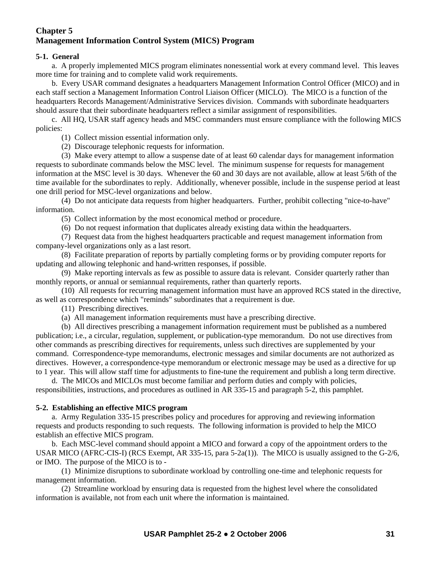# **Chapter 5 Management Information Control System (MICS) Program**

# **5-1. General**

 a. A properly implemented MICS program eliminates nonessential work at every command level. This leaves more time for training and to complete valid work requirements.

 b. Every USAR command designates a headquarters Management Information Control Officer (MICO) and in each staff section a Management Information Control Liaison Officer (MICLO). The MICO is a function of the headquarters Records Management/Administrative Services division. Commands with subordinate headquarters should assure that their subordinate headquarters reflect a similar assignment of responsibilities.

c. All HQ, USAR staff agency heads and MSC commanders must ensure compliance with the following MICS policies:

(1) Collect mission essential information only.

(2) Discourage telephonic requests for information.

 (3) Make every attempt to allow a suspense date of at least 60 calendar days for management information requests to subordinate commands below the MSC level. The minimum suspense for requests for management information at the MSC level is 30 days. Whenever the 60 and 30 days are not available, allow at least 5/6th of the time available for the subordinates to reply. Additionally, whenever possible, include in the suspense period at least one drill period for MSC-level organizations and below.

 (4) Do not anticipate data requests from higher headquarters. Further, prohibit collecting "nice-to-have" information.

(5) Collect information by the most economical method or procedure.

(6) Do not request information that duplicates already existing data within the headquarters.

 (7) Request data from the highest headquarters practicable and request management information from company-level organizations only as a last resort.

 (8) Facilitate preparation of reports by partially completing forms or by providing computer reports for updating and allowing telephonic and hand-written responses, if possible.

 (9) Make reporting intervals as few as possible to assure data is relevant. Consider quarterly rather than monthly reports, or annual or semiannual requirements, rather than quarterly reports.

 (10) All requests for recurring management information must have an approved RCS stated in the directive, as well as correspondence which "reminds" subordinates that a requirement is due.

(11) Prescribing directives.

(a) All management information requirements must have a prescribing directive.

 (b) All directives prescribing a management information requirement must be published as a numbered publication; i.e., a circular, regulation, supplement, or publication-type memorandum. Do not use directives from other commands as prescribing directives for requirements, unless such directives are supplemented by your command. Correspondence-type memorandums, electronic messages and similar documents are not authorized as directives. However, a correspondence-type memorandum or electronic message may be used as a directive for up to 1 year. This will allow staff time for adjustments to fine-tune the requirement and publish a long term directive.

 d. The MICOs and MICLOs must become familiar and perform duties and comply with policies, responsibilities, instructions, and procedures as outlined in AR 335*-*15 and paragraph 5-2, this pamphlet.

#### **5-2. Establishing an effective MICS program**

 a. Army Regulation 335-15 prescribes policy and procedures for approving and reviewing information requests and products responding to such requests. The following information is provided to help the MICO establish an effective MICS program.

 b. Each MSC-level command should appoint a MICO and forward a copy of the appointment orders to the USAR MICO (AFRC-CIS-I) (RCS Exempt, AR 335-15, para 5-2a(1)). The MICO is usually assigned to the G-2/6, or IMO. The purpose of the MICO is to -

 (1) Minimize disruptions to subordinate workload by controlling one-time and telephonic requests for management information.

 (2) Streamline workload by ensuring data is requested from the highest level where the consolidated information is available, not from each unit where the information is maintained.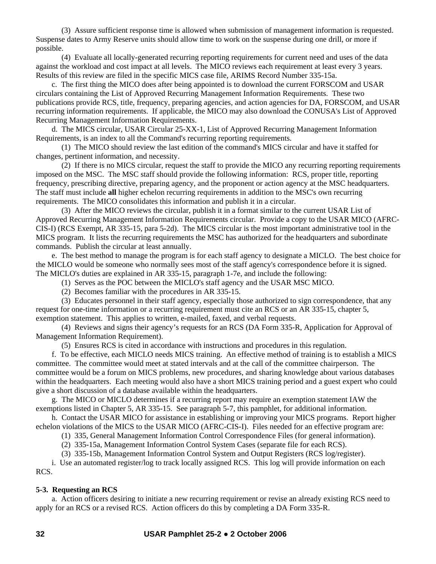(3) Assure sufficient response time is allowed when submission of management information is requested. Suspense dates to Army Reserve units should allow time to work on the suspense during one drill, or more if possible.

 (4) Evaluate all locally-generated recurring reporting requirements for current need and uses of the data against the workload and cost impact at all levels. The MICO reviews each requirement at least every 3 years. Results of this review are filed in the specific MICS case file, ARIMS Record Number 335-15a.

 c. The first thing the MICO does after being appointed is to download the current FORSCOM and USAR circulars containing the List of Approved Recurring Management Information Requirements. These two publications provide RCS, title, frequency, preparing agencies, and action agencies for DA, FORSCOM, and USAR recurring information requirements. If applicable, the MICO may also download the CONUSA's List of Approved Recurring Management Information Requirements.

 d. The MICS circular, USAR Circular 25-XX-1, List of Approved Recurring Management Information Requirements, is an index to all the Command's recurring reporting requirements.

 (1) The MICO should review the last edition of the command's MICS circular and have it staffed for changes, pertinent information, and necessity.

 (2) If there is no MICS circular, request the staff to provide the MICO any recurring reporting requirements imposed on the MSC. The MSC staff should provide the following information: RCS, proper title, reporting frequency, prescribing directive, preparing agency, and the proponent or action agency at the MSC headquarters. The staff must include **all** higher echelon recurring requirements in addition to the MSC's own recurring requirements. The MICO consolidates this information and publish it in a circular.

 (3) After the MICO reviews the circular, publish it in a format similar to the current USAR List of Approved Recurring Management Information Requirements circular. Provide a copy to the USAR MICO (AFRC-CIS-I) (RCS Exempt, AR 335-15, para 5-2d). The MICS circular is the most important administrative tool in the MICS program. It lists the recurring requirements the MSC has authorized for the headquarters and subordinate commands. Publish the circular at least annually.

 e. The best method to manage the program is for each staff agency to designate a MICLO. The best choice for the MICLO would be someone who normally sees most of the staff agency's correspondence before it is signed. The MICLO's duties are explained in AR 335-15, paragraph 1-7e, and include the following:

- (1) Serves as the POC between the MICLO's staff agency and the USAR MSC MICO.
- (2) Becomes familiar with the procedures in AR 335-15.

 (3) Educates personnel in their staff agency, especially those authorized to sign correspondence, that any request for one-time information or a recurring requirement must cite an RCS or an AR 335-15, chapter 5, exemption statement. This applies to written, e-mailed, faxed, and verbal requests.

 (4) Reviews and signs their agency's requests for an RCS (DA Form 335-R, Application for Approval of Management Information Requirement).

(5) Ensures RCS is cited in accordance with instructions and procedures in this regulation.

 f. To be effective, each MICLO needs MICS training. An effective method of training is to establish a MICS committee. The committee would meet at stated intervals and at the call of the committee chairperson. The committee would be a forum on MICS problems, new procedures, and sharing knowledge about various databases within the headquarters. Each meeting would also have a short MICS training period and a guest expert who could give a short discussion of a database available within the headquarters.

 g. The MICO or MICLO determines if a recurring report may require an exemption statement IAW the exemptions listed in Chapter 5, AR 335-15. See paragraph 5-7, this pamphlet, for additional information.

 h. Contact the USAR MICO for assistance in establishing or improving your MICS programs. Report higher echelon violations of the MICS to the USAR MICO (AFRC-CIS-I). Files needed for an effective program are:

(1) 335, General Management Information Control Correspondence Files (for general information).

(2) 335-15a, Management Information Control System Cases (separate file for each RCS).

(3) 335-15b, Management Information Control System and Output Registers (RCS log/register).

 i. Use an automated register/log to track locally assigned RCS. This log will provide information on each RCS.

# **5-3. Requesting an RCS**

 a. Action officers desiring to initiate a new recurring requirement or revise an already existing RCS need to apply for an RCS or a revised RCS. Action officers do this by completing a DA Form 335-R.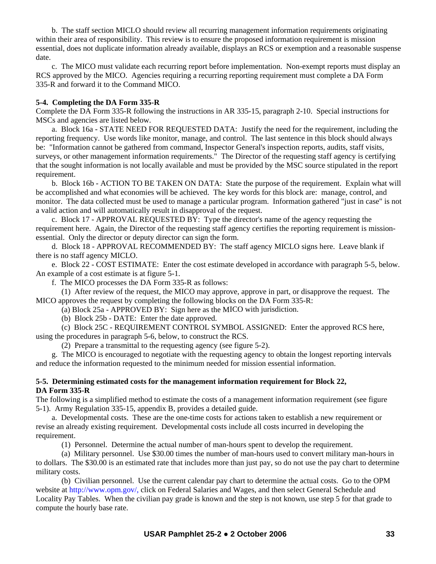b. The staff section MICLO should review all recurring management information requirements originating within their area of responsibility. This review is to ensure the proposed information requirement is mission essential, does not duplicate information already available, displays an RCS or exemption and a reasonable suspense date.

 c. The MICO must validate each recurring report before implementation. Non-exempt reports must display an RCS approved by the MICO. Agencies requiring a recurring reporting requirement must complete a DA Form 335-R and forward it to the Command MICO.

# **5-4. Completing the DA Form 335-R**

Complete the DA Form 335-R following the instructions in AR 335-15, paragraph 2-10. Special instructions for MSCs and agencies are listed below.

 a. Block 16a - STATE NEED FOR REQUESTED DATA: Justify the need for the requirement, including the reporting frequency. Use words like monitor, manage, and control. The last sentence in this block should always be: "Information cannot be gathered from command, Inspector General's inspection reports, audits, staff visits, surveys, or other management information requirements." The Director of the requesting staff agency is certifying that the sought information is not locally available and must be provided by the MSC source stipulated in the report requirement.

 b. Block 16b - ACTION TO BE TAKEN ON DATA: State the purpose of the requirement. Explain what will be accomplished and what economies will be achieved. The key words for this block are: manage, control, and monitor. The data collected must be used to manage a particular program. Information gathered "just in case" is not a valid action and will automatically result in disapproval of the request.

 c. Block 17 - APPROVAL REQUESTED BY: Type the director's name of the agency requesting the requirement here. Again, the Director of the requesting staff agency certifies the reporting requirement is missionessential. Only the director or deputy director can sign the form.

 d. Block 18 - APPROVAL RECOMMENDED BY: The staff agency MICLO signs here. Leave blank if there is no staff agency MICLO.

 e. Block 22 - COST ESTIMATE: Enter the cost estimate developed in accordance with paragraph 5-5, below. An example of a cost estimate is at figure 5-1.

f. The MICO processes the DA Form 335-R as follows:

 (1) After review of the request, the MICO may approve, approve in part, or disapprove the request. The MICO approves the request by completing the following blocks on the DA Form 335-R:

(a) Block 25a - APPROVED BY: Sign here as the MICO with jurisdiction.

(b) Block 25b - DATE: Enter the date approved.

 (c) Block 25C - REQUIREMENT CONTROL SYMBOL ASSIGNED: Enter the approved RCS here, using the procedures in paragraph 5-6, below, to construct the RCS.

(2) Prepare a transmittal to the requesting agency (see figure 5-2).

 g. The MICO is encouraged to negotiate with the requesting agency to obtain the longest reporting intervals and reduce the information requested to the minimum needed for mission essential information.

# **5-5. Determining estimated costs for the management information requirement for Block 22, DA Form 335-R**

The following is a simplified method to estimate the costs of a management information requirement (see figure 5-1). Army Regulation 335-15, appendix B, provides a detailed guide.

 a. Developmental costs. These are the one-time costs for actions taken to establish a new requirement or revise an already existing requirement. Developmental costs include all costs incurred in developing the requirement.

(1) Personnel. Determine the actual number of man-hours spent to develop the requirement.

 (a) Military personnel. Use \$30.00 times the number of man-hours used to convert military man-hours in to dollars. The \$30.00 is an estimated rate that includes more than just pay, so do not use the pay chart to determine military costs.

 (b) Civilian personnel. Use the current calendar pay chart to determine the actual costs. Go to the OPM website at http://www.opm.gov/, click on Federal Salaries and Wages, and then select General Schedule and Locality Pay Tables. When the civilian pay grade is known and the step is not known, use step 5 for that grade to compute the hourly base rate.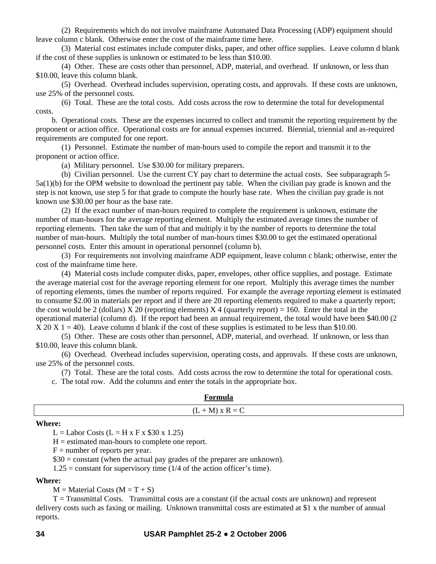(2) Requirements which do not involve mainframe Automated Data Processing (ADP) equipment should leave column c blank. Otherwise enter the cost of the mainframe time here.

 (3) Material cost estimates include computer disks, paper, and other office supplies. Leave column d blank if the cost of these supplies is unknown or estimated to be less than \$10.00.

 (4) Other. These are costs other than personnel, ADP, material, and overhead. If unknown, or less than \$10.00, leave this column blank.

 (5) Overhead. Overhead includes supervision, operating costs, and approvals. If these costs are unknown, use 25% of the personnel costs.

 (6) Total. These are the total costs. Add costs across the row to determine the total for developmental costs.

 b. Operational costs. These are the expenses incurred to collect and transmit the reporting requirement by the proponent or action office. Operational costs are for annual expenses incurred. Biennial, triennial and as-required requirements are computed for one report.

 (1) Personnel. Estimate the number of man-hours used to compile the report and transmit it to the proponent or action office.

(a) Military personnel. Use \$30.00 for military preparers.

 (b) Civilian personnel. Use the current CY pay chart to determine the actual costs. See subparagraph 5- 5a(1)(b) for the OPM website to download the pertinent pay table. When the civilian pay grade is known and the step is not known, use step 5 for that grade to compute the hourly base rate. When the civilian pay grade is not known use \$30.00 per hour as the base rate.

 (2) If the exact number of man-hours required to complete the requirement is unknown, estimate the number of man-hours for the average reporting element. Multiply the estimated average times the number of reporting elements. Then take the sum of that and multiply it by the number of reports to determine the total number of man-hours. Multiply the total number of man-hours times \$30.00 to get the estimated operational personnel costs. Enter this amount in operational personnel (column b).

 (3) For requirements not involving mainframe ADP equipment, leave column c blank; otherwise, enter the cost of the mainframe time here.

 (4) Material costs include computer disks, paper, envelopes, other office supplies, and postage. Estimate the average material cost for the average reporting element for one report. Multiply this average times the number of reporting elements, times the number of reports required. For example the average reporting element is estimated to consume \$2.00 in materials per report and if there are 20 reporting elements required to make a quarterly report; the cost would be 2 (dollars) X 20 (reporting elements) X 4 (quarterly report) = 160. Enter the total in the operational material (column d). If the report had been an annual requirement, the total would have been \$40.00 (2  $X 20 X 1 = 40$ ). Leave column d blank if the cost of these supplies is estimated to be less than \$10.00.

 (5) Other. These are costs other than personnel, ADP, material, and overhead. If unknown, or less than \$10.00, leave this column blank.

 (6) Overhead. Overhead includes supervision, operating costs, and approvals. If these costs are unknown, use 25% of the personnel costs.

(7) Total. These are the total costs. Add costs across the row to determine the total for operational costs.

c. The total row. Add the columns and enter the totals in the appropriate box.

| a www.<br>тогший |
|------------------|
| $(L+M)$ x R = C  |

#### **Where:**

 $L =$ Labor Costs ( $L =$ H x F x \$30 x 1.25)

 $H =$  estimated man-hours to complete one report.

 $F =$  number of reports per year.

\$30 = constant (when the actual pay grades of the preparer are unknown).

 $1.25 =$  constant for supervisory time (1/4 of the action officer's time).

#### **Where:**

 $M = Material Costs (M = T + S)$ 

 $T =$ Transmittal Costs. Transmittal costs are a constant (if the actual costs are unknown) and represent delivery costs such as faxing or mailing. Unknown transmittal costs are estimated at \$1 x the number of annual reports.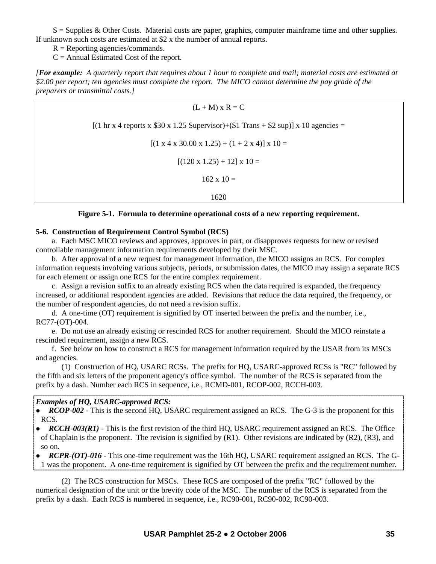$S =$  Supplies & Other Costs. Material costs are paper, graphics, computer mainframe time and other supplies. If unknown such costs are estimated at \$2 x the number of annual reports.

 $R =$ Reporting agencies/commands.

 $C =$  Annual Estimated Cost of the report.

*[For example: A quarterly report that requires about 1 hour to complete and mail; material costs are estimated at \$2.00 per report; ten agencies must complete the report. The MICO cannot determine the pay grade of the preparers or transmittal costs.]* 

$$
(L + M) \times R = C
$$
  
\n[(1 hr x 4 reports x \$30 x 1.25 Supervisor)+(\$1 Trans + \$2 sup)] x 10 agencies =  
\n[(1 x 4 x 30.00 x 1.25) + (1 + 2 x 4)] x 10 =  
\n[(120 x 1.25) + 12] x 10 =  
\n162 x 10 =  
\n1620

#### **Figure 5-1. Formula to determine operational costs of a new reporting requirement.**

## **5-6. Construction of Requirement Control Symbol (RCS)**

 a. Each MSC MICO reviews and approves, approves in part, or disapproves requests for new or revised controllable management information requirements developed by their MSC.

 b. After approval of a new request for management information, the MICO assigns an RCS. For complex information requests involving various subjects, periods, or submission dates, the MICO may assign a separate RCS for each element or assign one RCS for the entire complex requirement.

 c. Assign a revision suffix to an already existing RCS when the data required is expanded, the frequency increased, or additional respondent agencies are added. Revisions that reduce the data required, the frequency, or the number of respondent agencies, do not need a revision suffix.

 d. A one-time (OT) requirement is signified by OT inserted between the prefix and the number, i.e., RC77-(OT)-004.

 e. Do not use an already existing or rescinded RCS for another requirement. Should the MICO reinstate a rescinded requirement, assign a new RCS.

 f. See below on how to construct a RCS for management information required by the USAR from its MSCs and agencies.

 (1) Construction of HQ, USARC RCSs. The prefix for HQ, USARC-approved RCSs is "RC" followed by the fifth and six letters of the proponent agency's office symbol. The number of the RCS is separated from the prefix by a dash. Number each RCS in sequence, i.e., RCMD-001, RCOP-002, RCCH-003.

#### *Examples of HQ, USARC-approved RCS:*

- *RCOP-002* This is the second HQ, USARC requirement assigned an RCS. The G-3 is the proponent for this RCS.
- *RCCH-003(R1)* This is the first revision of the third HO, USARC requirement assigned an RCS. The Office of Chaplain is the proponent. The revision is signified by  $(R1)$ . Other revisions are indicated by  $(R2)$ ,  $(R3)$ , and so on.
- *RCPR-(OT)-016* This one-time requirement was the 16th HQ, USARC requirement assigned an RCS. The G-1 was the proponent. A one-time requirement is signified by OT between the prefix and the requirement number.

 (2) The RCS construction for MSCs. These RCS are composed of the prefix "RC" followed by the numerical designation of the unit or the brevity code of the MSC. The number of the RCS is separated from the prefix by a dash. Each RCS is numbered in sequence, i.e., RC90-001, RC90-002, RC90-003.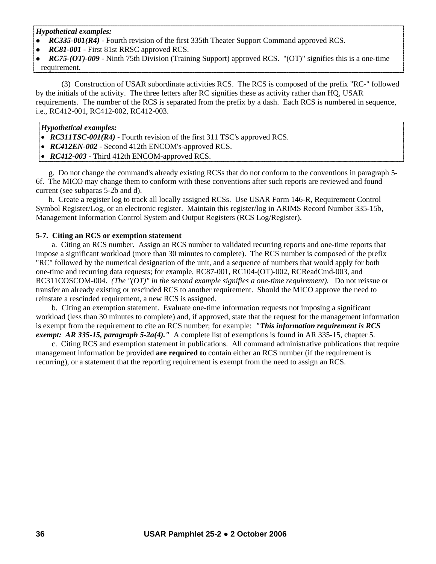*Hypothetical examples:* 

- *RC335-001(R4)* Fourth revision of the first 335th Theater Support Command approved RCS.
- *RC81-001* First 81st RRSC approved RCS.
- z *RC75-(OT)-009* Ninth 75th Division (Training Support) approved RCS. "(OT)" signifies this is a one-time requirement.

 (3) Construction of USAR subordinate activities RCS. The RCS is composed of the prefix "RC-" followed by the initials of the activity. The three letters after RC signifies these as activity rather than HQ, USAR requirements. The number of the RCS is separated from the prefix by a dash. Each RCS is numbered in sequence, i.e., RC412-001, RC412-002, RC412-003.

# *Hypothetical examples:*

- *RC311TSC-001(R4)* Fourth revision of the first 311 TSC's approved RCS.
- • *RC412EN-002* Second 412th ENCOM's-approved RCS.
- *RC412-003* Third 412th ENCOM-approved RCS.

 g. Do not change the command's already existing RCSs that do not conform to the conventions in paragraph 5- 6f. The MICO may change them to conform with these conventions after such reports are reviewed and found current (see subparas 5-2b and d).

 h. Create a register log to track all locally assigned RCSs. Use USAR Form 146-R, Requirement Control Symbol Register/Log, or an electronic register. Maintain this register/log in ARIMS Record Number 335-15b, Management Information Control System and Output Registers (RCS Log/Register).

# **5-7. Citing an RCS or exemption statement**

 a. Citing an RCS number. Assign an RCS number to validated recurring reports and one-time reports that impose a significant workload (more than 30 minutes to complete). The RCS number is composed of the prefix "RC" followed by the numerical designation of the unit, and a sequence of numbers that would apply for both one-time and recurring data requests; for example, RC87-001, RC104-(OT)-002, RCReadCmd-003, and RC311COSCOM-004. *(The "(OT)" in the second example signifies a one-time requirement).* Do not reissue or transfer an already existing or rescinded RCS to another requirement. Should the MICO approve the need to reinstate a rescinded requirement, a new RCS is assigned.

 b. Citing an exemption statement. Evaluate one-time information requests not imposing a significant workload (less than 30 minutes to complete) and, if approved, state that the request for the management information is exempt from the requirement to cite an RCS number; for example: *"This information requirement is RCS exempt: AR 335-15, paragraph 5-2a(4)."* A complete list of exemptions is found in AR 335-15, chapter 5.

 c. Citing RCS and exemption statement in publications. All command administrative publications that require management information be provided **are required to** contain either an RCS number (if the requirement is recurring), or a statement that the reporting requirement is exempt from the need to assign an RCS.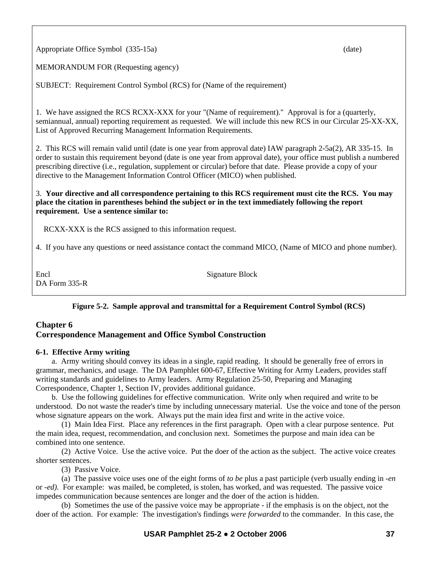Appropriate Office Symbol (335-15a) (date) (date)

MEMORANDUM FOR (Requesting agency)

SUBJECT: Requirement Control Symbol (RCS) for (Name of the requirement)

1. We have assigned the RCS RCXX-XXX for your "(Name of requirement)." Approval is for a (quarterly, semiannual, annual) reporting requirement as requested. We will include this new RCS in our Circular 25-XX-XX, List of Approved Recurring Management Information Requirements.

2. This RCS will remain valid until (date is one year from approval date) IAW paragraph 2-5a(2), AR 335-15. In order to sustain this requirement beyond (date is one year from approval date), your office must publish a numbered prescribing directive (i.e., regulation, supplement or circular) before that date. Please provide a copy of your directive to the Management Information Control Officer (MICO) when published.

### 3. **Your directive and all correspondence pertaining to this RCS requirement must cite the RCS. You may place the citation in parentheses behind the subject or in the text immediately following the report requirement. Use a sentence similar to:**

RCXX-XXX is the RCS assigned to this information request.

4. If you have any questions or need assistance contact the command MICO, (Name of MICO and phone number).

Encl Signature Block DA Form 335-R

# **Figure 5-2. Sample approval and transmittal for a Requirement Control Symbol (RCS)**

# **Chapter 6 Correspondence Management and Office Symbol Construction**

## **6-1. Effective Army writing**

 a. Army writing should convey its ideas in a single, rapid reading. It should be generally free of errors in grammar, mechanics, and usage. The DA Pamphlet 600-67, Effective Writing for Army Leaders, provides staff writing standards and guidelines to Army leaders. Army Regulation 25-50, Preparing and Managing Correspondence, Chapter 1, Section IV, provides additional guidance.

 b. Use the following guidelines for effective communication. Write only when required and write to be understood. Do not waste the reader's time by including unnecessary material. Use the voice and tone of the person whose signature appears on the work. Always put the main idea first and write in the active voice.

 (1) Main Idea First. Place any references in the first paragraph. Open with a clear purpose sentence. Put the main idea, request, recommendation, and conclusion next. Sometimes the purpose and main idea can be combined into one sentence.

 (2) Active Voice. Use the active voice. Put the doer of the action as the subject. The active voice creates shorter sentences.

(3) Passive Voice.

 (a) The passive voice uses one of the eight forms of *to be* plus a past participle (verb usually ending in *-en*  or *-ed).* For example: was mailed, be completed, is stolen, has worked, and was requested. The passive voice impedes communication because sentences are longer and the doer of the action is hidden.

 (b) Sometimes the use of the passive voice may be appropriate - if the emphasis is on the object, not the doer of the action. For example: The investigation's findings *were forwarded* to the commander. In this case, the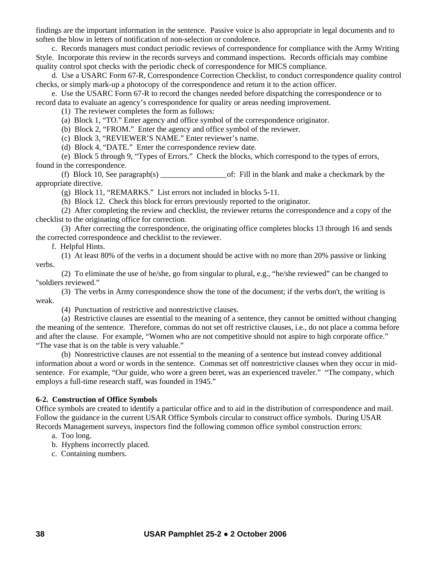findings are the important information in the sentence. Passive voice is also appropriate in legal documents and to soften the blow in letters of notification of non-selection or condolence.

 c. Records managers must conduct periodic reviews of correspondence for compliance with the Army Writing Style. Incorporate this review in the records surveys and command inspections. Records officials may combine quality control spot checks with the periodic check of correspondence for MICS compliance.

 d. Use a USARC Form 67-R, Correspondence Correction Checklist, to conduct correspondence quality control checks, or simply mark-up a photocopy of the correspondence and return it to the action officer.

 e. Use the USARC Form 67-R to record the changes needed before dispatching the correspondence or to record data to evaluate an agency's correspondence for quality or areas needing improvement.

(1) The reviewer completes the form as follows:

(a) Block 1, "TO." Enter agency and office symbol of the correspondence originator.

(b) Block 2, "FROM." Enter the agency and office symbol of the reviewer.

(c) Block 3, "REVIEWER'S NAME." Enter reviewer's name.

(d) Block 4, "DATE." Enter the correspondence review date.

 (e) Block 5 through 9, "Types of Errors." Check the blocks, which correspond to the types of errors, found in the correspondence.

(f) Block 10, See paragraph(s)  $\qquad \qquad$  of: Fill in the blank and make a checkmark by the appropriate directive.

(g) Block 11, "REMARKS." List errors not included in blocks 5-11.

(h) Block 12. Check this block for errors previously reported to the originator.

 (2) After completing the review and checklist, the reviewer returns the correspondence and a copy of the checklist to the originating office for correction.

 (3) After correcting the correspondence, the originating office completes blocks 13 through 16 and sends the corrected correspondence and checklist to the reviewer.

f. Helpful Hints.

 (1) At least 80% of the verbs in a document should be active with no more than 20% passive or linking verbs.

 (2) To eliminate the use of he/she, go from singular to plural, e.g., "he/she reviewed" can be changed to "soldiers reviewed."

 (3) The verbs in Army correspondence show the tone of the document; if the verbs don't, the writing is weak.

(4) Punctuation of restrictive and nonrestrictive clauses.

 (a) Restrictive clauses are essential to the meaning of a sentence, they cannot be omitted without changing the meaning of the sentence. Therefore, commas do not set off restrictive clauses, i.e., do not place a comma before and after the clause. For example, "Women who are not competitive should not aspire to high corporate office." "The vase that is on the table is very valuable."

 (b) Nonrestrictive clauses are not essential to the meaning of a sentence but instead convey additional information about a word or words in the sentence. Commas set off nonrestrictive clauses when they occur in midsentence. For example, "Our guide, who wore a green beret, was an experienced traveler." "The company, which employs a full-time research staff, was founded in 1945."

### **6-2. Construction of Office Symbols**

Office symbols are created to identify a particular office and to aid in the distribution of correspondence and mail. Follow the guidance in the current USAR Office Symbols circular to construct office symbols. During USAR Records Management surveys, inspectors find the following common office symbol construction errors:

a. Too long.

b. Hyphens incorrectly placed.

c. Containing numbers.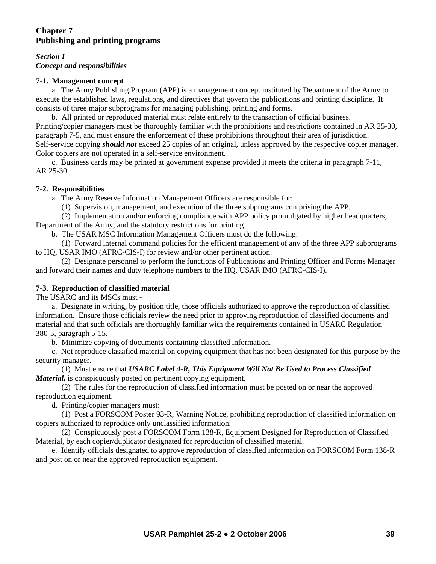# **Chapter 7 Publishing and printing programs**

### *Section I Concept and responsibilities*

### **7-1. Management concept**

 a. The Army Publishing Program (APP) is a management concept instituted by Department of the Army to execute the established laws, regulations, and directives that govern the publications and printing discipline. It consists of three major subprograms for managing publishing, printing and forms.

 b. All printed or reproduced material must relate entirely to the transaction of official business. Printing/copier managers must be thoroughly familiar with the prohibitions and restrictions contained in AR 25*-*30, paragraph 7-5, and must ensure the enforcement of these prohibitions throughout their area of jurisdiction. Self*-*service copying *should not* exceed 25 copies of an original, unless approved by the respective copier manager. Color copiers are not operated in a self-service environment.

 c. Business cards may be printed at government expense provided it meets the criteria in paragraph 7-11, AR 25-30.

## **7-2. Responsibilities**

a. The Army Reserve Information Management Officers are responsible for:

(1) Supervision, management, and execution of the three subprograms comprising the APP.

 (2) Implementation and/or enforcing compliance with APP policy promulgated by higher headquarters, Department of the Army, and the statutory restrictions for printing.

b. The USAR MSC Information Management Officers must do the following:

 (1) Forward internal command policies for the efficient management of any of the three APP subprograms to HQ, USAR IMO (AFRC-CIS-I) for review and/or other pertinent action.

 (2) Designate personnel to perform the functions of Publications and Printing Officer and Forms Manager and forward their names and duty telephone numbers to the HQ, USAR IMO (AFRC-CIS-I).

## **7-3. Reproduction of classified material**

The USARC and its MSCs must -

 a. Designate in writing, by position title, those officials authorized to approve the reproduction of classified information. Ensure those officials review the need prior to approving reproduction of classified documents and material and that such officials are thoroughly familiar with the requirements contained in USARC Regulation 380*-*5, paragraph 5*-*15.

b. Minimize copying of documents containing classified information.

 c. Not reproduce classified material on copying equipment that has not been designated for this purpose by the security manager.

 (1) Must ensure that *USARC Label 4-R, This Equipment Will Not Be Used to Process Classified Material,* is conspicuously posted on pertinent copying equipment.

 (2) The rules for the reproduction of classified information must be posted on or near the approved reproduction equipment.

d. Printing/copier managers must:

 (1) Post a FORSCOM Poster 93*-*R, Warning Notice, prohibiting reproduction of classified information on copiers authorized to reproduce only unclassified information.

 (2) Conspicuously post a FORSCOM Form 138-R, Equipment Designed for Reproduction of Classified Material, by each copier/duplicator designated for reproduction of classified material.

 e. Identify officials designated to approve reproduction of classified information on FORSCOM Form 138*-*R and post on or near the approved reproduction equipment.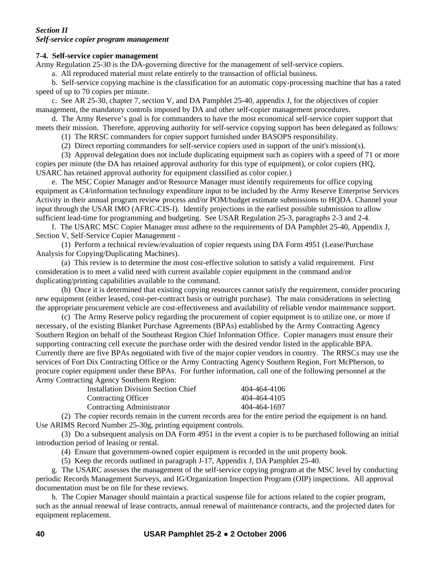### *Section II Self-service copier program management*

## **7-4. Self-service copier management**

Army Regulation 25-30 is the DA-governing directive for the management of self-service copiers.

a. All reproduced material must relate entirely to the transaction of official business.

 b. Self-service copying machine is the classification for an automatic copy-processing machine that has a rated speed of up to 70 copies per minute.

 c. See AR 25-30, chapter 7, section V, and DA Pamphlet 25-40, appendix J, for the objectives of copier management, the mandatory controls imposed by DA and other self-copier management procedures.

 d. The Army Reserve's goal is for commanders to have the most economical self-service copier support that meets their mission. Therefore, approving authority for self-service copying support has been delegated as follows:

(1) The RRSC commanders for copier support furnished under BASOPS responsibility.

(2) Direct reporting commanders for self-service copiers used in support of the unit's mission(s).

 (3) Approval delegation does not include duplicating equipment such as copiers with a speed of 71 or more copies per minute (the DA has retained approval authority for this type of equipment), or color copiers (HQ, USARC has retained approval authority for equipment classified as color copier.)

 e. The MSC Copier Manager and/or Resource Manager must identify requirements for office copying equipment as C4/information technology expenditure input to be included by the Army Reserve Enterprise Services Activity in their annual program review process and/or POM/budget estimate submissions to HQDA. Channel your input through the USAR IMO (AFRC-CIS-I). Identify projections in the earliest possible submission to allow sufficient lead-time for programming and budgeting. See USAR Regulation 25-3, paragraphs 2-3 and 2-4.

 f. The USARC MSC Copier Manager must adhere to the requirements of DA Pamphlet 25-40, Appendix J, Section V, Self-Service Copier Management -

 (1) Perform a technical review/evaluation of copier requests using DA Form 4951 (Lease/Purchase Analysis for Copying/Duplicating Machines).

 (a) This review is to determine the most cost-effective solution to satisfy a valid requirement. First consideration is to meet a valid need with current available copier equipment in the command and/or duplicating/printing capabilities available to the command.

 (b) Once it is determined that existing copying resources cannot satisfy the requirement, consider procuring new equipment (either leased, cost-per-contract basis or outright purchase). The main considerations in selecting the appropriate procurement vehicle are cost-effectiveness and availability of reliable vendor maintenance support.

 (c) The Army Reserve policy regarding the procurement of copier equipment is to utilize one, or more if necessary, of the existing Blanket Purchase Agreements (BPAs) established by the Army Contracting Agency Southern Region on behalf of the Southeast Region Chief Information Office. Copier managers must ensure their supporting contracting cell execute the purchase order with the desired vendor listed in the applicable BPA. Currently there are five BPAs negotiated with five of the major copier vendors in country. The RRSCs may use the services of Fort Dix Contracting Office or the Army Contracting Agency Southern Region, Fort McPherson, to procure copier equipment under these BPAs. For further information, call one of the following personnel at the Army Contracting Agency Southern Region:

| <b>Installation Division Section Chief</b> | 404-464-4106 |
|--------------------------------------------|--------------|
| <b>Contracting Officer</b>                 | 404-464-4105 |
| Contracting Administrator                  | 404-464-1697 |

 (2) The copier records remain in the current records area for the entire period the equipment is on hand. Use ARIMS Record Number 25-30g, printing equipment controls.

 (3) Do a subsequent analysis on DA Form 4951 in the event a copier is to be purchased following an initial introduction period of leasing or rental.

(4) Ensure that government-owned copier equipment is recorded in the unit property book.

(5) Keep the records outlined in paragraph J-17, Appendix J, DA Pamphlet 25-40.

 g. The USARC assesses the management of the self-service copying program at the MSC level by conducting periodic Records Management Surveys, and IG/Organization Inspection Program (OIP) inspections. All approval documentation must be on file for these reviews.

 h. The Copier Manager should maintain a practical suspense file for actions related to the copier program, such as the annual renewal of lease contracts, annual renewal of maintenance contracts, and the projected dates for equipment replacement.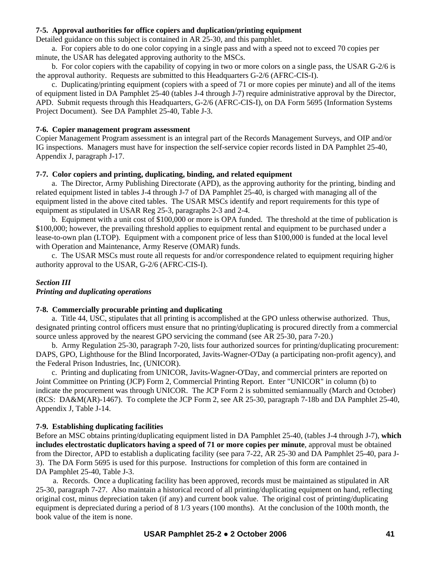### **7-5. Approval authorities for office copiers and duplication/printing equipment**

Detailed guidance on this subject is contained in AR 25-30, and this pamphlet.

 a. For copiers able to do one color copying in a single pass and with a speed not to exceed 70 copies per minute, the USAR has delegated approving authority to the MSCs.

 b. For color copiers with the capability of copying in two or more colors on a single pass, the USAR G-2/6 is the approval authority. Requests are submitted to this Headquarters G-2/6 (AFRC-CIS-I).

 c. Duplicating/printing equipment (copiers with a speed of 71 or more copies per minute) and all of the items of equipment listed in DA Pamphlet 25-40 (tables J-4 through J-7) require administrative approval by the Director, APD. Submit requests through this Headquarters, G-2/6 (AFRC-CIS-I), on DA Form 5695 (Information Systems Project Document). See DA Pamphlet 25-40, Table J-3.

#### **7-6. Copier management program assessment**

Copier Management Program assessment is an integral part of the Records Management Surveys, and OIP and/or IG inspections. Managers must have for inspection the self-service copier records listed in DA Pamphlet 25-40, Appendix J, paragraph J-17.

#### **7-7. Color copiers and printing, duplicating, binding, and related equipment**

 a. The Director, Army Publishing Directorate (APD), as the approving authority for the printing, binding and related equipment listed in tables J-4 through J-7 of DA Pamphlet 25-40, is charged with managing all of the equipment listed in the above cited tables. The USAR MSCs identify and report requirements for this type of equipment as stipulated in USAR Reg 25-3, paragraphs 2-3 and 2-4.

 b. Equipment with a unit cost of \$100,000 or more is OPA funded. The threshold at the time of publication is \$100,000; however, the prevailing threshold applies to equipment rental and equipment to be purchased under a lease-to-own plan (LTOP). Equipment with a component price of less than \$100,000 is funded at the local level with Operation and Maintenance, Army Reserve (OMAR) funds.

 c. The USAR MSCs must route all requests for and/or correspondence related to equipment requiring higher authority approval to the USAR, G-2/6 (AFRC-CIS-I).

### *Section III Printing and duplicating operations*

### **7-8. Commercially procurable printing and duplicating**

 a. Title 44, USC, stipulates that all printing is accomplished at the GPO unless otherwise authorized. Thus, designated printing control officers must ensure that no printing/duplicating is procured directly from a commercial source unless approved by the nearest GPO servicing the command (see AR 25-30, para 7-20.)

 b. Army Regulation 25-30, paragraph 7-20, lists four authorized sources for printing/duplicating procurement: DAPS, GPO, Lighthouse for the Blind Incorporated, Javits-Wagner-O'Day (a participating non-profit agency), and the Federal Prison Industries, Inc, (UNICOR).

 c. Printing and duplicating from UNICOR, Javits-Wagner-O'Day, and commercial printers are reported on Joint Committee on Printing (JCP) Form 2, Commercial Printing Report. Enter "UNICOR" in column (b) to indicate the procurement was through UNICOR. The JCP Form 2 is submitted semiannually (March and October) (RCS: DA&M(AR)-1467). To complete the JCP Form 2, see AR 25-30, paragraph 7-18b and DA Pamphlet 25-40, Appendix J, Table J-14.

#### **7-9. Establishing duplicating facilities**

Before an MSC obtains printing/duplicating equipment listed in DA Pamphlet 25-40, (tables J-4 through J-7), **which includes electrostatic duplicators having a speed of 71 or more copies per minute**, approval must be obtained from the Director, APD to establish a duplicating facility (see para 7-22, AR 25-30 and DA Pamphlet 25-40, para J-3). The DA Form 5695 is used for this purpose. Instructions for completion of this form are contained in DA Pamphlet 25-40, Table J-3.

 a. Records. Once a duplicating facility has been approved, records must be maintained as stipulated in AR 25-30, paragraph 7-27. Also maintain a historical record of all printing/duplicating equipment on hand, reflecting original cost, minus depreciation taken (if any) and current book value. The original cost of printing/duplicating equipment is depreciated during a period of 8 1/3 years (100 months). At the conclusion of the 100th month, the book value of the item is none.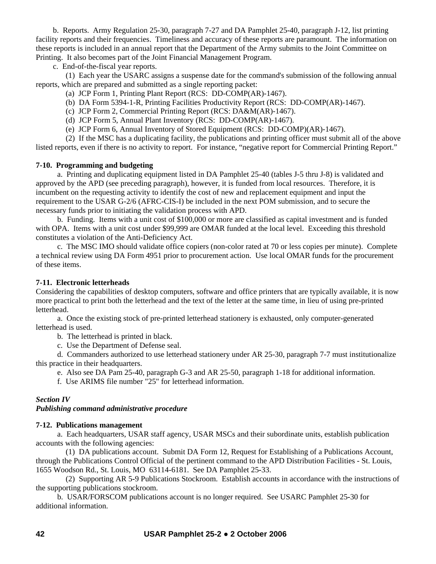b. Reports. Army Regulation 25-30, paragraph 7-27 and DA Pamphlet 25-40, paragraph J-12, list printing facility reports and their frequencies. Timeliness and accuracy of these reports are paramount. The information on these reports is included in an annual report that the Department of the Army submits to the Joint Committee on Printing. It also becomes part of the Joint Financial Management Program.

c. End-of-the-fiscal year reports.

 (1) Each year the USARC assigns a suspense date for the command's submission of the following annual reports, which are prepared and submitted as a single reporting packet:

- (a) JCP Form 1, Printing Plant Report (RCS: DD-COMP(AR)-1467).
- (b) DA Form 5394-1-R, Printing Facilities Productivity Report (RCS: DD-COMP(AR)-1467).
- (c) JCP Form 2, Commercial Printing Report (RCS: DA&M(AR)-1467).
- (d) JCP Form 5, Annual Plant Inventory (RCS: DD-COMP(AR)-1467).
- (e) JCP Form 6, Annual Inventory of Stored Equipment (RCS: DD-COMP)(AR)-1467).

(2) If the MSC has a duplicating facility, the publications and printing officer must submit all of the above

listed reports, even if there is no activity to report. For instance, "negative report for Commercial Printing Report."

### **7-10. Programming and budgeting**

 a. Printing and duplicating equipment listed in DA Pamphlet 25-40 (tables J-5 thru J-8) is validated and approved by the APD (see preceding paragraph), however, it is funded from local resources. Therefore, it is incumbent on the requesting activity to identify the cost of new and replacement equipment and input the requirement to the USAR G-2/6 (AFRC-CIS-I) be included in the next POM submission, and to secure the necessary funds prior to initiating the validation process with APD.

 b. Funding. Items with a unit cost of \$100,000 or more are classified as capital investment and is funded with OPA. Items with a unit cost under \$99,999 are OMAR funded at the local level. Exceeding this threshold constitutes a violation of the Anti-Deficiency Act.

 c. The MSC IMO should validate office copiers (non-color rated at 70 or less copies per minute). Complete a technical review using DA Form 4951 prior to procurement action. Use local OMAR funds for the procurement of these items.

### **7-11. Electronic letterheads**

Considering the capabilities of desktop computers, software and office printers that are typically available, it is now more practical to print both the letterhead and the text of the letter at the same time, in lieu of using pre-printed letterhead.

 a. Once the existing stock of pre-printed letterhead stationery is exhausted, only computer-generated letterhead is used.

b. The letterhead is printed in black.

c. Use the Department of Defense seal.

 d. Commanders authorized to use letterhead stationery under AR 25-30, paragraph 7-7 must institutionalize this practice in their headquarters.

e. Also see DA Pam 25-40, paragraph G-3 and AR 25-50, paragraph 1-18 for additional information.

f. Use ARIMS file number "25" for letterhead information.

## *Section IV*

## *Publishing command administrative procedure*

### **7-12. Publications management**

 a. Each headquarters, USAR staff agency, USAR MSCs and their subordinate units, establish publication accounts with the following agencies:

 (1) DA publications account. Submit DA Form 12, Request for Establishing of a Publications Account, through the Publications Control Official of the pertinent command to the APD Distribution Facilities - St. Louis, 1655 Woodson Rd., St. Louis, MO 63114-6181. See DA Pamphlet 25*-*33.

 (2) Supporting AR 5*-*9 Publications Stockroom. Establish accounts in accordance with the instructions of the supporting publications stockroom.

 b. USAR/FORSCOM publications account is no longer required. See USARC Pamphlet 25*-*30 for additional information.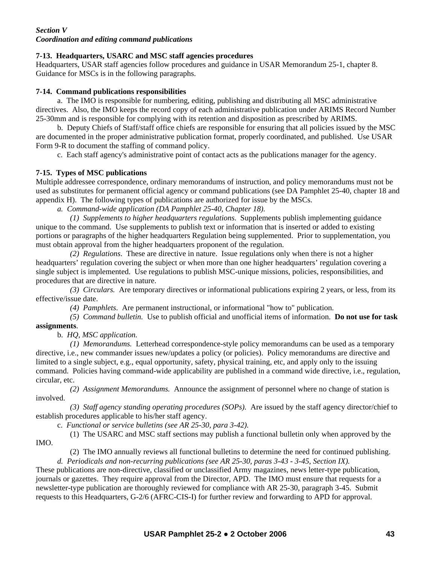## *Section V Coordination and editing command publications*

## **7-13. Headquarters, USARC and MSC staff agencies procedures**

Headquarters, USAR staff agencies follow procedures and guidance in USAR Memorandum 25-1, chapter 8. Guidance for MSCs is in the following paragraphs.

## **7-14. Command publications responsibilities**

 a. The IMO is responsible for numbering, editing, publishing and distributing all MSC administrative directives. Also, the IMO keeps the record copy of each administrative publication under ARIMS Record Number 25-30mm and is responsible for complying with its retention and disposition as prescribed by ARIMS.

 b. Deputy Chiefs of Staff/staff office chiefs are responsible for ensuring that all policies issued by the MSC are documented in the proper administrative publication format, properly coordinated, and published. Use USAR Form 9-R to document the staffing of command policy.

c. Each staff agency's administrative point of contact acts as the publications manager for the agency.

# **7-15. Types of MSC publications**

Multiple addressee correspondence, ordinary memorandums of instruction, and policy memorandums must not be used as substitutes for permanent official agency or command publications (see DA Pamphlet 25-40, chapter 18 and appendix H). The following types of publications are authorized for issue by the MSCs.

*a. Command-wide application (DA Pamphlet 25-40, Chapter 18).* 

*(1) Supplements to higher headquarters regulations*. Supplements publish implementing guidance unique to the command. Use supplements to publish text or information that is inserted or added to existing portions or paragraphs of the higher headquarters Regulation being supplemented. Prior to supplementation, you must obtain approval from the higher headquarters proponent of the regulation.

 *(2) Regulations*. These are directive in nature. Issue regulations only when there is not a higher headquarters' regulation covering the subject or when more than one higher headquarters' regulation covering a single subject is implemented. Use regulations to publish MSC-unique missions, policies, responsibilities, and procedures that are directive in nature.

 *(3) Circulars.* Are temporary directives or informational publications expiring 2 years, or less, from its effective/issue date.

*(4) Pamphlets*. Are permanent instructional, or informational "how to" publication.

 *(5) Command bulletin.* Use to publish official and unofficial items of information. **Do not use for task assignments**.

b. *HQ, MSC application.* 

IMO.

*(1) Memorandums.* Letterhead correspondence-style policy memorandums can be used as a temporary directive, i.e., new commander issues new/updates a policy (or policies). Policy memorandums are directive and limited to a single subject, e.g., equal opportunity, safety, physical training, etc, and apply only to the issuing command. Policies having command-wide applicability are published in a command wide directive, i.e., regulation, circular, etc.

 *(2) Assignment Memorandums.* Announce the assignment of personnel where no change of station is involved.

 *(3) Staff agency standing operating procedures (SOPs).* Are issued by the staff agency director/chief to establish procedures applicable to his/her staff agency.

c. *Functional or service bulletins (see AR 25-30, para 3-42).* 

(1) The USARC and MSC staff sections may publish a functional bulletin only when approved by the

(2) The IMO annually reviews all functional bulletins to determine the need for continued publishing.

 *d. Periodicals and non-recurring publications (see AR 25-30, paras 3-43 - 3-45, Section IX).* These publications are non-directive, classified or unclassified Army magazines, news letter-type publication, journals or gazettes. They require approval from the Director, APD. The IMO must ensure that requests for a newsletter-type publication are thoroughly reviewed for compliance with AR 25-30, paragraph 3-45. Submit requests to this Headquarters, G-2/6 (AFRC-CIS-I) for further review and forwarding to APD for approval.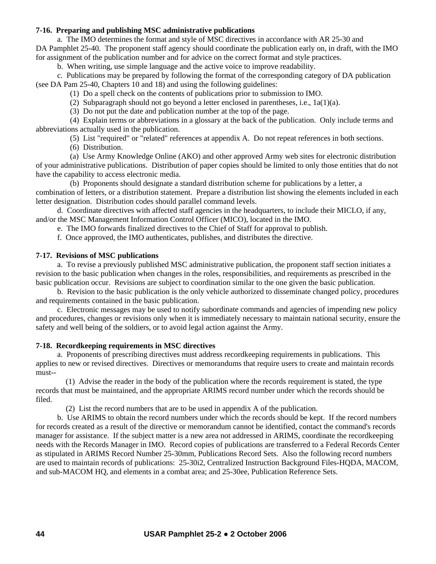### **7-16. Preparing and publishing MSC administrative publications**

a. The IMO determines the format and style of MSC directives in accordance with AR 25-30 and DA Pamphlet 25-40. The proponent staff agency should coordinate the publication early on, in draft, with the IMO for assignment of the publication number and for advice on the correct format and style practices.

b. When writing, use simple language and the active voice to improve readability.

 c. Publications may be prepared by following the format of the corresponding category of DA publication (see DA Pam 25-40, Chapters 10 and 18) and using the following guidelines:

(1) Do a spell check on the contents of publications prior to submission to IMO.

(2) Subparagraph should not go beyond a letter enclosed in parentheses, i.e., 1a(1)(a).

(3) Do not put the date and publication number at the top of the page.

 (4) Explain terms or abbreviations in a glossary at the back of the publication. Only include terms and abbreviations actually used in the publication.

(5) List "required" or "related" references at appendix A. Do not repeat references in both sections.

(6) Distribution.

 (a) Use Army Knowledge Online (AKO) and other approved Army web sites for electronic distribution of your administrative publications. Distribution of paper copies should be limited to only those entities that do not have the capability to access electronic media.

 (b) Proponents should designate a standard distribution scheme for publications by a letter, a combination of letters, or a distribution statement. Prepare a distribution list showing the elements included in each letter designation. Distribution codes should parallel command levels.

 d. Coordinate directives with affected staff agencies in the headquarters, to include their MICLO, if any, and/or the MSC Management Information Control Officer (MICO), located in the IMO.

e. The IMO forwards finalized directives to the Chief of Staff for approval to publish.

f. Once approved, the IMO authenticates, publishes, and distributes the directive.

#### **7-17. Revisions of MSC publications**

 a. To revise a previously published MSC administrative publication, the proponent staff section initiates a revision to the basic publication when changes in the roles, responsibilities, and requirements as prescribed in the basic publication occur. Revisions are subject to coordination similar to the one given the basic publication.

 b. Revision to the basic publication is the only vehicle authorized to disseminate changed policy, procedures and requirements contained in the basic publication.

 c. Electronic messages may be used to notify subordinate commands and agencies of impending new policy and procedures, changes or revisions only when it is immediately necessary to maintain national security, ensure the safety and well being of the soldiers, or to avoid legal action against the Army.

#### **7-18. Recordkeeping requirements in MSC directives**

 a. Proponents of prescribing directives must address recordkeeping requirements in publications. This applies to new or revised directives. Directives or memorandums that require users to create and maintain records must--

 (1) Advise the reader in the body of the publication where the records requirement is stated, the type records that must be maintained, and the appropriate ARIMS record number under which the records should be filed.

(2) List the record numbers that are to be used in appendix A of the publication.

 b. Use ARIMS to obtain the record numbers under which the records should be kept. If the record numbers for records created as a result of the directive or memorandum cannot be identified, contact the command's records manager for assistance. If the subject matter is a new area not addressed in ARIMS, coordinate the recordkeeping needs with the Records Manager in IMO. Record copies of publications are transferred to a Federal Records Center as stipulated in ARIMS Record Number 25-30mm, Publications Record Sets. Also the following record numbers are used to maintain records of publications: 25-30i2, Centralized Instruction Background Files-HQDA, MACOM, and sub-MACOM HQ, and elements in a combat area; and 25-30ee, Publication Reference Sets.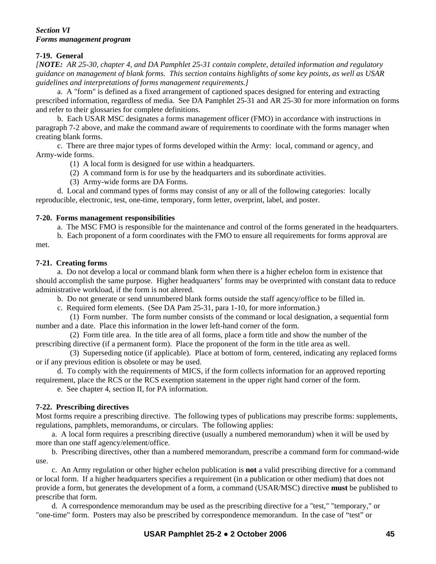#### *Section VI Forms management program*

### **7-19. General**

*[NOTE: AR 25-30, chapter 4, and DA Pamphlet 25-31 contain complete, detailed information and regulatory guidance on management of blank forms. This section contains highlights of some key points, as well as USAR guidelines and interpretations of forms management requirements.]*

 a. A "form" is defined as a fixed arrangement of captioned spaces designed for entering and extracting prescribed information, regardless of media. See DA Pamphlet 25-31 and AR 25-30 for more information on forms and refer to their glossaries for complete definitions.

 b. Each USAR MSC designates a forms management officer (FMO) in accordance with instructions in paragraph 7-2 above, and make the command aware of requirements to coordinate with the forms manager when creating blank forms.

 c. There are three major types of forms developed within the Army: local, command or agency, and Army-wide forms.

(1) A local form is designed for use within a headquarters.

(2) A command form is for use by the headquarters and its subordinate activities.

(3) Army-wide forms are DA Forms.

 d. Local and command types of forms may consist of any or all of the following categories: locally reproducible, electronic, test, one-time, temporary, form letter, overprint, label, and poster.

### **7-20. Forms management responsibilities**

a. The MSC FMO is responsible for the maintenance and control of the forms generated in the headquarters.

b. Each proponent of a form coordinates with the FMO to ensure all requirements for forms approval are

### met.

### **7-21. Creating forms**

 a. Do not develop a local or command blank form when there is a higher echelon form in existence that should accomplish the same purpose. Higher headquarters' forms may be overprinted with constant data to reduce administrative workload, if the form is not altered.

b. Do not generate or send unnumbered blank forms outside the staff agency/office to be filled in.

c. Required form elements. (See DA Pam 25-31, para 1-10, for more information.)

 (1) Form number. The form number consists of the command or local designation, a sequential form number and a date. Place this information in the lower left-hand corner of the form.

 (2) Form title area. In the title area of all forms, place a form title and show the number of the prescribing directive (if a permanent form). Place the proponent of the form in the title area as well.

 (3) Superseding notice (if applicable). Place at bottom of form, centered, indicating any replaced forms or if any previous edition is obsolete or may be used.

 d. To comply with the requirements of MICS, if the form collects information for an approved reporting requirement, place the RCS or the RCS exemption statement in the upper right hand corner of the form.

e. See chapter 4, section II, for PA information.

### **7-22. Prescribing directives**

Most forms require a prescribing directive. The following types of publications may prescribe forms: supplements, regulations, pamphlets, memorandums, or circulars. The following applies:

 a. A local form requires a prescribing directive (usually a numbered memorandum) when it will be used by more than one staff agency/element/office.

 b. Prescribing directives, other than a numbered memorandum, prescribe a command form for command-wide use.

 c. An Army regulation or other higher echelon publication is **not** a valid prescribing directive for a command or local form. If a higher headquarters specifies a requirement (in a publication or other medium) that does not provide a form, but generates the development of a form, a command (USAR/MSC) directive **must** be published to prescribe that form.

 d. A correspondence memorandum may be used as the prescribing directive for a "test," "temporary," or "one-time" form. Posters may also be prescribed by correspondence memorandum. In the case of "test" or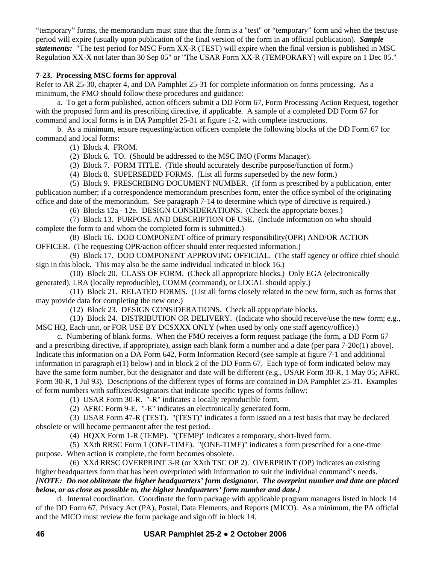"temporary" forms, the memorandum must state that the form is a "test" or "temporary" form and when the test/use period will expire (usually upon publication of the final version of the form in an official publication). *Sample statements:* "The test period for MSC Form XX-R (TEST) will expire when the final version is published in MSC Regulation XX-X not later than 30 Sep 05" or "The USAR Form XX-R (TEMPORARY) will expire on 1 Dec 05."

### **7-23. Processing MSC forms for approval**

Refer to AR 25-30, chapter 4, and DA Pamphlet 25-31 for complete information on forms processing. As a minimum, the FMO should follow these procedures and guidance:

 a. To get a form published, action officers submit a DD Form 67, Form Processing Action Request, together with the proposed form and its prescribing directive, if applicable. A sample of a completed DD Form 67 for command and local forms is in DA Pamphlet 25-31 at figure 1-2, with complete instructions.

 b. As a minimum, ensure requesting/action officers complete the following blocks of the DD Form 67 for command and local forms:

(1) Block 4. FROM.

(2) Block 6. TO. (Should be addressed to the MSC IMO (Forms Manager).

(3) Block 7. FORM TITLE. (Title should accurately describe purpose/function of form.)

(4) Block 8. SUPERSEDED FORMS. (List all forms superseded by the new form.)

 (5) Block 9. PRESCRIBING DOCUMENT NUMBER. (If form is prescribed by a publication, enter publication number; if a correspondence memorandum prescribes form, enter the office symbol of the originating office and date of the memorandum. See paragraph 7-14 to determine which type of directive is required.)

(6) Blocks 12a - 12e. DESIGN CONSIDERATIONS. (Check the appropriate boxes.)

 (7) Block 13. PURPOSE AND DESCRIPTION OF USE. (Include information on who should complete the form to and whom the completed form is submitted.)

 (8) Block 16. DOD COMPONENT office of primary responsibility(OPR) AND/OR ACTION OFFICER. (The requesting OPR/action officer should enter requested information.)

 (9) Block 17. DOD COMPONENT APPROVING OFFICIAL. (The staff agency or office chief should sign in this block. This may also be the same individual indicated in block 16.)

 (10) Block 20. CLASS OF FORM. (Check all appropriate blocks.) Only EGA (electronically generated), LRA (locally reproducible), COMM (command), or LOCAL should apply.)

 (11) Block 21. RELATED FORMS. (List all forms closely related to the new form, such as forms that may provide data for completing the new one.)

(12) Block 23. DESIGN CONSIDERATIONS. Check all appropriate blocks.

 (13) Block 24. DISTRIBUTION OR DELIVERY. (Indicate who should receive/use the new form; e.g., MSC HQ, Each unit, or FOR USE BY DCSXXX ONLY (when used by only one staff agency/office).)

 c. Numbering of blank forms. When the FMO receives a form request package (the form, a DD Form 67 and a prescribing directive, if appropriate), assign each blank form a number and a date (per para 7-20c(1) above). Indicate this information on a DA Form 642, Form Information Record (see sample at figure 7-1 and additional information in paragraph e(1) below) and in block 2 of the DD Form 67. Each type of form indicated below may have the same form number, but the designator and date will be different (e.g., USAR Form 30-R, 1 May 05; AFRC Form 30-R, 1 Jul 93). Descriptions of the different types of forms are contained in DA Pamphlet 25-31. Examples of form numbers with suffixes/designators that indicate specific types of forms follow:

(1) USAR Form 30-R. "-R" indicates a locally reproducible form.

(2) AFRC Form 9-E. "-E" indicates an electronically generated form.

 (3) USAR Form 47-R (TEST). "(TEST)" indicates a form issued on a test basis that may be declared obsolete or will become permanent after the test period.

(4) HQXX Form 1-R (TEMP). "(TEMP)" indicates a temporary, short-lived form.

 (5) XXth RRSC Form 1 (ONE-TIME). "(ONE-TIME)" indicates a form prescribed for a one-time purpose. When action is complete, the form becomes obsolete.

 (6) XXd RRSC OVERPRINT 3-R (or XXth TSC OP 2). OVERPRINT (OP) indicates an existing higher headquarters form that has been overprinted with information to suit the individual command's needs.

### *[NOTE: Do not obliterate the higher headquarters' form designator. The overprint number and date are placed below, or as close as possible to, the higher headquarters' form number and date.]*

 d. Internal coordination. Coordinate the form package with applicable program managers listed in block 14 of the DD Form 67, Privacy Act (PA), Postal, Data Elements, and Reports (MICO). As a minimum, the PA official and the MICO must review the form package and sign off in block 14.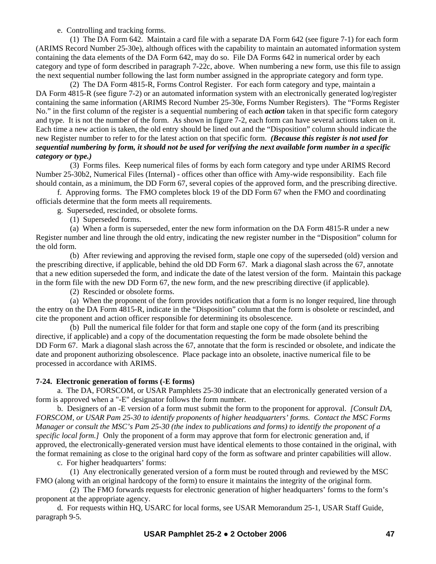e. Controlling and tracking forms.

 (1) The DA Form 642. Maintain a card file with a separate DA Form 642 (see figure 7-1) for each form (ARIMS Record Number 25-30e), although offices with the capability to maintain an automated information system containing the data elements of the DA Form 642, may do so. File DA Forms 642 in numerical order by each category and type of form described in paragraph 7-22c, above. When numbering a new form, use this file to assign the next sequential number following the last form number assigned in the appropriate category and form type.

 (2) The DA Form 4815-R, Forms Control Register. For each form category and type, maintain a DA Form 4815-R (see figure 7-2) or an automated information system with an electronically generated log/register containing the same information (ARIMS Record Number 25-30e, Forms Number Registers). The "Forms Register No." in the first column of the register is a sequential numbering of each *action* taken in that specific form category and type. It is not the number of the form. As shown in figure 7-2, each form can have several actions taken on it. Each time a new action is taken, the old entry should be lined out and the "Disposition" column should indicate the new Register number to refer to for the latest action on that specific form. *(Because this register is not used for sequential numbering by form, it should not be used for verifying the next available form number in a specific category or type.)* 

 (3) Forms files. Keep numerical files of forms by each form category and type under ARIMS Record Number 25-30b2, Numerical Files (Internal) - offices other than office with Amy-wide responsibility. Each file should contain, as a minimum, the DD Form 67, several copies of the approved form, and the prescribing directive.

 f. Approving forms. The FMO completes block 19 of the DD Form 67 when the FMO and coordinating officials determine that the form meets all requirements.

g. Superseded, rescinded, or obsolete forms.

(1) Superseded forms.

 (a) When a form is superseded, enter the new form information on the DA Form 4815-R under a new Register number and line through the old entry, indicating the new register number in the "Disposition" column for the old form.

 (b) After reviewing and approving the revised form, staple one copy of the superseded (old) version and the prescribing directive, if applicable, behind the old DD Form 67. Mark a diagonal slash across the 67, annotate that a new edition superseded the form, and indicate the date of the latest version of the form. Maintain this package in the form file with the new DD Form 67, the new form, and the new prescribing directive (if applicable).

(2) Rescinded or obsolete forms.

 (a) When the proponent of the form provides notification that a form is no longer required, line through the entry on the DA Form 4815-R, indicate in the "Disposition" column that the form is obsolete or rescinded, and cite the proponent and action officer responsible for determining its obsolescence.

 (b) Pull the numerical file folder for that form and staple one copy of the form (and its prescribing directive, if applicable) and a copy of the documentation requesting the form be made obsolete behind the DD Form 67. Mark a diagonal slash across the 67, annotate that the form is rescinded or obsolete, and indicate the date and proponent authorizing obsolescence. Place package into an obsolete, inactive numerical file to be processed in accordance with ARIMS.

## **7-24. Electronic generation of forms (-E forms)**

 a. The DA, FORSCOM, or USAR Pamphlets 25-30 indicate that an electronically generated version of a form is approved when a "-E" designator follows the form number.

 b. Designers of an -E version of a form must submit the form to the proponent for approval. *[Consult DA, FORSCOM, or USAR Pam 25-30 to identify proponents of higher headquarters' forms. Contact the MSC Forms Manager or consult the MSC's Pam 25-30 (the index to publications and forms) to identify the proponent of a specific local form.]* Only the proponent of a form may approve that form for electronic generation and, if approved, the electronically-generated version must have identical elements to those contained in the original, with the format remaining as close to the original hard copy of the form as software and printer capabilities will allow.

c. For higher headquarters' forms:

 (1) Any electronically generated version of a form must be routed through and reviewed by the MSC FMO (along with an original hardcopy of the form) to ensure it maintains the integrity of the original form.

 (2) The FMO forwards requests for electronic generation of higher headquarters' forms to the form's proponent at the appropriate agency.

 d. For requests within HQ, USARC for local forms, see USAR Memorandum 25-1, USAR Staff Guide, paragraph 9-5.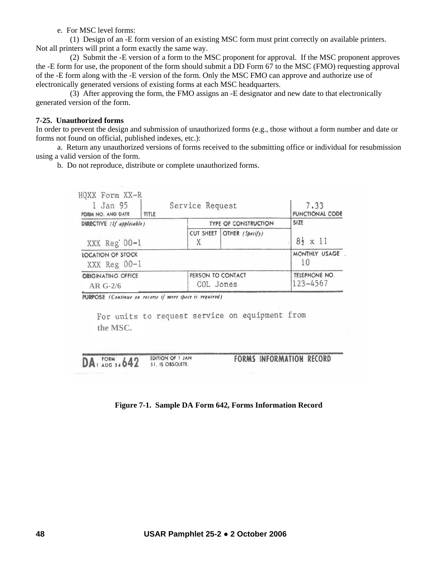e. For MSC level forms:

 (1) Design of an -E form version of an existing MSC form must print correctly on available printers. Not all printers will print a form exactly the same way.

 (2) Submit the -E version of a form to the MSC proponent for approval. If the MSC proponent approves the -E form for use, the proponent of the form should submit a DD Form 67 to the MSC (FMO) requesting approval of the -E form along with the -E version of the form. Only the MSC FMO can approve and authorize use of electronically generated versions of existing forms at each MSC headquarters.

 (3) After approving the form, the FMO assigns an -E designator and new date to that electronically generated version of the form.

#### **7-25. Unauthorized forms**

In order to prevent the design and submission of unauthorized forms (e.g., those without a form number and date or forms not found on official, published indexes, etc.):

 a. Return any unauthorized versions of forms received to the submitting office or individual for resubmission using a valid version of the form.

b. Do not reproduce, distribute or complete unauthorized forms.

| HQXX Form XX-R<br>1 Jan 95<br>PORM NO. AND DATE | $n$ te | Service Request                |                             | 7.33<br>FUNCTIONAL CODE   |
|-------------------------------------------------|--------|--------------------------------|-----------------------------|---------------------------|
| DIRECTIVE (If applicable)<br>XXX Reg 00-1       |        |                                | <b>TYPE OF CONSTRUCTION</b> | SIZE<br>$83 \times 11$    |
|                                                 |        | CUT SHEET                      | OTHER (Specify)             |                           |
| LOCATION OF STOCK<br>XXX Reg 00-1               |        |                                |                             | MONTHLY USAGE<br>10       |
| <b>CRIGINATING OFFICE</b><br>$AR$ G-2/6         |        | PERSON TO CONTACT<br>COL Jones |                             | TELEPHONE NO.<br>123-4567 |

PURPOSE (Continue on reverse if more space is required)

For units to request service on equipment from **the MSC.** 

EDITION OF 1 JAN DA<sub>1</sub> FORM 5.642 51, IS OBSOLETE.

**FORMS INFORMATION RECORD** 

### **Figure 7-1. Sample DA Form 642, Forms Information Record**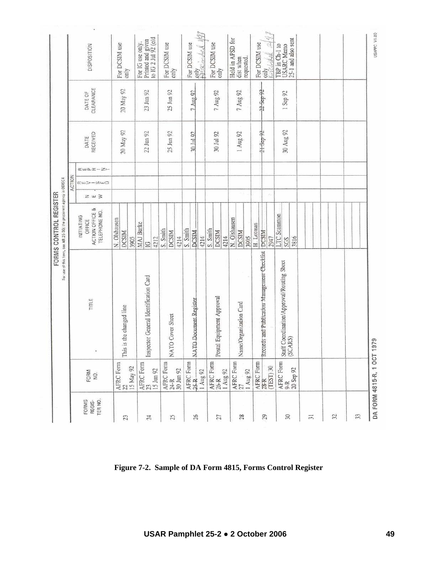|                            |                                                                                                                     |                                                      | For use of this form, see AR 26-30; the proporent agency is ODISC4<br>FORMS CONTROL REGISTER |                 |                                      |                            |                  |                      |                                                              |
|----------------------------|---------------------------------------------------------------------------------------------------------------------|------------------------------------------------------|----------------------------------------------------------------------------------------------|-----------------|--------------------------------------|----------------------------|------------------|----------------------|--------------------------------------------------------------|
|                            |                                                                                                                     |                                                      |                                                                                              |                 | ACTION                               |                            |                  |                      |                                                              |
| TER NO.<br>FORMS<br>REGIS- | FORM<br>NO.                                                                                                         | TITLE                                                | ACTION OFFICE &<br>TELEPHONE NO.<br><b>INITIATING</b><br>OFFICE                              | $z \approx \ge$ | $\alpha \omega$ > $-\omega$ $\omega$ | $\alpha$ wa. $\alpha$ -Zi- | RECEIVED<br>DATE | CLEARANCE<br>DATE OF | DISPOSITION                                                  |
| 23                         | AFRC Form $22\,$<br>15 May 92                                                                                       | This is the changed line                             | N. Olshausen<br><b>DCSIM</b><br>3905                                                         |                 |                                      |                            | 20 May 92        | 20 May 92            | For DCSIM use<br>only                                        |
| 24                         | $ \mathrm{AFRC}$ Form $ 23$<br>15 Jun 92                                                                            | Inspector General Identification Card                | <b>MAI</b> Burke<br>4212<br>$\overline{a}$                                                   |                 |                                      |                            | 22 Jun 92        | 23 Jun 92            | Printed and given<br>to IG 2 Jul 92 (old<br>For IG use only. |
| 25                         | $\begin{array}{l} \text{AFRC} \; \text{Form} \\ 24\text{-}\text{R} \\ 30 \; \text{J} \text{m} \; 92 \\ \end{array}$ | NATO Cover Sheet                                     | S. Smith<br><b>DCSIM</b><br>4214                                                             |                 |                                      |                            | 25 Jun 92        | 25 Jun 92            | For DCSIM use<br>only                                        |
| 26                         | AFRC Form<br>25 R<br>1 Aug 92                                                                                       | NATO Document Register                               | S. Smith<br><b>DCSIM</b><br>4214                                                             |                 |                                      |                            | 30 Jul 92        | 7 Aug 92             | omy<br>Herzingled 1/97<br>For DCSIM use                      |
| 27                         | AFRC Form<br>26-R<br>$1$ Aug $92$                                                                                   | Postal Equipment Approval                            | S. Smith<br><b>DCSIM</b><br>4214                                                             |                 |                                      |                            | 30 Jul 92        | 7 Aug 92             | For DCSIM use<br>only                                        |
| 28                         | AFRC Form<br>1 Aug 92                                                                                               | Name/Organization Card                               | N. Olshausen<br><b>DCSIM</b><br>3905                                                         | -0              |                                      |                            | 1 Aug 92         | 7 Aug 92             | Held in APSD for<br>dist when<br>requested.                  |
| 29                         | AFRC Form<br>28-R<br>CTEST) 30                                                                                      | Records and Publication Management Checklist         | H. Lotman<br><b>PCSIM</b><br>2947                                                            | ò               |                                      |                            | 21.3cp92         | 22 Sep 92            | 219<br>For DCSIM use<br>only<br>Kurchskak                    |
| $\approx$                  | AFRC Form<br>9-R<br>20 Sep 92                                                                                       | Staff Coordination/Approval/Routing Sheet<br>(SCARS) | LTC Scannon<br>3816<br>SGS                                                                   |                 |                                      |                            | 30 Aug 92        | 1 Sep 92             | 25-1 and also sent<br><b>USARC Memo</b><br>TBP in Ch-1 to    |
| $\frac{1}{2}$              |                                                                                                                     |                                                      |                                                                                              |                 |                                      |                            |                  |                      |                                                              |
| 32                         |                                                                                                                     |                                                      |                                                                                              |                 |                                      |                            |                  |                      |                                                              |
| 33                         |                                                                                                                     |                                                      |                                                                                              |                 |                                      |                            |                  |                      |                                                              |
|                            | DA FORM 4815-R, 1 OCT 1                                                                                             | 1979                                                 |                                                                                              |                 |                                      |                            |                  |                      | USAPPC V1.00                                                 |

**Figure 7-2. Sample of DA Form 4815, Forms Control Register**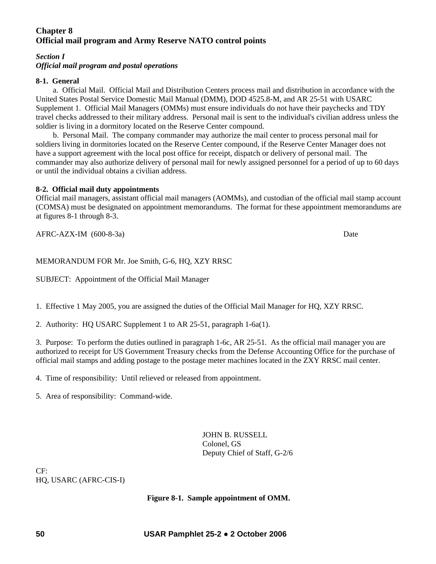# **Chapter 8 Official mail program and Army Reserve NATO control points**

### *Section I Official mail program and postal operations*

### **8-1. General**

a. Official Mail.Official Mail and Distribution Centers process mail and distribution in accordance with the United States Postal Service Domestic Mail Manual (DMM), DOD 4525.8-M, and AR 25-51 with USARC Supplement 1. Official Mail Managers (OMMs) must ensure individuals do not have their paychecks and TDY travel checks addressed to their military address. Personal mail is sent to the individual's civilian address unless the soldier is living in a dormitory located on the Reserve Center compound.

 b. Personal Mail. The company commander may authorize the mail center to process personal mail for soldiers living in dormitories located on the Reserve Center compound, if the Reserve Center Manager does not have a support agreement with the local post office for receipt, dispatch or delivery of personal mail. The commander may also authorize delivery of personal mail for newly assigned personnel for a period of up to 60 days or until the individual obtains a civilian address.

### **8-2. Official mail duty appointments**

Official mail managers, assistant official mail managers (AOMMs), and custodian of the official mail stamp account (COMSA) must be designated on appointment memorandums. The format for these appointment memorandums are at figures 8-1 through 8-3.

AFRC-AZX-IM (600-8-3a) Date

MEMORANDUM FOR Mr. Joe Smith, G-6, HQ, XZY RRSC

SUBJECT: Appointment of the Official Mail Manager

1. Effective 1 May 2005, you are assigned the duties of the Official Mail Manager for HQ, XZY RRSC.

2. Authority: HQ USARC Supplement 1 to AR 25-51, paragraph 1-6a(1).

3. Purpose: To perform the duties outlined in paragraph 1-6c, AR 25-51. As the official mail manager you are authorized to receipt for US Government Treasury checks from the Defense Accounting Office for the purchase of official mail stamps and adding postage to the postage meter machines located in the ZXY RRSC mail center.

4. Time of responsibility: Until relieved or released from appointment.

5. Area of responsibility: Command-wide.

JOHN B. RUSSELL Colonel, GS Deputy Chief of Staff, G-2/6

 $CF<sup>+</sup>$ HQ, USARC (AFRC-CIS-I)

### **Figure 8-1. Sample appointment of OMM.**

**50 USAR Pamphlet 25-2 ● 2 October 2006**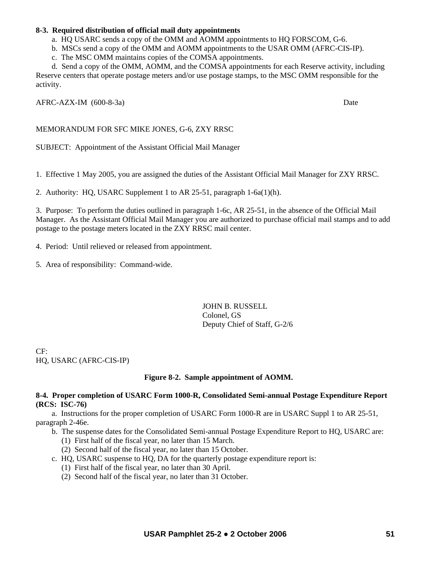### **8-3. Required distribution of official mail duty appointments**

a. HQ USARC sends a copy of the OMM and AOMM appointments to HQ FORSCOM, G-6.

b. MSCs send a copy of the OMM and AOMM appointments to the USAR OMM (AFRC-CIS-IP).

c. The MSC OMM maintains copies of the COMSA appointments.

 d. Send a copy of the OMM, AOMM, and the COMSA appointments for each Reserve activity, including Reserve centers that operate postage meters and/or use postage stamps, to the MSC OMM responsible for the activity.

AFRC-AZX-IM (600-8-3a) Date

### MEMORANDUM FOR SFC MIKE JONES, G-6, ZXY RRSC

SUBJECT: Appointment of the Assistant Official Mail Manager

1. Effective 1 May 2005, you are assigned the duties of the Assistant Official Mail Manager for ZXY RRSC.

2. Authority: HQ, USARC Supplement 1 to AR 25-51, paragraph 1-6a(1)(h).

3. Purpose: To perform the duties outlined in paragraph 1-6c, AR 25-51, in the absence of the Official Mail Manager. As the Assistant Official Mail Manager you are authorized to purchase official mail stamps and to add postage to the postage meters located in the ZXY RRSC mail center.

4. Period: Until relieved or released from appointment.

5. Area of responsibility: Command-wide.

JOHN B. RUSSELL Colonel, GS Deputy Chief of Staff, G-2/6

CF: HQ, USARC (AFRC-CIS-IP)

### **Figure 8-2. Sample appointment of AOMM.**

### **8-4. Proper completion of USARC Form 1000-R, Consolidated Semi-annual Postage Expenditure Report (RCS: ISC-76)**

 a. Instructions for the proper completion of USARC Form 1000-R are in USARC Suppl 1 to AR 25-51, paragraph 2-46e.

b. The suspense dates for the Consolidated Semi-annual Postage Expenditure Report to HQ, USARC are:

- (1) First half of the fiscal year, no later than 15 March.
- (2) Second half of the fiscal year, no later than 15 October.
- c. HQ, USARC suspense to HQ, DA for the quarterly postage expenditure report is:
	- (1) First half of the fiscal year, no later than 30 April.
	- (2) Second half of the fiscal year, no later than 31 October.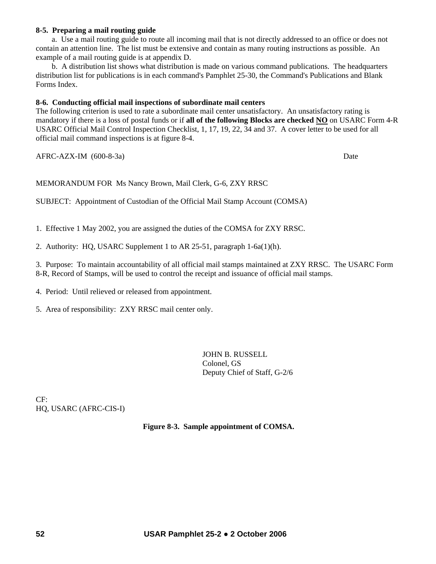#### **8-5. Preparing a mail routing guide**

 a. Use a mail routing guide to route all incoming mail that is not directly addressed to an office or does not contain an attention line. The list must be extensive and contain as many routing instructions as possible. An example of a mail routing guide is at appendix D.

 b. A distribution list shows what distribution is made on various command publications. The headquarters distribution list for publications is in each command's Pamphlet 25-30, the Command's Publications and Blank Forms Index.

### **8-6. Conducting official mail inspections of subordinate mail centers**

The following criterion is used to rate a subordinate mail center unsatisfactory. An unsatisfactory rating is mandatory if there is a loss of postal funds or if **all of the following Blocks are checked NO** on USARC Form 4-R USARC Official Mail Control Inspection Checklist, 1, 17, 19, 22, 34 and 37. A cover letter to be used for all official mail command inspections is at figure 8-4.

AFRC-AZX-IM (600-8-3a) Date

MEMORANDUM FOR Ms Nancy Brown, Mail Clerk, G-6, ZXY RRSC

SUBJECT: Appointment of Custodian of the Official Mail Stamp Account (COMSA)

1. Effective 1 May 2002, you are assigned the duties of the COMSA for ZXY RRSC.

2. Authority: HQ, USARC Supplement 1 to AR 25-51, paragraph 1-6a(1)(h).

3. Purpose: To maintain accountability of all official mail stamps maintained at ZXY RRSC. The USARC Form 8-R, Record of Stamps, will be used to control the receipt and issuance of official mail stamps.

4. Period: Until relieved or released from appointment.

5. Area of responsibility: ZXY RRSC mail center only.

JOHN B. RUSSELL Colonel, GS Deputy Chief of Staff, G-2/6

CF: HQ, USARC (AFRC-CIS-I)

**Figure 8-3. Sample appointment of COMSA.**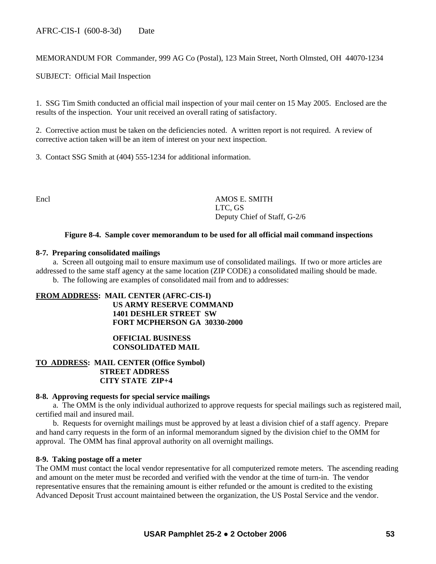MEMORANDUM FOR Commander, 999 AG Co (Postal), 123 Main Street, North Olmsted, OH 44070-1234

SUBJECT: Official Mail Inspection

1. SSG Tim Smith conducted an official mail inspection of your mail center on 15 May 2005. Enclosed are the results of the inspection. Your unit received an overall rating of satisfactory.

2. Corrective action must be taken on the deficiencies noted. A written report is not required. A review of corrective action taken will be an item of interest on your next inspection.

3. Contact SSG Smith at (404) 555-1234 for additional information.

Encl AMOS E. SMITH LTC, GS Deputy Chief of Staff, G-2/6

### **Figure 8-4. Sample cover memorandum to be used for all official mail command inspections**

#### **8-7. Preparing consolidated mailings**

 a. Screen all outgoing mail to ensure maximum use of consolidated mailings. If two or more articles are addressed to the same staff agency at the same location (ZIP CODE) a consolidated mailing should be made. b. The following are examples of consolidated mail from and to addresses:

### **FROM ADDRESS: MAIL CENTER (AFRC-CIS-I) US ARMY RESERVE COMMAND 1401 DESHLER STREET SW FORT MCPHERSON GA 30330-2000**

### **OFFICIAL BUSINESS CONSOLIDATED MAIL**

### **TO ADDRESS: MAIL CENTER (Office Symbol) STREET ADDRESS CITY STATE ZIP+4**

#### **8-8. Approving requests for special service mailings**

 a. The OMM is the only individual authorized to approve requests for special mailings such as registered mail, certified mail and insured mail.

 b. Requests for overnight mailings must be approved by at least a division chief of a staff agency. Prepare and hand carry requests in the form of an informal memorandum signed by the division chief to the OMM for approval. The OMM has final approval authority on all overnight mailings.

#### **8-9. Taking postage off a meter**

The OMM must contact the local vendor representative for all computerized remote meters. The ascending reading and amount on the meter must be recorded and verified with the vendor at the time of turn-in. The vendor representative ensures that the remaining amount is either refunded or the amount is credited to the existing Advanced Deposit Trust account maintained between the organization, the US Postal Service and the vendor.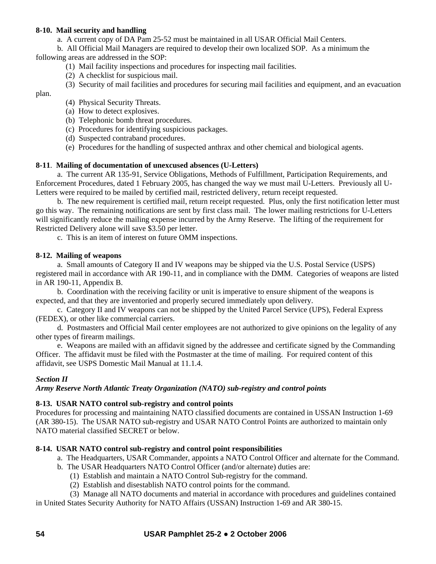### **8-10. Mail security and handling**

a. A current copy of DA Pam 25-52 must be maintained in all USAR Official Mail Centers.

b. All Official Mail Managers are required to develop their own localized SOP. As a minimum the

following areas are addressed in the SOP:

- (1) Mail facility inspections and procedures for inspecting mail facilities.
- (2) A checklist for suspicious mail.
- (3) Security of mail facilities and procedures for securing mail facilities and equipment, and an evacuation

plan.

- (4) Physical Security Threats.
- (a) How to detect explosives.
- (b) Telephonic bomb threat procedures.
- (c) Procedures for identifying suspicious packages.
- (d) Suspected contraband procedures.
- (e) Procedures for the handling of suspected anthrax and other chemical and biological agents.

### **8-11**. **Mailing of documentation of unexcused absences (U-Letters)**

 a. The current AR 135-91, Service Obligations, Methods of Fulfillment, Participation Requirements, and Enforcement Procedures, dated 1 February 2005, has changed the way we must mail U-Letters. Previously all U-Letters were required to be mailed by certified mail, restricted delivery, return receipt requested.

 b. The new requirement is certified mail, return receipt requested. Plus, only the first notification letter must go this way. The remaining notifications are sent by first class mail. The lower mailing restrictions for U-Letters will significantly reduce the mailing expense incurred by the Army Reserve. The lifting of the requirement for Restricted Delivery alone will save \$3.50 per letter.

c. This is an item of interest on future OMM inspections.

### **8-12. Mailing of weapons**

 a. Small amounts of Category II and IV weapons may be shipped via the U.S. Postal Service (USPS) registered mail in accordance with AR 190-11, and in compliance with the DMM. Categories of weapons are listed in AR 190-11, Appendix B.

 b. Coordination with the receiving facility or unit is imperative to ensure shipment of the weapons is expected, and that they are inventoried and properly secured immediately upon delivery.

 c. Category II and IV weapons can not be shipped by the United Parcel Service (UPS), Federal Express (FEDEX), or other like commercial carriers.

 d. Postmasters and Official Mail center employees are not authorized to give opinions on the legality of any other types of firearm mailings.

 e. Weapons are mailed with an affidavit signed by the addressee and certificate signed by the Commanding Officer. The affidavit must be filed with the Postmaster at the time of mailing. For required content of this affidavit, see USPS Domestic Mail Manual at 11.1.4.

## *Section II*

## *Army Reserve North Atlantic Treaty Organization (NATO) sub-registry and control points*

## **8-13. USAR NATO control sub-registry and control points**

Procedures for processing and maintaining NATO classified documents are contained in USSAN Instruction 1**-**69 (AR 380**-**15). The USAR NATO sub-registry and USAR NATO Control Points are authorized to maintain only NATO material classified SECRET or below.

## **8-14. USAR NATO control sub-registry and control point responsibilities**

- a. The Headquarters, USAR Commander, appoints a NATO Control Officer and alternate for the Command.
- b. The USAR Headquarters NATO Control Officer (and/or alternate) duties are:
	- (1) Establish and maintain a NATO Control Sub-registry for the command.
	- (2) Establish and disestablish NATO control points for the command.
- (3) Manage all NATO documents and material in accordance with procedures and guidelines contained

in United States Security Authority for NATO Affairs (USSAN) Instruction 1*-*69 and AR 380*-*15.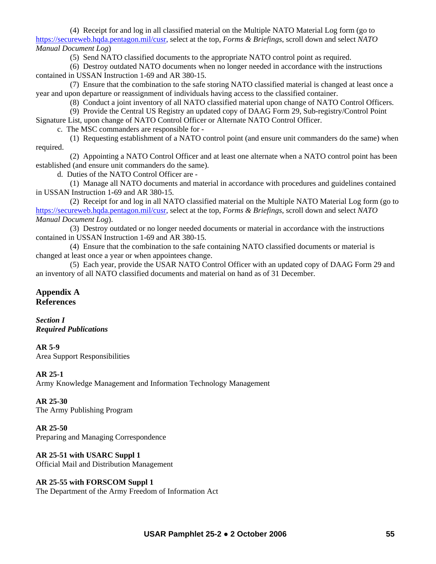(4) Receipt for and log in all classified material on the Multiple NATO Material Log form (go to <https://secureweb.hqda.pentagon.mil/cusr>, select at the top, *Forms & Briefings*, scroll down and select *NATO Manual Document Log*)

(5) Send NATO classified documents to the appropriate NATO control point as required.

 (6) Destroy outdated NATO documents when no longer needed in accordance with the instructions contained in USSAN Instruction 1-69 and AR 380-15.

 (7) Ensure that the combination to the safe storing NATO classified material is changed at least once a year and upon departure or reassignment of individuals having access to the classified container.

(8) Conduct a joint inventory of all NATO classified material upon change of NATO Control Officers.

(9) Provide the Central US Registry an updated copy of DAAG Form 29, Sub-registry/Control Point

Signature List, upon change of NATO Control Officer or Alternate NATO Control Officer.

c. The MSC commanders are responsible for *-*

 (1) Requesting establishment of a NATO control point (and ensure unit commanders do the same) when required.

 (2) Appointing a NATO Control Officer and at least one alternate when a NATO control point has been established (and ensure unit commanders do the same).

d. Duties of the NATO Control Officer are *-*

 (1) Manage all NATO documents and material in accordance with procedures and guidelines contained in USSAN Instruction 1*-*69 and AR 380-15.

 (2) Receipt for and log in all NATO classified material on the Multiple NATO Material Log form (go to <https://secureweb.hqda.pentagon.mil/cusr>, select at the top, *Forms & Briefings*, scroll down and select *NATO Manual Document Log*).

 (3) Destroy outdated or no longer needed documents or material in accordance with the instructions contained in USSAN Instruction 1-69 and AR 380-15.

 (4) Ensure that the combination to the safe containing NATO classified documents or material is changed at least once a year or when appointees change.

 (5) Each year, provide the USAR NATO Control Officer with an updated copy of DAAG Form 29 and an inventory of all NATO classified documents and material on hand as of 31 December.

# **[Appendix A](http://www.gpoaccess.gov/nara/index.html)  References**

*Section I Required Publications* 

**AR 5-9**  Area Support Responsibilities

## **AR 25-1**

Army Knowledge Management and Information Technology Management

## **AR 25-30**

The Army Publishing Program

**AR 25-50** Preparing and Managing Correspondence

## **AR 25-51 with USARC Suppl 1**

Official Mail and Distribution Management

## **AR 25-55 with FORSCOM Suppl 1**

The Department of the Army Freedom of Information Act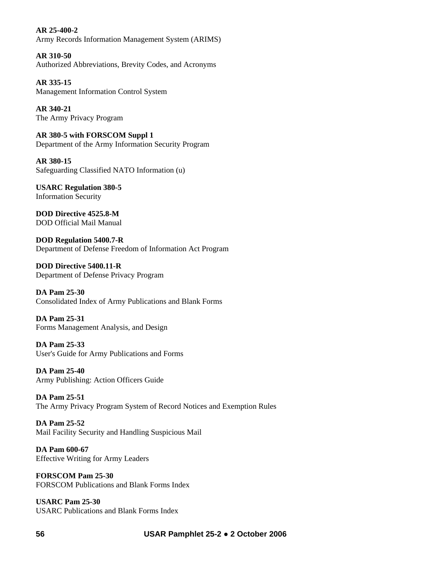**AR 25-400-2**  Army Records Information Management System (ARIMS)

**AR 310-50**  Authorized Abbreviations, Brevity Codes, and Acronyms

**AR 335-15** Management Information Control System

**AR 340-21**  The Army Privacy Program

**AR 380-5 with FORSCOM Suppl 1**  Department of the Army Information Security Program

**AR 380-15**  Safeguarding Classified NATO Information (u)

**USARC Regulation 380-5**  Information Security

**DOD Directive 4525.8-M**  DOD Official Mail Manual

**DOD Regulation 5400.7-R**  Department of Defense Freedom of Information Act Program

**DOD Directive 5400.11-R**  Department of Defense Privacy Program

**DA Pam 25-30**  Consolidated Index of Army Publications and Blank Forms

**DA Pam 25-31**  Forms Management Analysis, and Design

**DA Pam 25-33**  User's Guide for Army Publications and Forms

**DA Pam 25-40**  Army Publishing: Action Officers Guide

**DA Pam 25-51**  The Army Privacy Program System of Record Notices and Exemption Rules

**DA Pam 25-52**  Mail Facility Security and Handling Suspicious Mail

**DA Pam 600-67**  Effective Writing for Army Leaders

**FORSCOM Pam 25-30**  FORSCOM Publications and Blank Forms Index

**USARC Pam 25-30**  USARC Publications and Blank Forms Index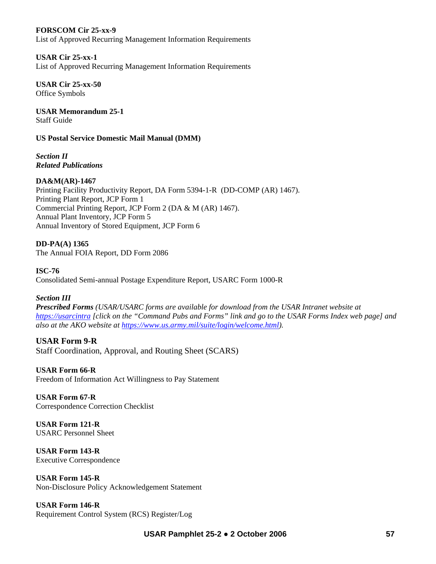### **FORSCOM Cir 25-xx-9**

List of Approved Recurring Management Information Requirements

## **USAR Cir 25-xx-1**

List of Approved Recurring Management Information Requirements

**USAR Cir 25-xx-50**  Office Symbols

**USAR Memorandum 25-1**  Staff Guide

### **US Postal Service Domestic Mail Manual (DMM)**

*Section II Related Publications* 

### **DA&M(AR)-1467**

Printing Facility Productivity Report, DA Form 5394-1-R (DD-COMP (AR) 1467). Printing Plant Report, JCP Form 1 Commercial Printing Report, JCP Form 2 (DA & M (AR) 1467). Annual Plant Inventory, JCP Form 5 Annual Inventory of Stored Equipment, JCP Form 6

## **DD-PA(A) 1365**

The Annual FOIA Report, DD Form 2086

### **ISC-76**

Consolidated Semi-annual Postage Expenditure Report, USARC Form 1000-R

## *Section III*

*Prescribed Forms (USAR/USARC forms are available for download from the USAR Intranet website at [https://usarcintra](https://usarcintra/) [click on the "Command Pubs and Forms" link and go to the USAR Forms Index web page] and also at the AKO website at [https://www.us.army.mil/suite/login/welcome.html\)](https://www.us.army.mil/suite/login/welcome.html).*

## **USAR Form 9-R**

Staff Coordination, Approval, and Routing Sheet (SCARS)

# **USAR Form 66-R**

Freedom of Information Act Willingness to Pay Statement

#### **USAR Form 67-R**  Correspondence Correction Checklist

**USAR Form 121-R**  USARC Personnel Sheet

**USAR Form 143-R**  Executive Correspondence

**USAR Form 145-R**  Non-Disclosure Policy Acknowledgement Statement

**USAR Form 146-R**  Requirement Control System (RCS) Register/Log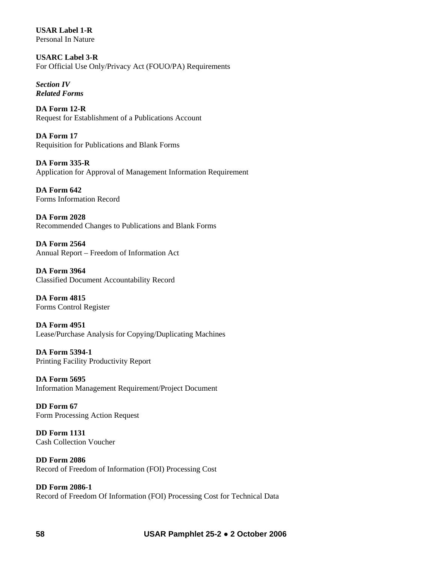**USAR Label 1-R**  Personal In Nature

**USARC Label 3-R**  For Official Use Only/Privacy Act (FOUO/PA) Requirements

*Section IV Related Forms* 

**DA Form 12-R**  Request for Establishment of a Publications Account

**DA Form 17**  Requisition for Publications and Blank Forms

**DA Form 335-R**  Application for Approval of Management Information Requirement

**DA Form 642**  Forms Information Record

**DA Form 2028**  Recommended Changes to Publications and Blank Forms

**DA Form 2564**  Annual Report – Freedom of Information Act

**DA Form 3964**  Classified Document Accountability Record

**DA Form 4815**  Forms Control Register

**DA Form 4951**  Lease/Purchase Analysis for Copying/Duplicating Machines

**DA Form 5394-1**  Printing Facility Productivity Report

**DA Form 5695**  Information Management Requirement/Project Document

**DD Form 67**  Form Processing Action Request

**DD Form 1131**  Cash Collection Voucher

**DD Form 2086**  Record of Freedom of Information (FOI) Processing Cost

**DD Form 2086-1**  Record of Freedom Of Information (FOI) Processing Cost for Technical Data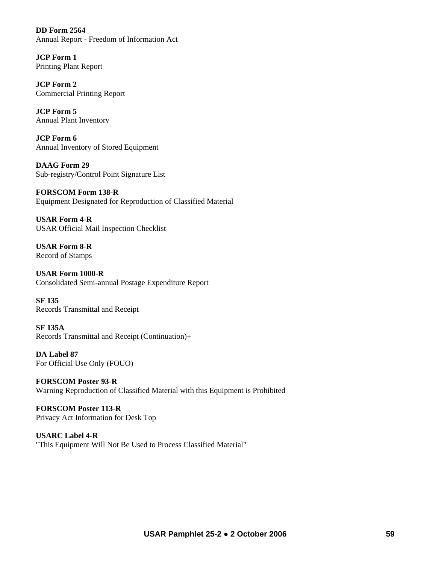**DD Form 2564**  Annual Report - Freedom of Information Act

**JCP Form 1**  Printing Plant Report

**JCP Form 2**  Commercial Printing Report

**JCP Form 5**  Annual Plant Inventory

**JCP Form 6**  Annual Inventory of Stored Equipment

**DAAG Form 29**  Sub-registry/Control Point Signature List

**FORSCOM Form 138-R**  Equipment Designated for Reproduction of Classified Material

**USAR Form 4-R**  USAR Official Mail Inspection Checklist

**USAR Form 8-R**  Record of Stamps

**USAR Form 1000-R**  Consolidated Semi-annual Postage Expenditure Report

**SF 135**  Records Transmittal and Receipt

**SF 135A**  Records Transmittal and Receipt (Continuation)+

**DA Label 87**  For Official Use Only (FOUO)

**FORSCOM Poster 93-R**  Warning Reproduction of Classified Material with this Equipment is Prohibited

**FORSCOM Poster 113-R**  Privacy Act Information for Desk Top

**USARC Label 4-R**  "This Equipment Will Not Be Used to Process Classified Material"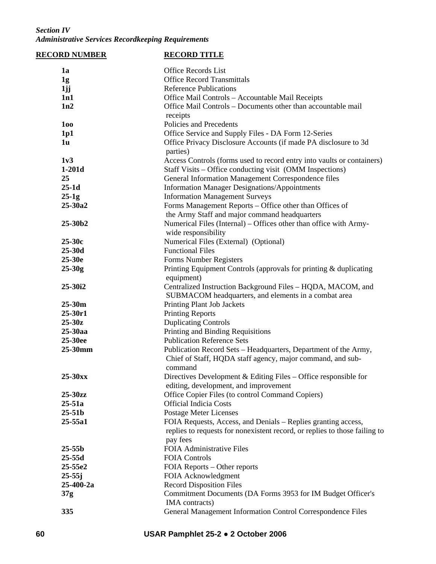## *Section IV Administrative Services Recordkeeping Requirements*

| <b>RECORD NUMBER</b> | <b>RECORD TITLE</b>                                                                    |
|----------------------|----------------------------------------------------------------------------------------|
| 1a                   | <b>Office Records List</b>                                                             |
| 1g                   | <b>Office Record Transmittals</b>                                                      |
| 1jj                  | <b>Reference Publications</b>                                                          |
| 1n1                  | Office Mail Controls - Accountable Mail Receipts                                       |
| 1n2                  | Office Mail Controls - Documents other than accountable mail                           |
|                      | receipts                                                                               |
| 100                  | Policies and Precedents                                                                |
| 1p1                  | Office Service and Supply Files - DA Form 12-Series                                    |
| 1 <sub>u</sub>       | Office Privacy Disclosure Accounts (if made PA disclosure to 3d                        |
|                      | parties)                                                                               |
| 1v3                  | Access Controls (forms used to record entry into vaults or containers)                 |
| $1-201d$             | Staff Visits – Office conducting visit (OMM Inspections)                               |
| 25                   | General Information Management Correspondence files                                    |
| $25-1d$              | <b>Information Manager Designations/Appointments</b>                                   |
| $25-1g$              | <b>Information Management Surveys</b>                                                  |
| 25-30a2              | Forms Management Reports - Office other than Offices of                                |
|                      | the Army Staff and major command headquarters                                          |
| 25-30b2              | Numerical Files (Internal) – Offices other than office with Army-                      |
|                      | wide responsibility                                                                    |
| 25-30c               | Numerical Files (External) (Optional)                                                  |
| 25-30d               | <b>Functional Files</b>                                                                |
| 25-30e               | Forms Number Registers                                                                 |
| $25 - 30g$           | Printing Equipment Controls (approvals for printing & duplicating                      |
|                      | equipment)                                                                             |
| 25-30i2              | Centralized Instruction Background Files - HQDA, MACOM, and                            |
|                      | SUBMACOM headquarters, and elements in a combat area                                   |
| $25 - 30m$           | Printing Plant Job Jackets                                                             |
| $25 - 30r1$          | <b>Printing Reports</b>                                                                |
| $25 - 30z$           | <b>Duplicating Controls</b>                                                            |
| 25-30aa              | Printing and Binding Requisitions                                                      |
| 25-30ee              | <b>Publication Reference Sets</b>                                                      |
| 25-30mm              | Publication Record Sets - Headquarters, Department of the Army,                        |
|                      | Chief of Staff, HQDA staff agency, major command, and sub-<br>command                  |
| 25-30xx              | Directives Development & Editing Files $-$ Office responsible for                      |
|                      | editing, development, and improvement                                                  |
| 25-30zz              | Office Copier Files (to control Command Copiers)                                       |
| $25 - 51a$           | <b>Official Indicia Costs</b>                                                          |
| $25 - 51b$           | Postage Meter Licenses                                                                 |
| 25-55a1              | FOIA Requests, Access, and Denials – Replies granting access,                          |
|                      | replies to requests for nonexistent record, or replies to those failing to<br>pay fees |
| $25 - 55b$           | <b>FOIA Administrative Files</b>                                                       |
| $25 - 55d$           | <b>FOIA Controls</b>                                                                   |
| 25-55e2              | FOIA Reports – Other reports                                                           |
| $25 - 55j$           | FOIA Acknowledgment                                                                    |
| 25-400-2a            | <b>Record Disposition Files</b>                                                        |
| 37g                  | Commitment Documents (DA Forms 3953 for IM Budget Officer's                            |
|                      | IMA contracts)                                                                         |
| 335                  | General Management Information Control Correspondence Files                            |
|                      |                                                                                        |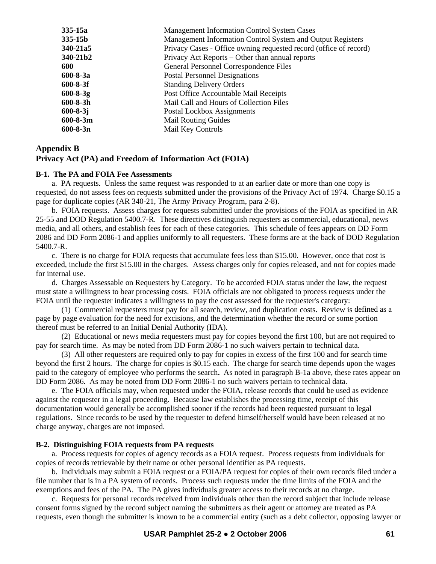| $335 - 15b$<br>Management Information Control System and Output Registers<br>Privacy Cases - Office owning requested record (office of record)<br>340-21a5<br>340-21b2<br>Privacy Act Reports – Other than annual reports<br>General Personnel Correspondence Files<br>600<br>$600 - 8 - 3a$<br><b>Postal Personnel Designations</b><br>$600 - 8 - 3f$<br><b>Standing Delivery Orders</b><br>Post Office Accountable Mail Receipts<br>$600 - 8 - 3g$<br>$600 - 8 - 3h$<br>Mail Call and Hours of Collection Files<br>$600 - 8 - 3j$<br>Postal Lockbox Assignments<br>$600 - 8 - 3m$<br><b>Mail Routing Guides</b><br>$600 - 8 - 3n$<br>Mail Key Controls | 335-15a | <b>Management Information Control System Cases</b> |
|----------------------------------------------------------------------------------------------------------------------------------------------------------------------------------------------------------------------------------------------------------------------------------------------------------------------------------------------------------------------------------------------------------------------------------------------------------------------------------------------------------------------------------------------------------------------------------------------------------------------------------------------------------|---------|----------------------------------------------------|
|                                                                                                                                                                                                                                                                                                                                                                                                                                                                                                                                                                                                                                                          |         |                                                    |
|                                                                                                                                                                                                                                                                                                                                                                                                                                                                                                                                                                                                                                                          |         |                                                    |
|                                                                                                                                                                                                                                                                                                                                                                                                                                                                                                                                                                                                                                                          |         |                                                    |
|                                                                                                                                                                                                                                                                                                                                                                                                                                                                                                                                                                                                                                                          |         |                                                    |
|                                                                                                                                                                                                                                                                                                                                                                                                                                                                                                                                                                                                                                                          |         |                                                    |
|                                                                                                                                                                                                                                                                                                                                                                                                                                                                                                                                                                                                                                                          |         |                                                    |
|                                                                                                                                                                                                                                                                                                                                                                                                                                                                                                                                                                                                                                                          |         |                                                    |
|                                                                                                                                                                                                                                                                                                                                                                                                                                                                                                                                                                                                                                                          |         |                                                    |
|                                                                                                                                                                                                                                                                                                                                                                                                                                                                                                                                                                                                                                                          |         |                                                    |
|                                                                                                                                                                                                                                                                                                                                                                                                                                                                                                                                                                                                                                                          |         |                                                    |
|                                                                                                                                                                                                                                                                                                                                                                                                                                                                                                                                                                                                                                                          |         |                                                    |

### **Appendix B**

#### **Privacy Act (PA) and Freedom of Information Act (FOIA)**

#### **B-1. The PA and FOIA Fee Assessments**

 a. PA requests. Unless the same request was responded to at an earlier date or more than one copy is requested, do not assess fees on requests submitted under the provisions of the Privacy Act of 1974. Charge \$0.15 a page for duplicate copies (AR 340-21, The Army Privacy Program, para 2-8).

 b. FOIA requests. Assess charges for requests submitted under the provisions of the FOIA as specified in AR 25-55 and DOD Regulation 5400.7-R. These directives distinguish requesters as commercial, educational, news media, and all others, and establish fees for each of these categories. This schedule of fees appears on DD Form 2086 and DD Form 2086-1 and applies uniformly to all requesters. These forms are at the back of DOD Regulation 5400.7-R.

 c. There is no charge for FOIA requests that accumulate fees less than \$15.00. However, once that cost is exceeded, include the first \$15.00 in the charges. Assess charges only for copies released, and not for copies made for internal use.

 d. Charges Assessable on Requesters by Category. To be accorded FOIA status under the law, the request must state a willingness to bear processing costs. FOIA officials are not obligated to process requests under the FOIA until the requester indicates a willingness to pay the cost assessed for the requester's category:

 (1) Commercial requesters must pay for all search, review, and duplication costs. Review is defined as a page by page evaluation for the need for excisions, and the determination whether the record or some portion thereof must be referred to an Initial Denial Authority (IDA).

 (2) Educational or news media requesters must pay for copies beyond the first 100, but are not required to pay for search time. As may be noted from DD Form 2086-1 no such waivers pertain to technical data.

 (3) All other requesters are required only to pay for copies in excess of the first 100 and for search time beyond the first 2 hours. The charge for copies is \$0.15 each. The charge for search time depends upon the wages paid to the category of employee who performs the search**.** As noted in paragraph B-1a above, these rates appear on DD Form 2086. As may be noted from DD Form 2086-1 no such waivers pertain to technical data.

 e. The FOIA officials may, when requested under the FOIA, release records that could be used as evidence against the requester in a legal proceeding. Because law establishes the processing time, receipt of this documentation would generally be accomplished sooner if the records had been requested pursuant to legal regulations. Since records to be used by the requester to defend himself/herself would have been released at no charge anyway, charges are not imposed.

#### **B-2. Distinguishing FOIA requests from PA requests**

a. Process requests for copies of agency records as a FOIA request. Process requests from individuals for copies of records retrievable by their name or other personal identifier as PA requests.

 b. Individuals may submit a FOIA request or a FOIA/PA request for copies of their own records filed under a file number that is in a PA system of records. Process such requests under the time limits of the FOIA and the exemptions and fees of the PA. The PA gives individuals greater access to their records at no charge.

 c. Requests for personal records received from individuals other than the record subject that include release consent forms signed by the record subject naming the submitters as their agent or attorney are treated as PA requests, even though the submitter is known to be a commercial entity (such as a debt collector, opposing lawyer or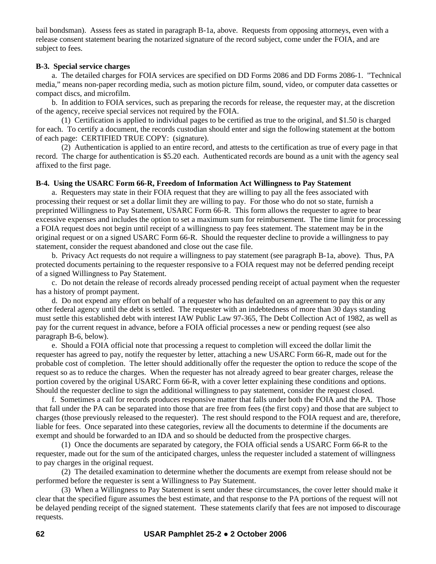bail bondsman). Assess fees as stated in paragraph B-1a, above. Requests from opposing attorneys, even with a release consent statement bearing the notarized signature of the record subject, come under the FOIA, and are subject to fees.

### **B-3. Special service charges**

 a. The detailed charges for FOIA services are specified on DD Forms 2086 and DD Forms 2086-1. "Technical media," means non-paper recording media, such as motion picture film, sound, video, or computer data cassettes or compact discs, and microfilm.

 b. In addition to FOIA services, such as preparing the records for release, the requester may, at the discretion of the agency, receive special services not required by the FOIA.

 (1) Certification is applied to individual pages to be certified as true to the original, and \$1.50 is charged for each. To certify a document, the records custodian should enter and sign the following statement at the bottom of each page: CERTIFIED TRUE COPY: (signature).

 (2) Authentication is applied to an entire record, and attests to the certification as true of every page in that record. The charge for authentication is \$5.20 each. Authenticated records are bound as a unit with the agency seal affixed to the first page.

### **B-4. Using the USARC Form 66-R, Freedom of Information Act Willingness to Pay Statement**

 a. Requesters may state in their FOIA request that they are willing to pay all the fees associated with processing their request or set a dollar limit they are willing to pay. For those who do not so state, furnish a preprinted Willingness to Pay Statement, USARC Form 66-R. This form allows the requester to agree to bear excessive expenses and includes the option to set a maximum sum for reimbursement. The time limit for processing a FOIA request does not begin until receipt of a willingness to pay fees statement. The statement may be in the original request or on a signed USARC Form 66-R. Should the requester decline to provide a willingness to pay statement, consider the request abandoned and close out the case file.

 b. Privacy Act requests do not require a willingness to pay statement (see paragraph B-1a, above). Thus, PA protected documents pertaining to the requester responsive to a FOIA request may not be deferred pending receipt of a signed Willingness to Pay Statement.

 c. Do not detain the release of records already processed pending receipt of actual payment when the requester has a history of prompt payment.

 d. Do not expend any effort on behalf of a requester who has defaulted on an agreement to pay this or any other federal agency until the debt is settled. The requester with an indebtedness of more than 30 days standing must settle this established debt with interest IAW Public Law 97-365, The Debt Collection Act of 1982, as well as pay for the current request in advance, before a FOIA official processes a new or pending request (see also paragraph B-6, below).

 e. Should a FOIA official note that processing a request to completion will exceed the dollar limit the requester has agreed to pay, notify the requester by letter, attaching a new USARC Form 66-R, made out for the probable cost of completion. The letter should additionally offer the requester the option to reduce the scope of the request so as to reduce the charges. When the requester has not already agreed to bear greater charges, release the portion covered by the original USARC Form 66-R, with a cover letter explaining these conditions and options. Should the requester decline to sign the additional willingness to pay statement, consider the request closed.

 f. Sometimes a call for records produces responsive matter that falls under both the FOIA and the PA. Those that fall under the PA can be separated into those that are free from fees (the first copy) and those that are subject to charges (those previously released to the requester). The rest should respond to the FOIA request and are, therefore, liable for fees. Once separated into these categories, review all the documents to determine if the documents are exempt and should be forwarded to an IDA and so should be deducted from the prospective charges.

 (1) Once the documents are separated by category, the FOIA official sends a USARC Form 66-R to the requester, made out for the sum of the anticipated charges, unless the requester included a statement of willingness to pay charges in the original request.

 (2) The detailed examination to determine whether the documents are exempt from release should not be performed before the requester is sent a Willingness to Pay Statement.

 (3) When a Willingness to Pay Statement is sent under these circumstances, the cover letter should make it clear that the specified figure assumes the best estimate, and that response to the PA portions of the request will not be delayed pending receipt of the signed statement. These statements clarify that fees are not imposed to discourage requests.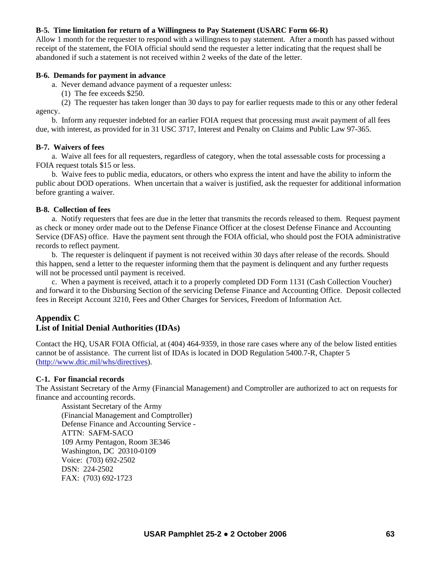### **B-5. Time limitation for return of a Willingness to Pay Statement (USARC Form 66-R)**

Allow 1 month for the requester to respond with a willingness to pay statement. After a month has passed without receipt of the statement, the FOIA official should send the requester a letter indicating that the request shall be abandoned if such a statement is not received within 2 weeks of the date of the letter.

#### **B-6. Demands for payment in advance**

a. Never demand advance payment of a requester unless:

(1) The fee exceeds \$250.

 (2) The requester has taken longer than 30 days to pay for earlier requests made to this or any other federal agency.

 b. Inform any requester indebted for an earlier FOIA request that processing must await payment of all fees due, with interest, as provided for in 31 USC 3717, Interest and Penalty on Claims and Public Law 97-365.

### **B-7. Waivers of fees**

a. Waive all fees for all requesters, regardless of category, when the total assessable costs for processing a FOIA request totals \$15 or less.

 b. Waive fees to public media, educators, or others who express the intent and have the ability to inform the public about DOD operations. When uncertain that a waiver is justified, ask the requester for additional information before granting a waiver.

#### **B-8. Collection of fees**

 a. Notify requesters that fees are due in the letter that transmits the records released to them. Request payment as check or money order made out to the Defense Finance Officer at the closest Defense Finance and Accounting Service (DFAS) office. Have the payment sent through the FOIA official, who should post the FOIA administrative records to reflect payment.

 b. The requester is delinquent if payment is not received within 30 days after release of the records. Should this happen, send a letter to the requester informing them that the payment is delinquent and any further requests will not be processed until payment is received.

 c. When a payment is received, attach it to a properly completed DD Form 1131 (Cash Collection Voucher) and forward it to the Disbursing Section of the servicing Defense Finance and Accounting Office. Deposit collected fees in Receipt Account 3210, Fees and Other Charges for Services, Freedom of Information Act.

# **Appendix C List of Initial Denial Authorities (IDAs)**

Contact the HQ, USAR FOIA Official, at (404) 464-9359, in those rare cases where any of the below listed entities cannot be of assistance. The current list of IDAs is located in DOD Regulation 5400.7-R, Chapter 5 [\(http://www.dtic.mil/whs/directives](http://www.dtic.mil/whs/directives)).

### **C-1. For financial records**

The Assistant Secretary of the Army (Financial Management) and Comptroller are authorized to act on requests for finance and accounting records.

 Assistant Secretary of the Army (Financial Management and Comptroller) Defense Finance and Accounting Service - ATTN: SAFM-SACO 109 Army Pentagon, Room 3E346 Washington, DC 20310-0109 Voice: (703) 692-2502 DSN: 224-2502 FAX: (703) 692-1723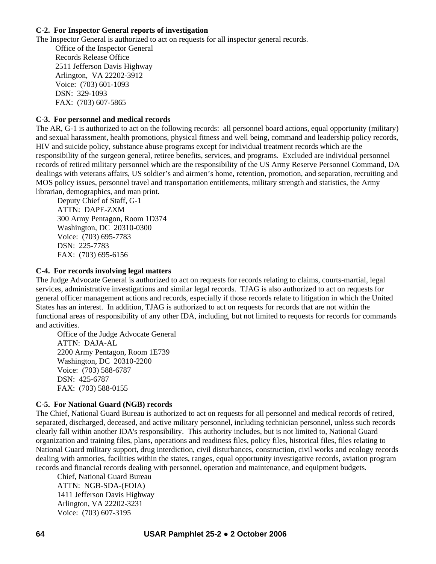### **C-2. For Inspector General reports of investigation**

The Inspector General is authorized to act on requests for all inspector general records.

 Office of the Inspector General Records Release Office 2511 Jefferson Davis Highway Arlington, VA 22202-3912 Voice: (703) 601-1093 DSN: 329-1093 FAX: (703) 607-5865

### **C-3. For personnel and medical records**

The AR, G-1 is authorized to act on the following records: all personnel board actions, equal opportunity (military) and sexual harassment, health promotions, physical fitness and well being, command and leadership policy records, HIV and suicide policy, substance abuse programs except for individual treatment records which are the responsibility of the surgeon general, retiree benefits, services, and programs. Excluded are individual personnel records of retired military personnel which are the responsibility of the US Army Reserve Personnel Command, DA dealings with veterans affairs, US soldier's and airmen's home, retention, promotion, and separation, recruiting and MOS policy issues, personnel travel and transportation entitlements, military strength and statistics, the Army librarian, demographics, and man print.

 Deputy Chief of Staff, G-1 ATTN: DAPE-ZXM 300 Army Pentagon, Room 1D374 Washington, DC 20310-0300 Voice: (703) 695-7783 DSN: 225-7783 FAX: (703) 695-6156

### **C-4. For records involving legal matters**

The Judge Advocate General is authorized to act on requests for records relating to claims, courts-martial, legal services, administrative investigations and similar legal records. TJAG is also authorized to act on requests for general officer management actions and records, especially if those records relate to litigation in which the United States has an interest. In addition, TJAG is authorized to act on requests for records that are not within the functional areas of responsibility of any other IDA, including, but not limited to requests for records for commands and activities.

 Office of the Judge Advocate General ATTN: DAJA-AL 2200 Army Pentagon, Room 1E739 Washington, DC 20310-2200 Voice: (703) 588-6787 DSN: 425-6787 FAX: (703) 588-0155

### **C-5. For National Guard (NGB) records**

The Chief, National Guard Bureau is authorized to act on requests for all personnel and medical records of retired, separated, discharged, deceased, and active military personnel, including technician personnel, unless such records clearly fall within another IDA's responsibility. This authority includes, but is not limited to, National Guard organization and training files, plans, operations and readiness files, policy files, historical files, files relating to National Guard military support, drug interdiction, civil disturbances, construction, civil works and ecology records dealing with armories, facilities within the states, ranges, equal opportunity investigative records, aviation program records and financial records dealing with personnel, operation and maintenance, and equipment budgets.

 Chief, National Guard Bureau ATTN: NGB-SDA-(FOIA) 1411 Jefferson Davis Highway Arlington, VA 22202-3231 Voice: (703) 607-3195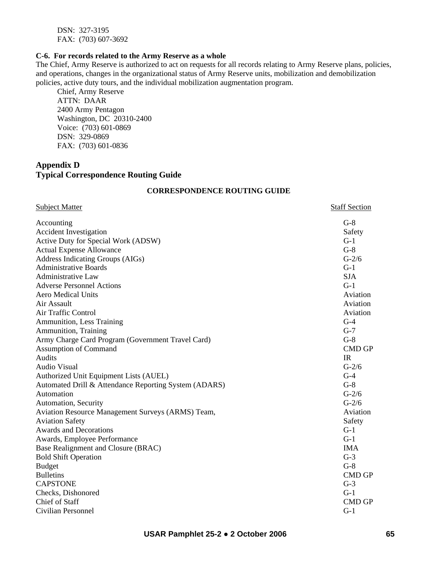DSN: 327-3195 FAX: (703) 607-3692

#### **C-6. For records related to the Army Reserve as a whole**

The Chief, Army Reserve is authorized to act on requests for all records relating to Army Reserve plans, policies, and operations, changes in the organizational status of Army Reserve units, mobilization and demobilization policies, active duty tours, and the individual mobilization augmentation program.

 Chief, Army Reserve ATTN: DAAR 2400 Army Pentagon Washington, DC 20310-2400 Voice: (703) 601-0869 DSN: 329-0869 FAX: (703) 601-0836

# **Appendix D Typical Correspondence Routing Guide**

### **CORRESPONDENCE ROUTING GUIDE**

| <b>Subject Matter</b>                                 | <b>Staff Section</b> |
|-------------------------------------------------------|----------------------|
| Accounting                                            | $G-8$                |
| <b>Accident Investigation</b>                         | Safety               |
| Active Duty for Special Work (ADSW)                   | $G-1$                |
| <b>Actual Expense Allowance</b>                       | $G-8$                |
| Address Indicating Groups (AIGs)                      | $G-2/6$              |
| <b>Administrative Boards</b>                          | $G-1$                |
| <b>Administrative Law</b>                             | <b>SJA</b>           |
| <b>Adverse Personnel Actions</b>                      | $G-1$                |
| <b>Aero Medical Units</b>                             | Aviation             |
| Air Assault                                           | Aviation             |
| Air Traffic Control                                   | Aviation             |
| Ammunition, Less Training                             | $G-4$                |
| Ammunition, Training                                  | $G-7$                |
| Army Charge Card Program (Government Travel Card)     | $G-8$                |
| <b>Assumption of Command</b>                          | <b>CMD GP</b>        |
| Audits                                                | IR                   |
| <b>Audio Visual</b>                                   | $G-2/6$              |
| Authorized Unit Equipment Lists (AUEL)                | $G-4$                |
| Automated Drill & Attendance Reporting System (ADARS) | $G-8$                |
| Automation                                            | $G-2/6$              |
| Automation, Security                                  | $G-2/6$              |
| Aviation Resource Management Surveys (ARMS) Team,     | Aviation             |
| <b>Aviation Safety</b>                                | Safety               |
| <b>Awards and Decorations</b>                         | $G-1$                |
| Awards, Employee Performance                          | $G-1$                |
| Base Realignment and Closure (BRAC)                   | <b>IMA</b>           |
| <b>Bold Shift Operation</b>                           | $G-3$                |
| <b>Budget</b>                                         | $G-8$                |
| <b>Bulletins</b>                                      | <b>CMD GP</b>        |
| <b>CAPSTONE</b>                                       | $G-3$                |
| Checks, Dishonored                                    | $G-1$                |
| <b>Chief of Staff</b>                                 | <b>CMD GP</b>        |
| Civilian Personnel                                    | $G-1$                |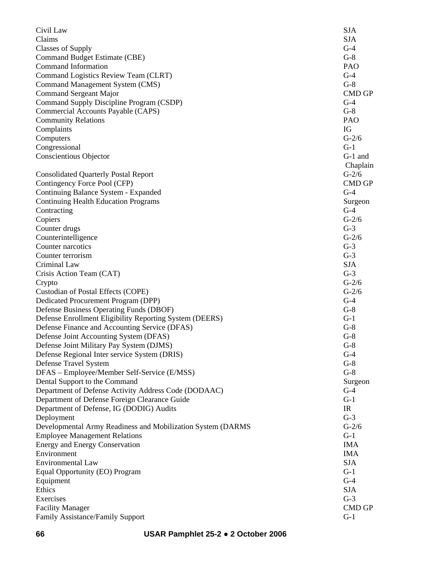| Civil Law                                                   | <b>SJA</b>    |
|-------------------------------------------------------------|---------------|
| Claims                                                      | <b>SJA</b>    |
| Classes of Supply                                           | $G-4$         |
| Command Budget Estimate (CBE)                               | $G-8$         |
| <b>Command Information</b>                                  | PAO           |
| Command Logistics Review Team (CLRT)                        | $G-4$         |
| Command Management System (CMS)                             | $G-8$         |
| <b>Command Sergeant Major</b>                               | <b>CMD GP</b> |
| Command Supply Discipline Program (CSDP)                    | $G-4$         |
| Commercial Accounts Payable (CAPS)                          | $G-8$         |
| <b>Community Relations</b>                                  | PAO           |
| Complaints                                                  | IG            |
| Computers                                                   | $G-2/6$       |
| Congressional                                               | $G-1$         |
| <b>Conscientious Objector</b>                               | $G-1$ and     |
|                                                             | Chaplain      |
| <b>Consolidated Quarterly Postal Report</b>                 | $G-2/6$       |
| Contingency Force Pool (CFP)                                | <b>CMD GP</b> |
| Continuing Balance System - Expanded                        | $G-4$         |
| <b>Continuing Health Education Programs</b>                 | Surgeon       |
| Contracting                                                 | $G-4$         |
| Copiers                                                     | $G-2/6$       |
| Counter drugs                                               | $G-3$         |
| Counterintelligence                                         | $G-2/6$       |
| Counter narcotics                                           | $G-3$         |
| Counter terrorism                                           | $G-3$         |
| Criminal Law                                                | <b>SJA</b>    |
| Crisis Action Team (CAT)                                    | $G-3$         |
| Crypto                                                      | $G-2/6$       |
| Custodian of Postal Effects (COPE)                          | $G-2/6$       |
| Dedicated Procurement Program (DPP)                         | $G-4$         |
| Defense Business Operating Funds (DBOF)                     | $G-8$         |
| Defense Enrollment Eligibility Reporting System (DEERS)     | $G-1$         |
| Defense Finance and Accounting Service (DFAS)               | $G-8$         |
| Defense Joint Accounting System (DFAS)                      | $G-8$         |
|                                                             | $G-8$         |
| Defense Joint Military Pay System (DJMS)                    | $G-4$         |
| Defense Regional Inter service System (DRIS)                | $G-8$         |
| Defense Travel System                                       |               |
| DFAS - Employee/Member Self-Service (E/MSS)                 | $G-8$         |
| Dental Support to the Command                               | Surgeon       |
| Department of Defense Activity Address Code (DODAAC)        | $G-4$         |
| Department of Defense Foreign Clearance Guide               | $G-1$         |
| Department of Defense, IG (DODIG) Audits                    | IR            |
| Deployment                                                  | $G-3$         |
| Developmental Army Readiness and Mobilization System (DARMS | $G-2/6$       |
| <b>Employee Management Relations</b>                        | $G-1$         |
| <b>Energy and Energy Conservation</b>                       | <b>IMA</b>    |
| Environment                                                 | <b>IMA</b>    |
| Environmental Law                                           | <b>SJA</b>    |
| Equal Opportunity (EO) Program                              | $G-1$         |
| Equipment                                                   | $G-4$         |
| Ethics                                                      | <b>SJA</b>    |
| Exercises                                                   | $G-3$         |
| <b>Facility Manager</b>                                     | <b>CMD GP</b> |
| Family Assistance/Family Support                            | $G-1$         |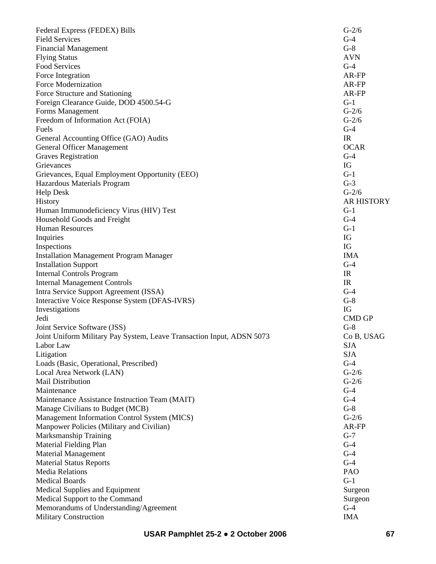| Federal Express (FEDEX) Bills                                         | $G-2/6$           |
|-----------------------------------------------------------------------|-------------------|
| <b>Field Services</b>                                                 | $G-4$             |
| <b>Financial Management</b>                                           | $G-8$             |
| <b>Flying Status</b>                                                  | <b>AVN</b>        |
| <b>Food Services</b>                                                  | $G-4$             |
| Force Integration                                                     | AR-FP             |
| <b>Force Modernization</b>                                            | AR-FP             |
| Force Structure and Stationing                                        | AR-FP             |
| Foreign Clearance Guide, DOD 4500.54-G                                | $G-1$             |
| Forms Management                                                      | $G-2/6$           |
| Freedom of Information Act (FOIA)                                     | $G-2/6$           |
| Fuels                                                                 | $G-4$             |
| General Accounting Office (GAO) Audits                                | IR                |
| <b>General Officer Management</b>                                     | <b>OCAR</b>       |
| <b>Graves Registration</b>                                            | $G-4$             |
| Grievances                                                            | IG                |
| Grievances, Equal Employment Opportunity (EEO)                        | $G-1$             |
| Hazardous Materials Program                                           | $G-3$             |
| <b>Help Desk</b>                                                      | $G-2/6$           |
| History                                                               | <b>AR HISTORY</b> |
| Human Immunodeficiency Virus (HIV) Test                               | $G-1$             |
| Household Goods and Freight                                           | $G-4$             |
| <b>Human Resources</b>                                                | $G-1$             |
| Inquiries                                                             | IG                |
| Inspections                                                           | IG                |
| <b>Installation Management Program Manager</b>                        | <b>IMA</b>        |
| <b>Installation Support</b>                                           | $G-4$             |
| <b>Internal Controls Program</b>                                      | IR                |
| <b>Internal Management Controls</b>                                   | IR                |
| Intra Service Support Agreement (ISSA)                                | $G-4$             |
| Interactive Voice Response System (DFAS-IVRS)                         | $G-8$             |
| Investigations                                                        | IG                |
| Jedi                                                                  | <b>CMD GP</b>     |
| Joint Service Software (JSS)                                          | $G-8$             |
| Joint Uniform Military Pay System, Leave Transaction Input, ADSN 5073 | Co B, USAG        |
| Labor Law                                                             | <b>SJA</b>        |
| Litigation                                                            | <b>SJA</b>        |
| Loads (Basic, Operational, Prescribed)                                | $G-4$             |
| Local Area Network (LAN)                                              | $G-2/6$           |
| Mail Distribution                                                     | $G-2/6$           |
| Maintenance                                                           | $G-4$             |
|                                                                       | $G-4$             |
| Maintenance Assistance Instruction Team (MAIT)                        | $G-8$             |
| Manage Civilians to Budget (MCB)                                      | $G-2/6$           |
| Management Information Control System (MICS)                          | AR-FP             |
| Manpower Policies (Military and Civilian)                             |                   |
| Marksmanship Training                                                 | $G-7$             |
| Material Fielding Plan                                                | $G-4$             |
| <b>Material Management</b>                                            | $G-4$             |
| <b>Material Status Reports</b>                                        | $G-4$             |
| <b>Media Relations</b>                                                | PAO               |
| <b>Medical Boards</b>                                                 | $G-1$             |
| <b>Medical Supplies and Equipment</b>                                 | Surgeon           |
| Medical Support to the Command                                        | Surgeon           |
| Memorandums of Understanding/Agreement                                | $G-4$             |
| <b>Military Construction</b>                                          | <b>IMA</b>        |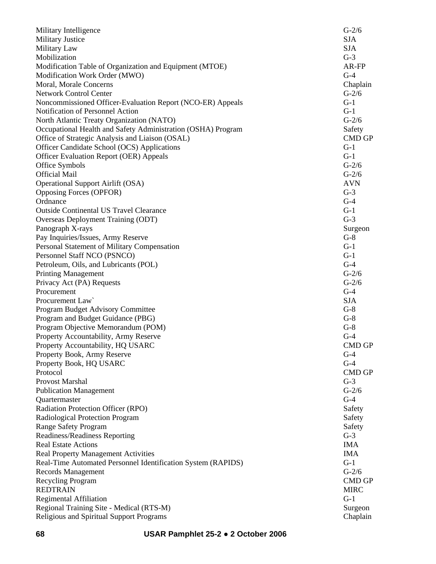| Military Intelligence                                        | $G-2/6$       |
|--------------------------------------------------------------|---------------|
| <b>Military Justice</b>                                      | <b>SJA</b>    |
| Military Law                                                 | <b>SJA</b>    |
| Mobilization                                                 | $G-3$         |
| Modification Table of Organization and Equipment (MTOE)      | AR-FP         |
| Modification Work Order (MWO)                                | $G-4$         |
| Moral, Morale Concerns                                       | Chaplain      |
| <b>Network Control Center</b>                                | $G-2/6$       |
| Noncommissioned Officer-Evaluation Report (NCO-ER) Appeals   | $G-1$         |
| Notification of Personnel Action                             | $G-1$         |
| North Atlantic Treaty Organization (NATO)                    | $G-2/6$       |
| Occupational Health and Safety Administration (OSHA) Program | Safety        |
| Office of Strategic Analysis and Liaison (OSAL)              | <b>CMD GP</b> |
| Officer Candidate School (OCS) Applications                  | $G-1$         |
| <b>Officer Evaluation Report (OER) Appeals</b>               | $G-1$         |
| Office Symbols                                               | $G-2/6$       |
| <b>Official Mail</b>                                         | $G-2/6$       |
| <b>Operational Support Airlift (OSA)</b>                     | <b>AVN</b>    |
| <b>Opposing Forces (OPFOR)</b>                               | $G-3$         |
| Ordnance                                                     | $G-4$         |
| <b>Outside Continental US Travel Clearance</b>               | $G-1$         |
| Overseas Deployment Training (ODT)                           | $G-3$         |
| Panograph X-rays                                             | Surgeon       |
| Pay Inquiries/Issues, Army Reserve                           | $G-8$         |
| Personal Statement of Military Compensation                  | $G-1$         |
| Personnel Staff NCO (PSNCO)                                  | $G-1$         |
| Petroleum, Oils, and Lubricants (POL)                        | $G-4$         |
| <b>Printing Management</b>                                   | $G-2/6$       |
| Privacy Act (PA) Requests                                    | $G-2/6$       |
| Procurement                                                  | $G-4$         |
| Procurement Law                                              | <b>SJA</b>    |
| Program Budget Advisory Committee                            | $G-8$         |
| Program and Budget Guidance (PBG)                            | $G-8$         |
| Program Objective Memorandum (POM)                           | $G-8$         |
| Property Accountability, Army Reserve                        | $G-4$         |
| Property Accountability, HQ USARC                            | <b>CMD GP</b> |
| Property Book, Army Reserve                                  | $G-4$         |
| Property Book, HQ USARC                                      | $G-4$         |
| Protocol                                                     | <b>CMD GP</b> |
| Provost Marshal                                              | $G-3$         |
| <b>Publication Management</b>                                | $G-2/6$       |
| Quartermaster                                                | $G-4$         |
| Radiation Protection Officer (RPO)                           | Safety        |
| Radiological Protection Program                              | Safety        |
| <b>Range Safety Program</b>                                  | Safety        |
| Readiness/Readiness Reporting                                | $G-3$         |
| <b>Real Estate Actions</b>                                   | <b>IMA</b>    |
| <b>Real Property Management Activities</b>                   | <b>IMA</b>    |
| Real-Time Automated Personnel Identification System (RAPIDS) | $G-1$         |
| Records Management                                           | $G-2/6$       |
| Recycling Program                                            | <b>CMD GP</b> |
| <b>REDTRAIN</b>                                              | <b>MIRC</b>   |
| <b>Regimental Affiliation</b>                                | $G-1$         |
| Regional Training Site - Medical (RTS-M)                     | Surgeon       |
| Religious and Spiritual Support Programs                     | Chaplain      |
|                                                              |               |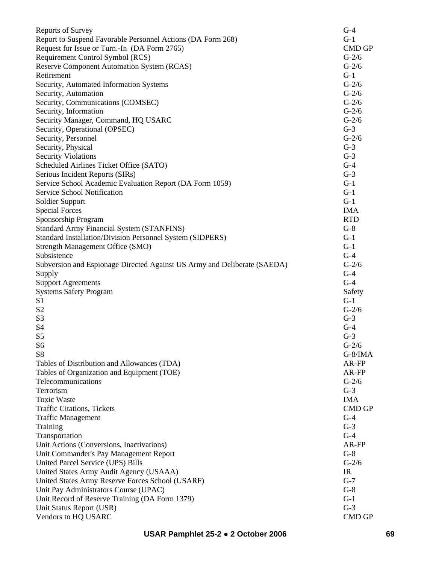| <b>Reports of Survey</b>                                                 | $G-4$         |
|--------------------------------------------------------------------------|---------------|
| Report to Suspend Favorable Personnel Actions (DA Form 268)              | $G-1$         |
| Request for Issue or Turn.-In (DA Form 2765)                             | <b>CMD GP</b> |
| Requirement Control Symbol (RCS)                                         | $G-2/6$       |
| <b>Reserve Component Automation System (RCAS)</b>                        | $G-2/6$       |
| Retirement                                                               | $G-1$         |
| Security, Automated Information Systems                                  | $G-2/6$       |
| Security, Automation                                                     | $G-2/6$       |
| Security, Communications (COMSEC)                                        | $G-2/6$       |
| Security, Information                                                    | $G-2/6$       |
| Security Manager, Command, HQ USARC                                      | $G-2/6$       |
| Security, Operational (OPSEC)                                            | $G-3$         |
| Security, Personnel                                                      | $G-2/6$       |
| Security, Physical                                                       | $G-3$         |
| <b>Security Violations</b>                                               | $G-3$         |
| Scheduled Airlines Ticket Office (SATO)                                  | $G-4$         |
| Serious Incident Reports (SIRs)                                          | $G-3$         |
| Service School Academic Evaluation Report (DA Form 1059)                 | $G-1$         |
| Service School Notification                                              | $G-1$         |
| <b>Soldier Support</b>                                                   | $G-1$         |
| <b>Special Forces</b>                                                    | <b>IMA</b>    |
| Sponsorship Program                                                      | <b>RTD</b>    |
| <b>Standard Army Financial System (STANFINS)</b>                         | $G-8$         |
| Standard Installation/Division Personnel System (SIDPERS)                | $G-1$         |
| <b>Strength Management Office (SMO)</b>                                  | $G-1$         |
| Subsistence                                                              | $G-4$         |
| Subversion and Espionage Directed Against US Army and Deliberate (SAEDA) | $G-2/6$       |
| Supply                                                                   | $G-4$         |
| <b>Support Agreements</b>                                                | $G-4$         |
| <b>Systems Safety Program</b>                                            | Safety        |
| S <sub>1</sub>                                                           | $G-1$         |
| S <sub>2</sub>                                                           | $G-2/6$       |
| S <sub>3</sub>                                                           | $G-3$         |
| S <sub>4</sub>                                                           | $G-4$         |
| S <sub>5</sub>                                                           | $G-3$         |
| S <sub>6</sub>                                                           | $G-2/6$       |
| S8                                                                       | $G-8/IMA$     |
| Tables of Distribution and Allowances (TDA)                              | AR-FP         |
| Tables of Organization and Equipment (TOE)                               | AR-FP         |
| Telecommunications                                                       | $G-2/6$       |
| Terrorism                                                                | $G-3$         |
| <b>Toxic Waste</b>                                                       | <b>IMA</b>    |
|                                                                          | <b>CMD GP</b> |
| <b>Traffic Citations, Tickets</b>                                        | $G-4$         |
| <b>Traffic Management</b>                                                |               |
| Training                                                                 | $G-3$         |
| Transportation                                                           | $G-4$         |
| Unit Actions (Conversions, Inactivations)                                | AR-FP         |
| Unit Commander's Pay Management Report                                   | $G-8$         |
| United Parcel Service (UPS) Bills                                        | $G-2/6$       |
| United States Army Audit Agency (USAAA)                                  | IR            |
| United States Army Reserve Forces School (USARF)                         | $G-7$         |
| Unit Pay Administrators Course (UPAC)                                    | $G-8$         |
| Unit Record of Reserve Training (DA Form 1379)                           | $G-1$         |
| Unit Status Report (USR)                                                 | $G-3$         |
| Vendors to HQ USARC                                                      | CMD GP        |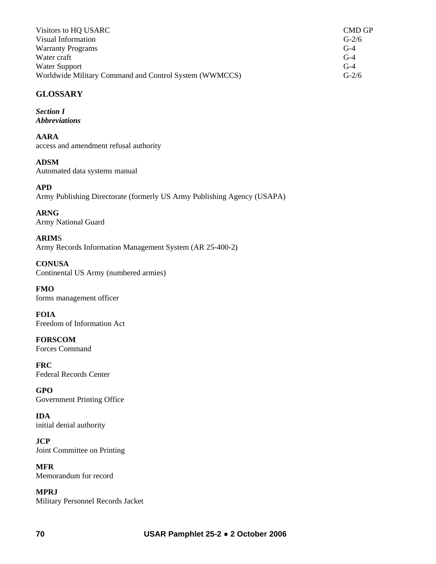| Visitors to HQ USARC                                   | CMD GP  |
|--------------------------------------------------------|---------|
| Visual Information                                     | $G-2/6$ |
| <b>Warranty Programs</b>                               | $G-4$   |
| Water craft                                            | $G-4$   |
| Water Support                                          | $G-4$   |
| Worldwide Military Command and Control System (WWMCCS) | $G-2/6$ |

# **GLOSSARY**

*Section I Abbreviations* 

**AARA**  access and amendment refusal authority

#### **ADSM** Automated data systems manual

**APD**  Army Publishing Directorate (formerly US Army Publishing Agency (USAPA)

**ARNG** Army National Guard

**ARIM**S Army Records Information Management System (AR 25-400-2)

**CONUSA** Continental US Army (numbered armies)

**FMO**  forms management officer

**FOIA**  Freedom of Information Act

**FORSCOM**  Forces Command

**FRC** Federal Records Center

**GPO**  Government Printing Office

**IDA**  initial denial authority

**JCP**  Joint Committee on Printing

**MFR** Memorandum for record

**MPRJ** Military Personnel Records Jacket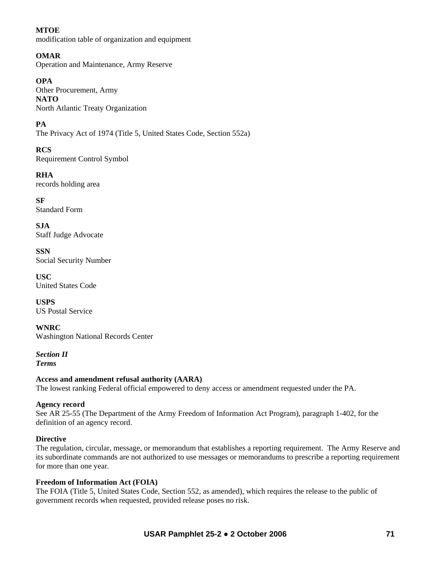## **MTOE**

modification table of organization and equipment

# **OMAR**

Operation and Maintenance, Army Reserve

# **OPA**

Other Procurement, Army **NATO** North Atlantic Treaty Organization

**PA**

The Privacy Act of 1974 (Title 5, United States Code, Section 552a)

**RCS** Requirement Control Symbol

**RHA** records holding area

**SF** Standard Form

**SJA** Staff Judge Advocate

**SSN** Social Security Number

**USC** United States Code

**USPS** US Postal Service

**WNRC**  Washington National Records Center

*Section II Terms* 

# **Access and amendment refusal authority (AARA)**

The lowest ranking Federal official empowered to deny access or amendment requested under the PA.

# **Agency record**

See AR 25-55 (The Department of the Army Freedom of Information Act Program), paragraph 1-402, for the definition of an agency record.

# **Directive**

The regulation, circular, message, or memorandum that establishes a reporting requirement. The Army Reserve and its subordinate commands are not authorized to use messages or memorandums to prescribe a reporting requirement for more than one year.

## **Freedom of Information Act (FOIA)**

The FOIA (Title 5, United States Code, Section 552, as amended), which requires the release to the public of government records when requested, provided release poses no risk.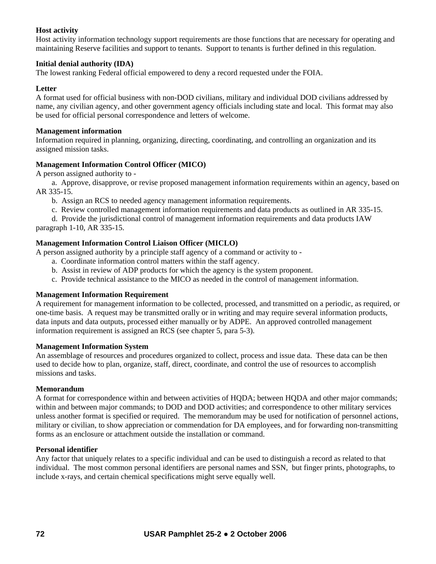## **Host activity**

Host activity information technology support requirements are those functions that are necessary for operating and maintaining Reserve facilities and support to tenants. Support to tenants is further defined in this regulation.

### **Initial denial authority (IDA)**

The lowest ranking Federal official empowered to deny a record requested under the FOIA.

### **Letter**

A format used for official business with non-DOD civilians, military and individual DOD civilians addressed by name, any civilian agency, and other government agency officials including state and local. This format may also be used for official personal correspondence and letters of welcome.

### **Management information**

Information required in planning, organizing, directing, coordinating, and controlling an organization and its assigned mission tasks.

## **Management Information Control Officer (MICO)**

A person assigned authority to -

 a. Approve, disapprove, or revise proposed management information requirements within an agency, based on AR 335-15.

b. Assign an RCS to needed agency management information requirements.

c. Review controlled management information requirements and data products as outlined in AR 335-15.

 d. Provide the jurisdictional control of management information requirements and data products IAW paragraph 1-10, AR 335-15.

## **Management Information Control Liaison Officer (MICLO)**

A person assigned authority by a principle staff agency of a command or activity to -

- a. Coordinate information control matters within the staff agency.
- b. Assist in review of ADP products for which the agency is the system proponent.
- c. Provide technical assistance to the MICO as needed in the control of management information.

### **Management Information Requirement**

A requirement for management information to be collected, processed, and transmitted on a periodic, as required, or one-time basis. A request may be transmitted orally or in writing and may require several information products, data inputs and data outputs, processed either manually or by ADPE. An approved controlled management information requirement is assigned an RCS (see chapter 5, para 5-3).

### **Management Information System**

An assemblage of resources and procedures organized to collect, process and issue data. These data can be then used to decide how to plan, organize, staff, direct, coordinate, and control the use of resources to accomplish missions and tasks.

### **Memorandum**

A format for correspondence within and between activities of HQDA; between HQDA and other major commands; within and between major commands; to DOD and DOD activities; and correspondence to other military services unless another format is specified or required. The memorandum may be used for notification of personnel actions, military or civilian, to show appreciation or commendation for DA employees, and for forwarding non-transmitting forms as an enclosure or attachment outside the installation or command.

### **Personal identifier**

Any factor that uniquely relates to a specific individual and can be used to distinguish a record as related to that individual. The most common personal identifiers are personal names and SSN, but finger prints, photographs, to include x-rays, and certain chemical specifications might serve equally well.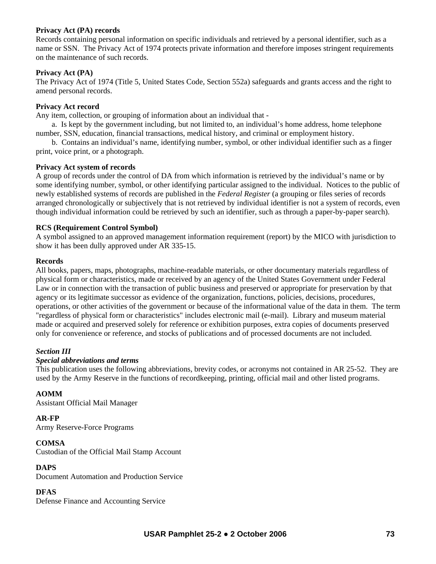### **Privacy Act (PA) records**

Records containing personal information on specific individuals and retrieved by a personal identifier, such as a name or SSN. The Privacy Act of 1974 protects private information and therefore imposes stringent requirements on the maintenance of such records.

## **Privacy Act (PA)**

The Privacy Act of 1974 (Title 5, United States Code, Section 552a) safeguards and grants access and the right to amend personal records.

## **Privacy Act record**

Any item, collection, or grouping of information about an individual that -

 a. Is kept by the government including, but not limited to, an individual's home address, home telephone number, SSN, education, financial transactions, medical history, and criminal or employment history.

 b. Contains an individual's name, identifying number, symbol, or other individual identifier such as a finger print, voice print, or a photograph.

#### **Privacy Act system of records**

A group of records under the control of DA from which information is retrieved by the individual's name or by some identifying number, symbol, or other identifying particular assigned to the individual. Notices to the public of newly established systems of records are published in the *Federal Register* (a grouping or files series of records arranged chronologically or subjectively that is not retrieved by individual identifier is not a system of records, even though individual information could be retrieved by such an identifier, such as through a paper-by-paper search).

#### **RCS (Requirement Control Symbol)**

A symbol assigned to an approved management information requirement (report) by the MICO with jurisdiction to show it has been dully approved under AR 335-15.

#### **Records**

All books, papers, maps, photographs, machine-readable materials, or other documentary materials regardless of physical form or characteristics, made or received by an agency of the United States Government under Federal Law or in connection with the transaction of public business and preserved or appropriate for preservation by that agency or its legitimate successor as evidence of the organization, functions, policies, decisions, procedures, operations, or other activities of the government or because of the informational value of the data in them. The term "regardless of physical form or characteristics" includes electronic mail (e-mail). Library and museum material made or acquired and preserved solely for reference or exhibition purposes, extra copies of documents preserved only for convenience or reference, and stocks of publications and of processed documents are not included.

### *Section III*

#### *Special abbreviations and terms*

This publication uses the following abbreviations, brevity codes, or acronyms not contained in AR 25-52. They are used by the Army Reserve in the functions of recordkeeping, printing, official mail and other listed programs.

## **AOMM**

Assistant Official Mail Manager

#### **AR-FP**

Army Reserve-Force Programs

#### **COMSA**

Custodian of the Official Mail Stamp Account

### **DAPS**

Document Automation and Production Service

#### **DFAS**

Defense Finance and Accounting Service